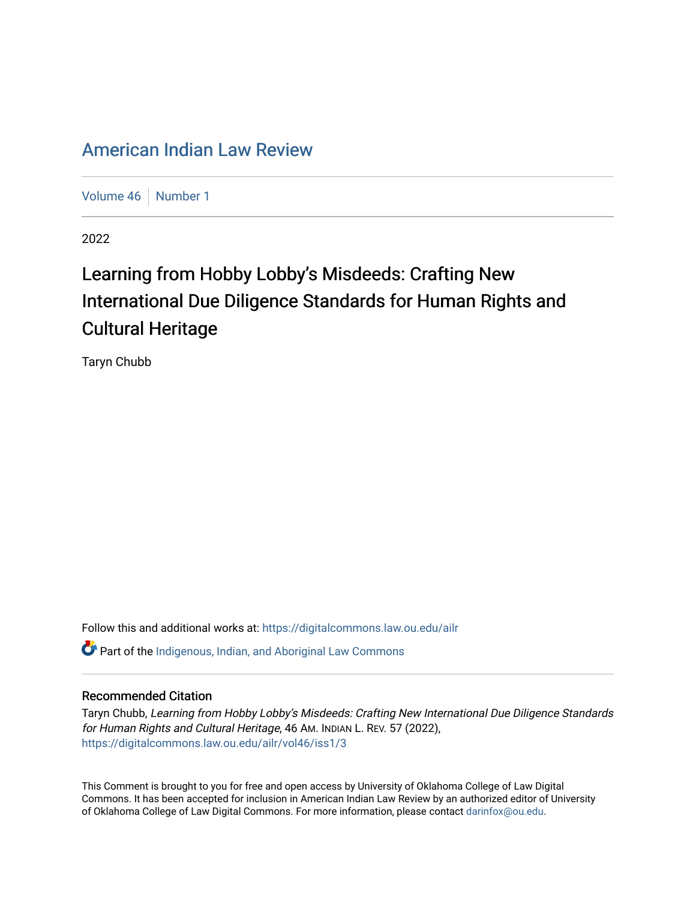## [American Indian Law Review](https://digitalcommons.law.ou.edu/ailr)

[Volume 46](https://digitalcommons.law.ou.edu/ailr/vol46) | [Number 1](https://digitalcommons.law.ou.edu/ailr/vol46/iss1)

2022

# Learning from Hobby Lobby's Misdeeds: Crafting New International Due Diligence Standards for Human Rights and Cultural Heritage

Taryn Chubb

Follow this and additional works at: [https://digitalcommons.law.ou.edu/ailr](https://digitalcommons.law.ou.edu/ailr?utm_source=digitalcommons.law.ou.edu%2Failr%2Fvol46%2Fiss1%2F3&utm_medium=PDF&utm_campaign=PDFCoverPages) **C** Part of the Indigenous, Indian, and Aboriginal Law Commons

#### Recommended Citation

Taryn Chubb, Learning from Hobby Lobby's Misdeeds: Crafting New International Due Diligence Standards for Human Rights and Cultural Heritage, 46 AM. INDIAN L. REV. 57 (2022), [https://digitalcommons.law.ou.edu/ailr/vol46/iss1/3](https://digitalcommons.law.ou.edu/ailr/vol46/iss1/3?utm_source=digitalcommons.law.ou.edu%2Failr%2Fvol46%2Fiss1%2F3&utm_medium=PDF&utm_campaign=PDFCoverPages)

This Comment is brought to you for free and open access by University of Oklahoma College of Law Digital Commons. It has been accepted for inclusion in American Indian Law Review by an authorized editor of University of Oklahoma College of Law Digital Commons. For more information, please contact [darinfox@ou.edu](mailto:darinfox@ou.edu).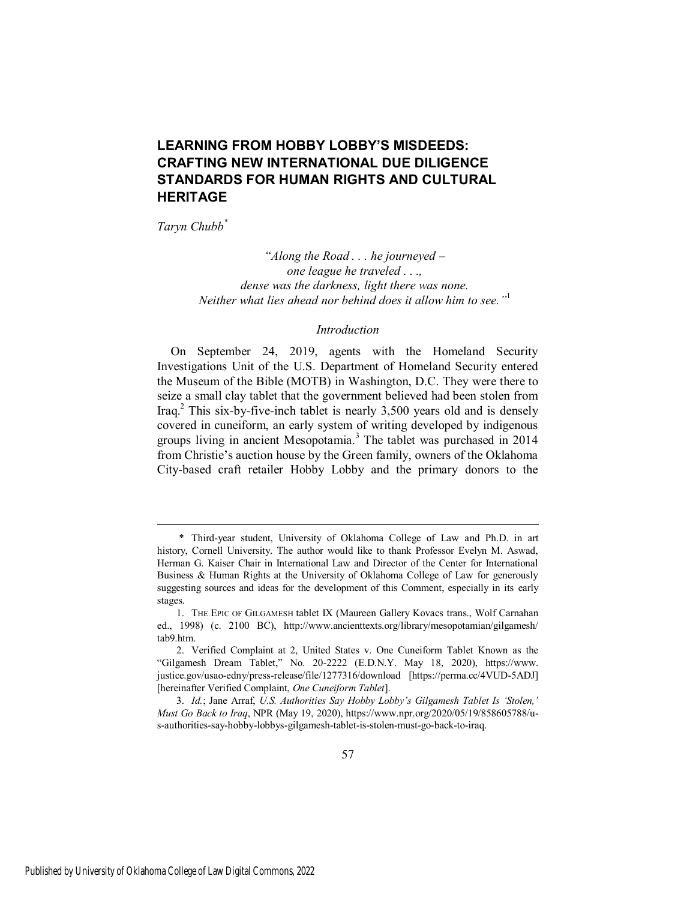### **LEARNING FROM HOBBY LOBBY'S MISDEEDS: CRAFTING NEW INTERNATIONAL DUE DILIGENCE STANDARDS FOR HUMAN RIGHTS AND CULTURAL HERITAGE**

*Taryn Chubb\**

*"Along the Road . . . he journeyed – one league he traveled . . ., dense was the darkness, light there was none. Neither what lies ahead nor behind does it allow him to see."*<sup>1</sup>

#### *Introduction*

On September 24, 2019, agents with the Homeland Security Investigations Unit of the U.S. Department of Homeland Security entered the Museum of the Bible (MOTB) in Washington, D.C. They were there to seize a small clay tablet that the government believed had been stolen from Iraq.<sup>2</sup> This six-by-five-inch tablet is nearly 3,500 years old and is densely covered in cuneiform, an early system of writing developed by indigenous groups living in ancient Mesopotamia.<sup>3</sup> The tablet was purchased in 2014 from Christie's auction house by the Green family, owners of the Oklahoma City-based craft retailer Hobby Lobby and the primary donors to the

 <sup>\*</sup> Third-year student, University of Oklahoma College of Law and Ph.D. in art history, Cornell University. The author would like to thank Professor Evelyn M. Aswad, Herman G. Kaiser Chair in International Law and Director of the Center for International Business & Human Rights at the University of Oklahoma College of Law for generously suggesting sources and ideas for the development of this Comment, especially in its early stages.

<sup>1.</sup> THE EPIC OF GILGAMESH tablet IX (Maureen Gallery Kovacs trans., Wolf Carnahan ed., 1998) (c. 2100 BC), http://www.ancienttexts.org/library/mesopotamian/gilgamesh/ tab9.htm.

<sup>2.</sup> Verified Complaint at 2, United States v. One Cuneiform Tablet Known as the "Gilgamesh Dream Tablet," No. 20-2222 (E.D.N.Y. May 18, 2020), https://www. justice.gov/usao-edny/press-release/file/1277316/download [https://perma.cc/4VUD-5ADJ] [hereinafter Verified Complaint, *One Cuneiform Tablet*].

<sup>3.</sup> *Id.*; Jane Arraf, *U.S. Authorities Say Hobby Lobby's Gilgamesh Tablet Is 'Stolen,' Must Go Back to Iraq*, NPR (May 19, 2020), https://www.npr.org/2020/05/19/858605788/us-authorities-say-hobby-lobbys-gilgamesh-tablet-is-stolen-must-go-back-to-iraq.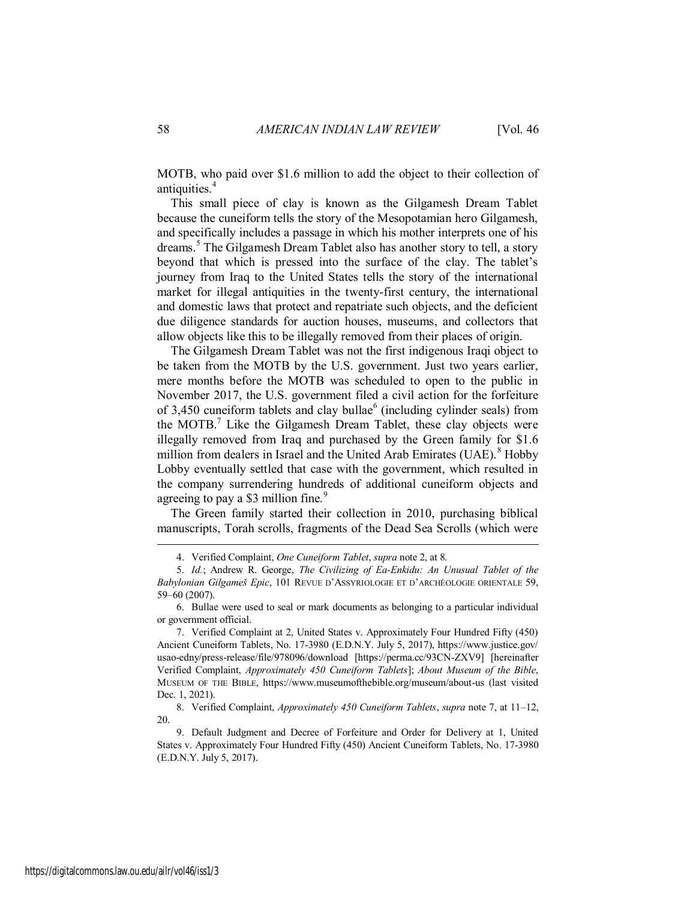MOTB, who paid over \$1.6 million to add the object to their collection of antiquities.<sup>4</sup>

This small piece of clay is known as the Gilgamesh Dream Tablet because the cuneiform tells the story of the Mesopotamian hero Gilgamesh, and specifically includes a passage in which his mother interprets one of his dreams.<sup>5</sup> The Gilgamesh Dream Tablet also has another story to tell, a story beyond that which is pressed into the surface of the clay. The tablet's journey from Iraq to the United States tells the story of the international market for illegal antiquities in the twenty-first century, the international and domestic laws that protect and repatriate such objects, and the deficient due diligence standards for auction houses, museums, and collectors that allow objects like this to be illegally removed from their places of origin.

The Gilgamesh Dream Tablet was not the first indigenous Iraqi object to be taken from the MOTB by the U.S. government. Just two years earlier, mere months before the MOTB was scheduled to open to the public in November 2017, the U.S. government filed a civil action for the forfeiture of  $3,450$  cuneiform tablets and clay bullae<sup>6</sup> (including cylinder seals) from the MOTB.<sup>7</sup> Like the Gilgamesh Dream Tablet, these clay objects were illegally removed from Iraq and purchased by the Green family for \$1.6 million from dealers in Israel and the United Arab Emirates (UAE).<sup>8</sup> Hobby Lobby eventually settled that case with the government, which resulted in the company surrendering hundreds of additional cuneiform objects and agreeing to pay a \$3 million fine.<sup>9</sup>

The Green family started their collection in 2010, purchasing biblical manuscripts, Torah scrolls, fragments of the Dead Sea Scrolls (which were

<sup>4.</sup> Verified Complaint, *One Cuneiform Tablet*, *supra* note 2, at 8.

<sup>5.</sup> *Id.*; Andrew R. George, *The Civilizing of Ea-Enkidu: An Unusual Tablet of the Babylonian Gilgameš Epic*, 101 REVUE D'ASSYRIOLOGIE ET D'ARCHÉOLOGIE ORIENTALE 59, 59–60 (2007).

<sup>6.</sup> Bullae were used to seal or mark documents as belonging to a particular individual or government official.

<sup>7.</sup> Verified Complaint at 2, United States v. Approximately Four Hundred Fifty (450) Ancient Cuneiform Tablets, No. 17-3980 (E.D.N.Y. July 5, 2017), https://www.justice.gov/ usao-edny/press-release/file/978096/download [https://perma.cc/93CN-ZXV9] [hereinafter Verified Complaint, *Approximately 450 Cuneiform Tablets*]; *About Museum of the Bible*, MUSEUM OF THE BIBLE, https://www.museumofthebible.org/museum/about-us (last visited Dec. 1, 2021).

<sup>8.</sup> Verified Complaint, *Approximately 450 Cuneiform Tablets*, *supra* note 7, at 11–12, 20.

<sup>9.</sup> Default Judgment and Decree of Forfeiture and Order for Delivery at 1, United States v. Approximately Four Hundred Fifty (450) Ancient Cuneiform Tablets, No. 17-3980 (E.D.N.Y. July 5, 2017).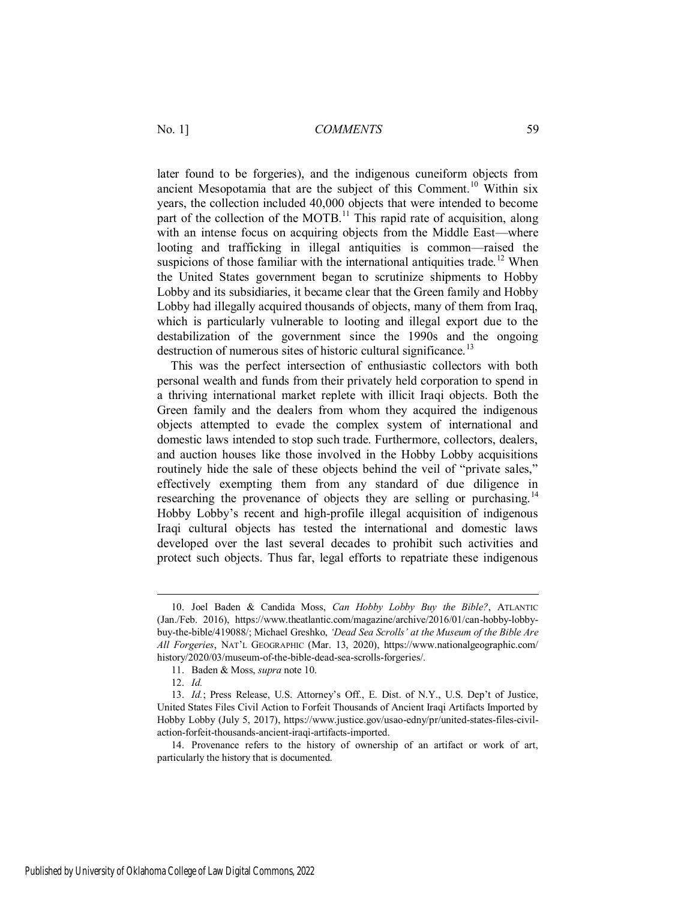later found to be forgeries), and the indigenous cuneiform objects from ancient Mesopotamia that are the subject of this Comment.<sup>10</sup> Within six years, the collection included 40,000 objects that were intended to become part of the collection of the MOTB.<sup>11</sup> This rapid rate of acquisition, along with an intense focus on acquiring objects from the Middle East—where looting and trafficking in illegal antiquities is common—raised the suspicions of those familiar with the international antiquities trade.<sup>12</sup> When the United States government began to scrutinize shipments to Hobby Lobby and its subsidiaries, it became clear that the Green family and Hobby Lobby had illegally acquired thousands of objects, many of them from Iraq, which is particularly vulnerable to looting and illegal export due to the destabilization of the government since the 1990s and the ongoing destruction of numerous sites of historic cultural significance.<sup>13</sup>

This was the perfect intersection of enthusiastic collectors with both personal wealth and funds from their privately held corporation to spend in a thriving international market replete with illicit Iraqi objects. Both the Green family and the dealers from whom they acquired the indigenous objects attempted to evade the complex system of international and domestic laws intended to stop such trade. Furthermore, collectors, dealers, and auction houses like those involved in the Hobby Lobby acquisitions routinely hide the sale of these objects behind the veil of "private sales," effectively exempting them from any standard of due diligence in researching the provenance of objects they are selling or purchasing.<sup>14</sup> Hobby Lobby's recent and high-profile illegal acquisition of indigenous Iraqi cultural objects has tested the international and domestic laws developed over the last several decades to prohibit such activities and protect such objects. Thus far, legal efforts to repatriate these indigenous

<sup>10.</sup> Joel Baden & Candida Moss, *Can Hobby Lobby Buy the Bible?*, ATLANTIC (Jan./Feb. 2016), https://www.theatlantic.com/magazine/archive/2016/01/can-hobby-lobbybuy-the-bible/419088/; Michael Greshko, *'Dead Sea Scrolls' at the Museum of the Bible Are All Forgeries*, NAT'L GEOGRAPHIC (Mar. 13, 2020), https://www.nationalgeographic.com/ history/2020/03/museum-of-the-bible-dead-sea-scrolls-forgeries/.

<sup>11.</sup> Baden & Moss, *supra* note 10.

<sup>12.</sup> *Id.*

<sup>13.</sup> *Id.*; Press Release, U.S. Attorney's Off., E. Dist. of N.Y., U.S. Dep't of Justice, United States Files Civil Action to Forfeit Thousands of Ancient Iraqi Artifacts Imported by Hobby Lobby (July 5, 2017), https://www.justice.gov/usao-edny/pr/united-states-files-civilaction-forfeit-thousands-ancient-iraqi-artifacts-imported.

<sup>14.</sup> Provenance refers to the history of ownership of an artifact or work of art, particularly the history that is documented.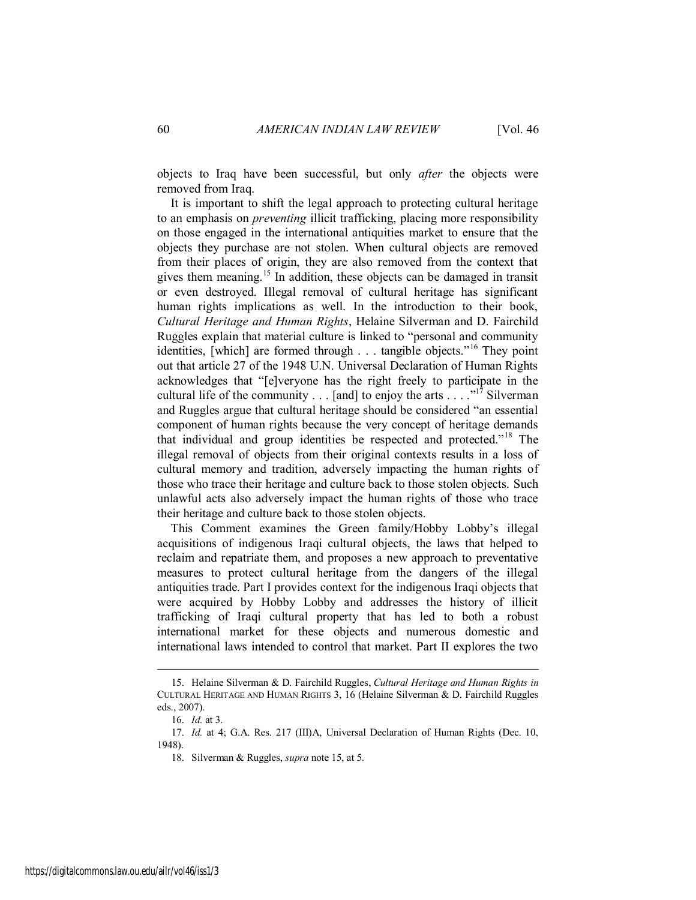objects to Iraq have been successful, but only *after* the objects were removed from Iraq.

It is important to shift the legal approach to protecting cultural heritage to an emphasis on *preventing* illicit trafficking, placing more responsibility on those engaged in the international antiquities market to ensure that the objects they purchase are not stolen. When cultural objects are removed from their places of origin, they are also removed from the context that gives them meaning.<sup>15</sup> In addition, these objects can be damaged in transit or even destroyed. Illegal removal of cultural heritage has significant human rights implications as well. In the introduction to their book, *Cultural Heritage and Human Rights*, Helaine Silverman and D. Fairchild Ruggles explain that material culture is linked to "personal and community identities, [which] are formed through . . . tangible objects."<sup>16</sup> They point out that article 27 of the 1948 U.N. Universal Declaration of Human Rights acknowledges that "[e]veryone has the right freely to participate in the cultural life of the community . . . [and] to enjoy the arts  $\cdots$ <sup>17</sup> Silverman and Ruggles argue that cultural heritage should be considered "an essential component of human rights because the very concept of heritage demands that individual and group identities be respected and protected."<sup>18</sup> The illegal removal of objects from their original contexts results in a loss of cultural memory and tradition, adversely impacting the human rights of those who trace their heritage and culture back to those stolen objects. Such unlawful acts also adversely impact the human rights of those who trace their heritage and culture back to those stolen objects.

This Comment examines the Green family/Hobby Lobby's illegal acquisitions of indigenous Iraqi cultural objects, the laws that helped to reclaim and repatriate them, and proposes a new approach to preventative measures to protect cultural heritage from the dangers of the illegal antiquities trade. Part I provides context for the indigenous Iraqi objects that were acquired by Hobby Lobby and addresses the history of illicit trafficking of Iraqi cultural property that has led to both a robust international market for these objects and numerous domestic and international laws intended to control that market. Part II explores the two

<sup>15.</sup> Helaine Silverman & D. Fairchild Ruggles, *Cultural Heritage and Human Rights in* CULTURAL HERITAGE AND HUMAN RIGHTS 3, 16 (Helaine Silverman & D. Fairchild Ruggles eds., 2007).

<sup>16.</sup> *Id.* at 3.

<sup>17.</sup> *Id.* at 4; G.A. Res. 217 (III)A, Universal Declaration of Human Rights (Dec. 10, 1948).

<sup>18.</sup> Silverman & Ruggles, *supra* note 15, at 5.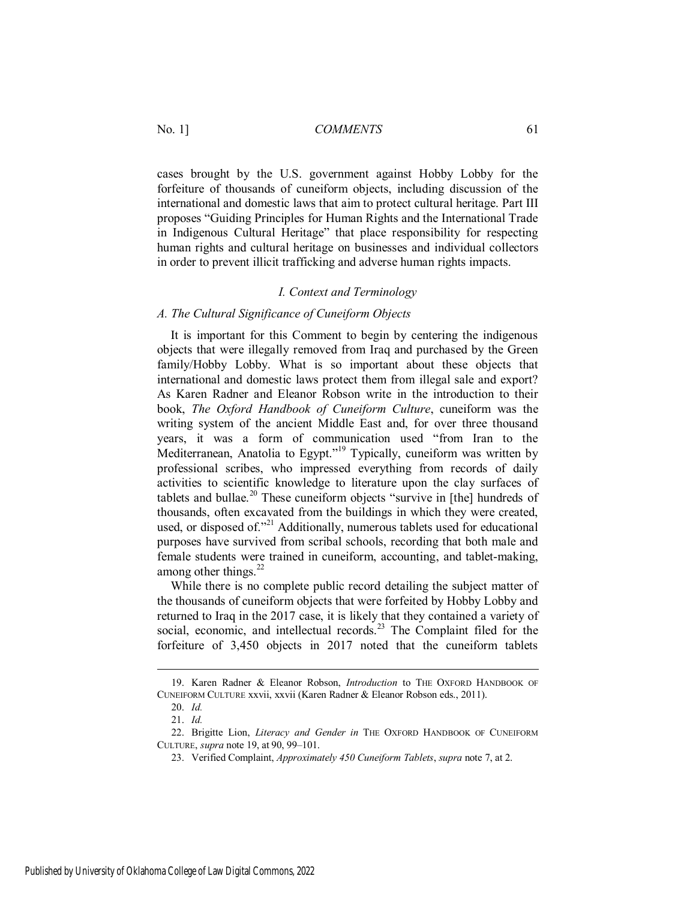cases brought by the U.S. government against Hobby Lobby for the forfeiture of thousands of cuneiform objects, including discussion of the international and domestic laws that aim to protect cultural heritage. Part III proposes "Guiding Principles for Human Rights and the International Trade in Indigenous Cultural Heritage" that place responsibility for respecting human rights and cultural heritage on businesses and individual collectors in order to prevent illicit trafficking and adverse human rights impacts.

#### *I. Context and Terminology*

#### *A. The Cultural Significance of Cuneiform Objects*

It is important for this Comment to begin by centering the indigenous objects that were illegally removed from Iraq and purchased by the Green family/Hobby Lobby. What is so important about these objects that international and domestic laws protect them from illegal sale and export? As Karen Radner and Eleanor Robson write in the introduction to their book, *The Oxford Handbook of Cuneiform Culture*, cuneiform was the writing system of the ancient Middle East and, for over three thousand years, it was a form of communication used "from Iran to the Mediterranean, Anatolia to Egypt."<sup>19</sup> Typically, cuneiform was written by professional scribes, who impressed everything from records of daily activities to scientific knowledge to literature upon the clay surfaces of tablets and bullae.<sup>20</sup> These cuneiform objects "survive in [the] hundreds of thousands, often excavated from the buildings in which they were created, used, or disposed of."<sup>21</sup> Additionally, numerous tablets used for educational purposes have survived from scribal schools, recording that both male and female students were trained in cuneiform, accounting, and tablet-making, among other things. $^{22}$ 

While there is no complete public record detailing the subject matter of the thousands of cuneiform objects that were forfeited by Hobby Lobby and returned to Iraq in the 2017 case, it is likely that they contained a variety of social, economic, and intellectual records.<sup>23</sup> The Complaint filed for the forfeiture of 3,450 objects in 2017 noted that the cuneiform tablets

<sup>19.</sup> Karen Radner & Eleanor Robson, *Introduction* to THE OXFORD HANDBOOK OF CUNEIFORM CULTURE xxvii, xxvii (Karen Radner & Eleanor Robson eds., 2011).

<sup>20.</sup> *Id.*

<sup>21.</sup> *Id.*

<sup>22.</sup> Brigitte Lion, *Literacy and Gender in* THE OXFORD HANDBOOK OF CUNEIFORM CULTURE, *supra* note 19, at 90, 99–101.

<sup>23.</sup> Verified Complaint, *Approximately 450 Cuneiform Tablets*, *supra* note 7, at 2.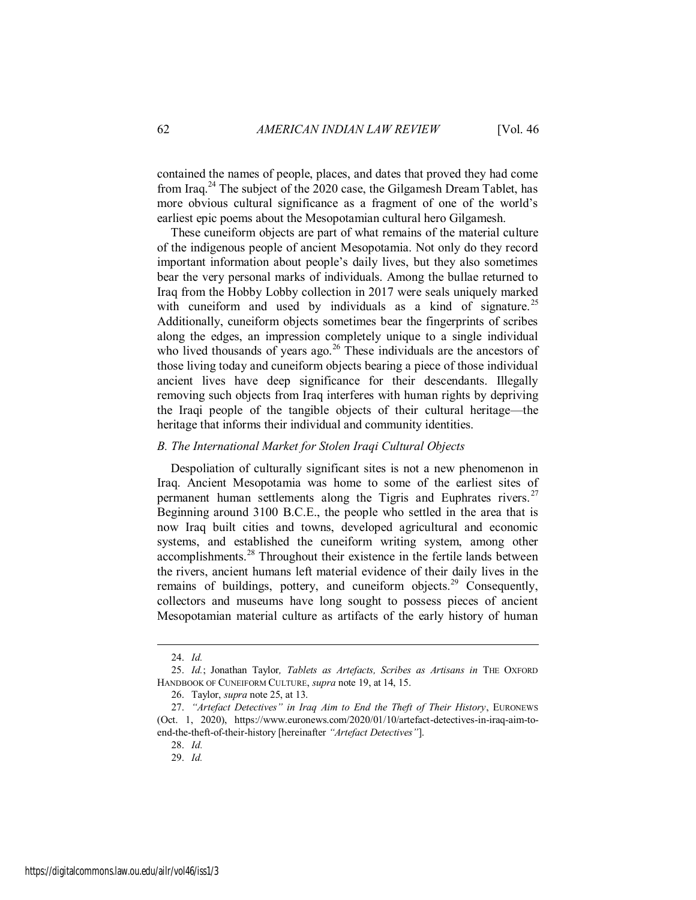contained the names of people, places, and dates that proved they had come from Iraq.<sup>24</sup> The subject of the 2020 case, the Gilgamesh Dream Tablet, has more obvious cultural significance as a fragment of one of the world's earliest epic poems about the Mesopotamian cultural hero Gilgamesh.

These cuneiform objects are part of what remains of the material culture of the indigenous people of ancient Mesopotamia. Not only do they record important information about people's daily lives, but they also sometimes bear the very personal marks of individuals. Among the bullae returned to Iraq from the Hobby Lobby collection in 2017 were seals uniquely marked with cuneiform and used by individuals as a kind of signature.<sup>25</sup> Additionally, cuneiform objects sometimes bear the fingerprints of scribes along the edges, an impression completely unique to a single individual who lived thousands of years ago.<sup>26</sup> These individuals are the ancestors of those living today and cuneiform objects bearing a piece of those individual ancient lives have deep significance for their descendants. Illegally removing such objects from Iraq interferes with human rights by depriving the Iraqi people of the tangible objects of their cultural heritage—the heritage that informs their individual and community identities.

#### *B. The International Market for Stolen Iraqi Cultural Objects*

Despoliation of culturally significant sites is not a new phenomenon in Iraq. Ancient Mesopotamia was home to some of the earliest sites of permanent human settlements along the Tigris and Euphrates rivers.<sup>27</sup> Beginning around 3100 B.C.E., the people who settled in the area that is now Iraq built cities and towns, developed agricultural and economic systems, and established the cuneiform writing system, among other accomplishments.<sup>28</sup> Throughout their existence in the fertile lands between the rivers, ancient humans left material evidence of their daily lives in the remains of buildings, pottery, and cuneiform objects.<sup>29</sup> Consequently, collectors and museums have long sought to possess pieces of ancient Mesopotamian material culture as artifacts of the early history of human

<sup>24.</sup> *Id.*

<sup>25.</sup> *Id.*; Jonathan Taylor*, Tablets as Artefacts, Scribes as Artisans in* THE OXFORD HANDBOOK OF CUNEIFORM CULTURE, *supra* note 19, at 14, 15.

<sup>26.</sup> Taylor, *supra* note 25, at 13.

<sup>27.</sup> *"Artefact Detectives" in Iraq Aim to End the Theft of Their History*, EURONEWS (Oct. 1, 2020), https://www.euronews.com/2020/01/10/artefact-detectives-in-iraq-aim-toend-the-theft-of-their-history [hereinafter *"Artefact Detectives"*].

<sup>28.</sup> *Id.* 

<sup>29.</sup> *Id.*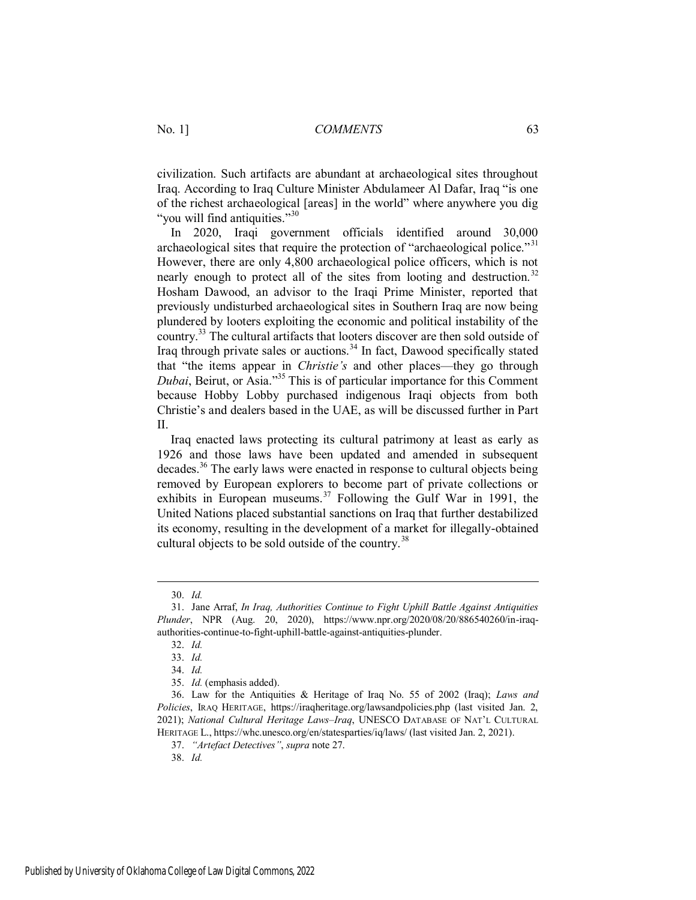civilization. Such artifacts are abundant at archaeological sites throughout Iraq. According to Iraq Culture Minister Abdulameer Al Dafar, Iraq "is one of the richest archaeological [areas] in the world" where anywhere you dig "you will find antiquities."<sup>30</sup>

In 2020, Iraqi government officials identified around 30,000 archaeological sites that require the protection of "archaeological police."<sup>31</sup> However, there are only 4,800 archaeological police officers, which is not nearly enough to protect all of the sites from looting and destruction.<sup>32</sup> Hosham Dawood, an advisor to the Iraqi Prime Minister, reported that previously undisturbed archaeological sites in Southern Iraq are now being plundered by looters exploiting the economic and political instability of the country.<sup>33</sup> The cultural artifacts that looters discover are then sold outside of Iraq through private sales or auctions.<sup>34</sup> In fact, Dawood specifically stated that "the items appear in *Christie's* and other places—they go through *Dubai*, Beirut, or Asia."<sup>35</sup> This is of particular importance for this Comment because Hobby Lobby purchased indigenous Iraqi objects from both Christie's and dealers based in the UAE, as will be discussed further in Part II.

Iraq enacted laws protecting its cultural patrimony at least as early as 1926 and those laws have been updated and amended in subsequent decades.<sup>36</sup> The early laws were enacted in response to cultural objects being removed by European explorers to become part of private collections or exhibits in European museums.<sup>37</sup> Following the Gulf War in 1991, the United Nations placed substantial sanctions on Iraq that further destabilized its economy, resulting in the development of a market for illegally-obtained cultural objects to be sold outside of the country.<sup>38</sup>

 $\overline{a}$ 

38. *Id.*

<sup>30.</sup> *Id.*

<sup>31.</sup> Jane Arraf, *In Iraq, Authorities Continue to Fight Uphill Battle Against Antiquities Plunder*, NPR (Aug. 20, 2020), https://www.npr.org/2020/08/20/886540260/in-iraqauthorities-continue-to-fight-uphill-battle-against-antiquities-plunder.

<sup>32.</sup> *Id.*

<sup>33.</sup> *Id.*

<sup>34.</sup> *Id.*

<sup>35.</sup> *Id.* (emphasis added).

<sup>36.</sup> Law for the Antiquities & Heritage of Iraq No. 55 of 2002 (Iraq); *Laws and Policies*, IRAQ HERITAGE, https://iraqheritage.org/lawsandpolicies.php (last visited Jan. 2, 2021); *National Cultural Heritage Laws–Iraq*, UNESCO DATABASE OF NAT'L CULTURAL HERITAGE L., https://whc.unesco.org/en/statesparties/iq/laws/ (last visited Jan. 2, 2021).

<sup>37.</sup> *"Artefact Detectives"*, *supra* note 27.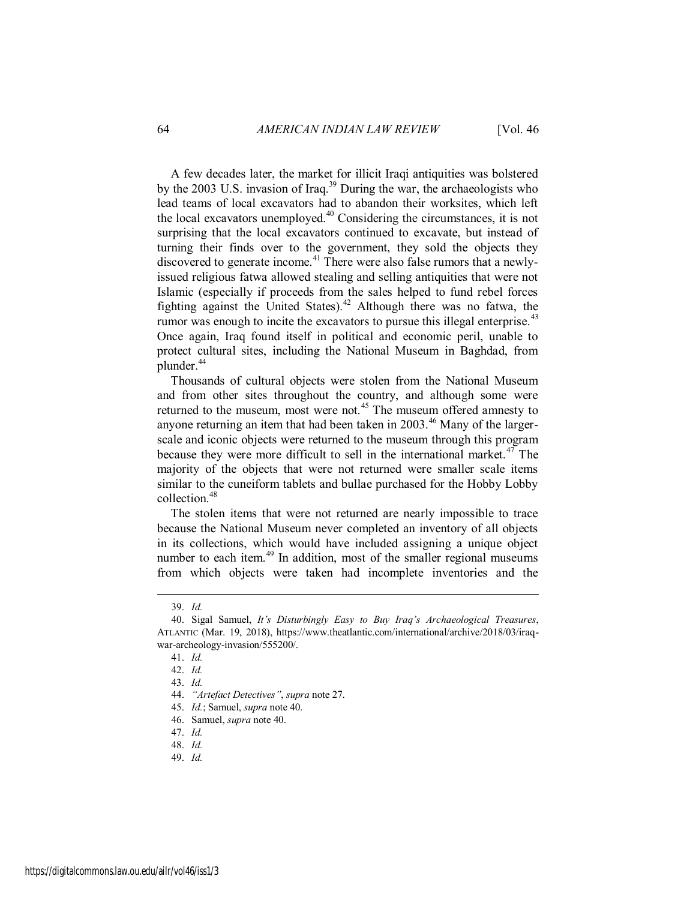A few decades later, the market for illicit Iraqi antiquities was bolstered by the 2003 U.S. invasion of Iraq.<sup>39</sup> During the war, the archaeologists who lead teams of local excavators had to abandon their worksites, which left the local excavators unemployed.<sup>40</sup> Considering the circumstances, it is not surprising that the local excavators continued to excavate, but instead of turning their finds over to the government, they sold the objects they discovered to generate income.<sup>41</sup> There were also false rumors that a newlyissued religious fatwa allowed stealing and selling antiquities that were not Islamic (especially if proceeds from the sales helped to fund rebel forces fighting against the United States).<sup>42</sup> Although there was no fatwa, the rumor was enough to incite the excavators to pursue this illegal enterprise.<sup>43</sup> Once again, Iraq found itself in political and economic peril, unable to protect cultural sites, including the National Museum in Baghdad, from plunder.<sup>44</sup>

Thousands of cultural objects were stolen from the National Museum and from other sites throughout the country, and although some were returned to the museum, most were not.<sup>45</sup> The museum offered amnesty to anyone returning an item that had been taken in 2003.<sup>46</sup> Many of the largerscale and iconic objects were returned to the museum through this program because they were more difficult to sell in the international market.<sup>47</sup> The majority of the objects that were not returned were smaller scale items similar to the cuneiform tablets and bullae purchased for the Hobby Lobby collection.<sup>48</sup>

The stolen items that were not returned are nearly impossible to trace because the National Museum never completed an inventory of all objects in its collections, which would have included assigning a unique object number to each item. $49$  In addition, most of the smaller regional museums from which objects were taken had incomplete inventories and the

<sup>39.</sup> *Id.*

<sup>40.</sup> Sigal Samuel, *It's Disturbingly Easy to Buy Iraq's Archaeological Treasures*, ATLANTIC (Mar. 19, 2018), https://www.theatlantic.com/international/archive/2018/03/iraqwar-archeology-invasion/555200/.

<sup>41.</sup> *Id.*

<sup>42.</sup> *Id.*

<sup>43.</sup> *Id.*

<sup>44.</sup> *"Artefact Detectives"*, *supra* note 27.

<sup>45.</sup> *Id.*; Samuel, *supra* note 40.

<sup>46.</sup> Samuel, *supra* note 40.

<sup>47.</sup> *Id.*

<sup>48.</sup> *Id.*

<sup>49.</sup> *Id.*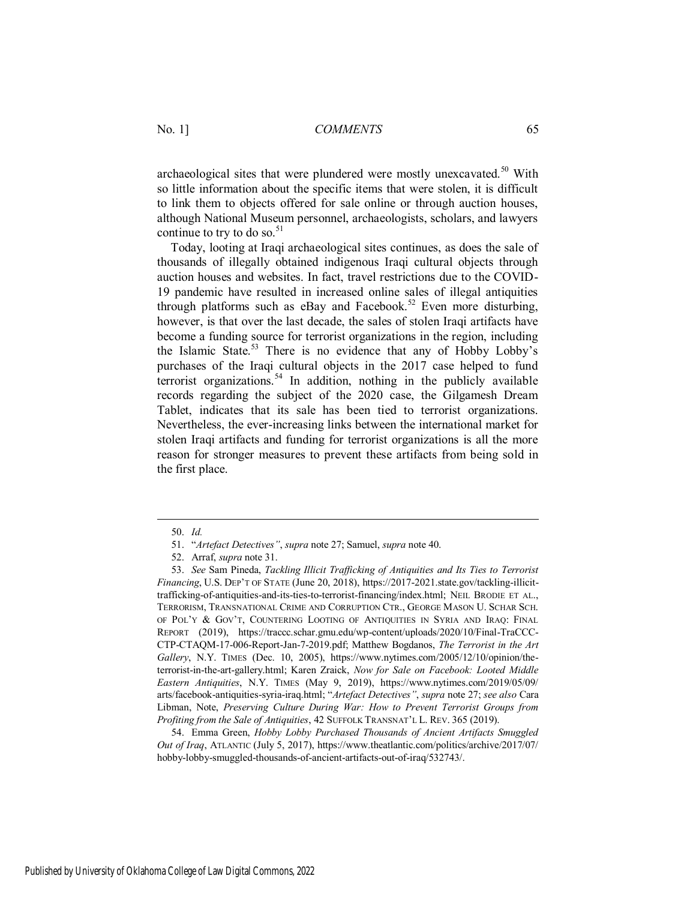archaeological sites that were plundered were mostly unexcavated.<sup>50</sup> With so little information about the specific items that were stolen, it is difficult to link them to objects offered for sale online or through auction houses, although National Museum personnel, archaeologists, scholars, and lawyers continue to try to do so. $51$ 

Today, looting at Iraqi archaeological sites continues, as does the sale of thousands of illegally obtained indigenous Iraqi cultural objects through auction houses and websites. In fact, travel restrictions due to the COVID-19 pandemic have resulted in increased online sales of illegal antiquities through platforms such as eBay and Facebook.<sup>52</sup> Even more disturbing, however, is that over the last decade, the sales of stolen Iraqi artifacts have become a funding source for terrorist organizations in the region, including the Islamic State.<sup>53</sup> There is no evidence that any of Hobby Lobby's purchases of the Iraqi cultural objects in the 2017 case helped to fund terrorist organizations.<sup>54</sup> In addition, nothing in the publicly available records regarding the subject of the 2020 case, the Gilgamesh Dream Tablet, indicates that its sale has been tied to terrorist organizations. Nevertheless, the ever-increasing links between the international market for stolen Iraqi artifacts and funding for terrorist organizations is all the more reason for stronger measures to prevent these artifacts from being sold in the first place.

 $\overline{a}$ 

54. Emma Green, *Hobby Lobby Purchased Thousands of Ancient Artifacts Smuggled Out of Iraq*, ATLANTIC (July 5, 2017), https://www.theatlantic.com/politics/archive/2017/07/ hobby-lobby-smuggled-thousands-of-ancient-artifacts-out-of-iraq/532743/.

<sup>50.</sup> *Id.*

<sup>51.</sup> "*Artefact Detectives"*, *supra* note 27; Samuel, *supra* note 40.

<sup>52.</sup> Arraf, *supra* note 31.

<sup>53.</sup> *See* Sam Pineda, *Tackling Illicit Trafficking of Antiquities and Its Ties to Terrorist Financing*, U.S. DEP'T OF STATE (June 20, 2018), https://2017-2021.state.gov/tackling-illicittrafficking-of-antiquities-and-its-ties-to-terrorist-financing/index.html; NEIL BRODIE ET AL., TERRORISM, TRANSNATIONAL CRIME AND CORRUPTION CTR., GEORGE MASON U. SCHAR SCH. OF POL'Y & GOV'T, COUNTERING LOOTING OF ANTIQUITIES IN SYRIA AND IRAQ: FINAL REPORT (2019), https://traccc.schar.gmu.edu/wp-content/uploads/2020/10/Final-TraCCC-CTP-CTAQM-17-006-Report-Jan-7-2019.pdf; Matthew Bogdanos, *The Terrorist in the Art Gallery*, N.Y. TIMES (Dec. 10, 2005), https://www.nytimes.com/2005/12/10/opinion/theterrorist-in-the-art-gallery.html; Karen Zraick, *Now for Sale on Facebook: Looted Middle Eastern Antiquities*, N.Y. TIMES (May 9, 2019), https://www.nytimes.com/2019/05/09/ arts/facebook-antiquities-syria-iraq.html; "*Artefact Detectives"*, *supra* note 27; *see also* Cara Libman, Note, *Preserving Culture During War: How to Prevent Terrorist Groups from Profiting from the Sale of Antiquities*, 42 SUFFOLK TRANSNAT'L L. REV. 365 (2019).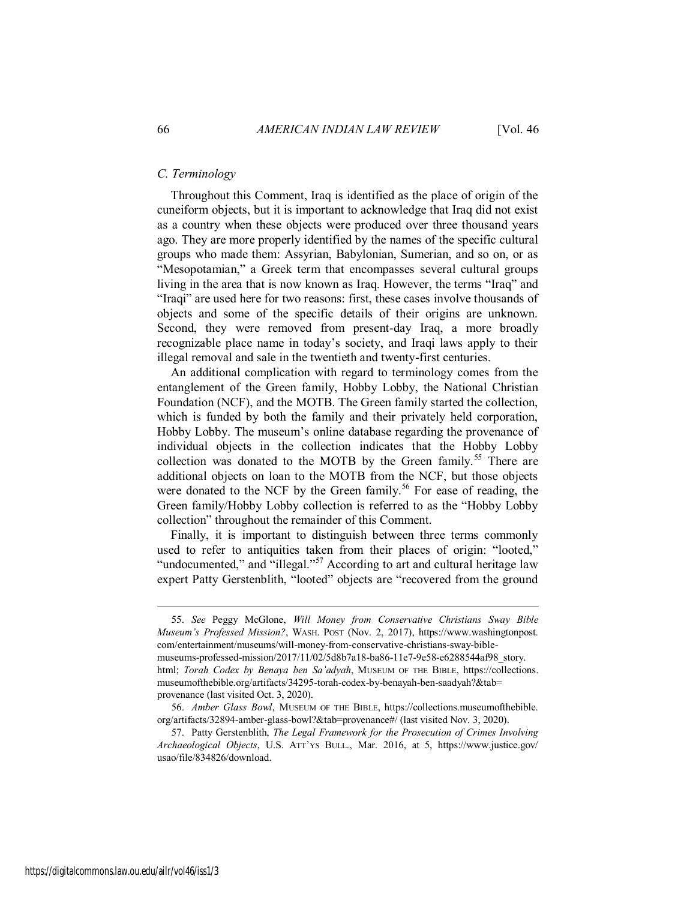#### *C. Terminology*

Throughout this Comment, Iraq is identified as the place of origin of the cuneiform objects, but it is important to acknowledge that Iraq did not exist as a country when these objects were produced over three thousand years ago. They are more properly identified by the names of the specific cultural groups who made them: Assyrian, Babylonian, Sumerian, and so on, or as "Mesopotamian," a Greek term that encompasses several cultural groups living in the area that is now known as Iraq. However, the terms "Iraq" and "Iraqi" are used here for two reasons: first, these cases involve thousands of objects and some of the specific details of their origins are unknown. Second, they were removed from present-day Iraq, a more broadly recognizable place name in today's society, and Iraqi laws apply to their illegal removal and sale in the twentieth and twenty-first centuries.

An additional complication with regard to terminology comes from the entanglement of the Green family, Hobby Lobby, the National Christian Foundation (NCF), and the MOTB. The Green family started the collection, which is funded by both the family and their privately held corporation, Hobby Lobby. The museum's online database regarding the provenance of individual objects in the collection indicates that the Hobby Lobby collection was donated to the MOTB by the Green family.<sup>55</sup> There are additional objects on loan to the MOTB from the NCF, but those objects were donated to the NCF by the Green family.<sup>56</sup> For ease of reading, the Green family/Hobby Lobby collection is referred to as the "Hobby Lobby collection" throughout the remainder of this Comment.

Finally, it is important to distinguish between three terms commonly used to refer to antiquities taken from their places of origin: "looted," "undocumented," and "illegal."<sup>57</sup> According to art and cultural heritage law expert Patty Gerstenblith, "looted" objects are "recovered from the ground

<sup>55.</sup> *See* Peggy McGlone, *Will Money from Conservative Christians Sway Bible Museum's Professed Mission?*, WASH. POST (Nov. 2, 2017), https://www.washingtonpost. com/entertainment/museums/will-money-from-conservative-christians-sway-biblemuseums-professed-mission/2017/11/02/5d8b7a18-ba86-11e7-9e58-e6288544af98\_story. html; *Torah Codex by Benaya ben Sa'adyah*, MUSEUM OF THE BIBLE, https://collections. museumofthebible.org/artifacts/34295-torah-codex-by-benayah-ben-saadyah?&tab= provenance (last visited Oct. 3, 2020).

<sup>56.</sup> *Amber Glass Bowl*, MUSEUM OF THE BIBLE, https://collections.museumofthebible. org/artifacts/32894-amber-glass-bowl?&tab=provenance#/ (last visited Nov. 3, 2020).

<sup>57.</sup> Patty Gerstenblith, *The Legal Framework for the Prosecution of Crimes Involving Archaeological Objects*, U.S. ATT'YS BULL., Mar. 2016, at 5, https://www.justice.gov/ usao/file/834826/download.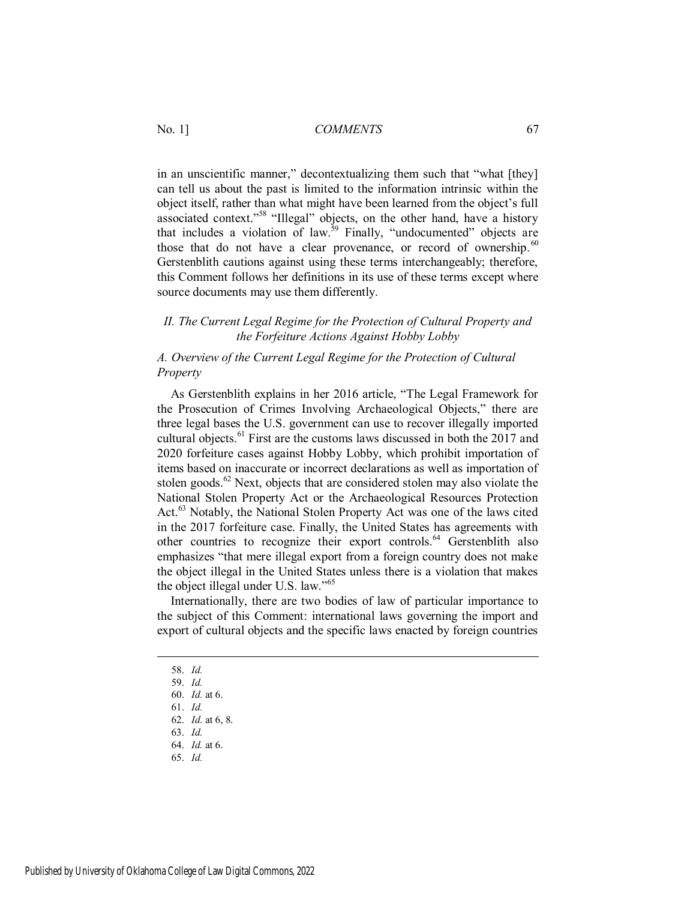in an unscientific manner," decontextualizing them such that "what [they] can tell us about the past is limited to the information intrinsic within the object itself, rather than what might have been learned from the object's full associated context."<sup>58</sup> "Illegal" objects, on the other hand, have a history that includes a violation of law.<sup>59</sup> Finally, "undocumented" objects are those that do not have a clear provenance, or record of ownership.<sup>60</sup> Gerstenblith cautions against using these terms interchangeably; therefore, this Comment follows her definitions in its use of these terms except where source documents may use them differently.

#### *II. The Current Legal Regime for the Protection of Cultural Property and the Forfeiture Actions Against Hobby Lobby*

#### *A. Overview of the Current Legal Regime for the Protection of Cultural Property*

As Gerstenblith explains in her 2016 article, "The Legal Framework for the Prosecution of Crimes Involving Archaeological Objects," there are three legal bases the U.S. government can use to recover illegally imported cultural objects.<sup>61</sup> First are the customs laws discussed in both the 2017 and 2020 forfeiture cases against Hobby Lobby, which prohibit importation of items based on inaccurate or incorrect declarations as well as importation of stolen goods. $62$  Next, objects that are considered stolen may also violate the National Stolen Property Act or the Archaeological Resources Protection Act.<sup>63</sup> Notably, the National Stolen Property Act was one of the laws cited in the 2017 forfeiture case. Finally, the United States has agreements with other countries to recognize their export controls.<sup>64</sup> Gerstenblith also emphasizes "that mere illegal export from a foreign country does not make the object illegal in the United States unless there is a violation that makes the object illegal under U.S. law."<sup>65</sup>

Internationally, there are two bodies of law of particular importance to the subject of this Comment: international laws governing the import and export of cultural objects and the specific laws enacted by foreign countries

- 62. *Id.* at 6, 8.
- 63. *Id.*
- 64. *Id.* at 6.
- 65. *Id.*

<sup>58.</sup> *Id.*

<sup>59.</sup> *Id.*

<sup>60.</sup> *Id.* at 6.

<sup>61.</sup> *Id.*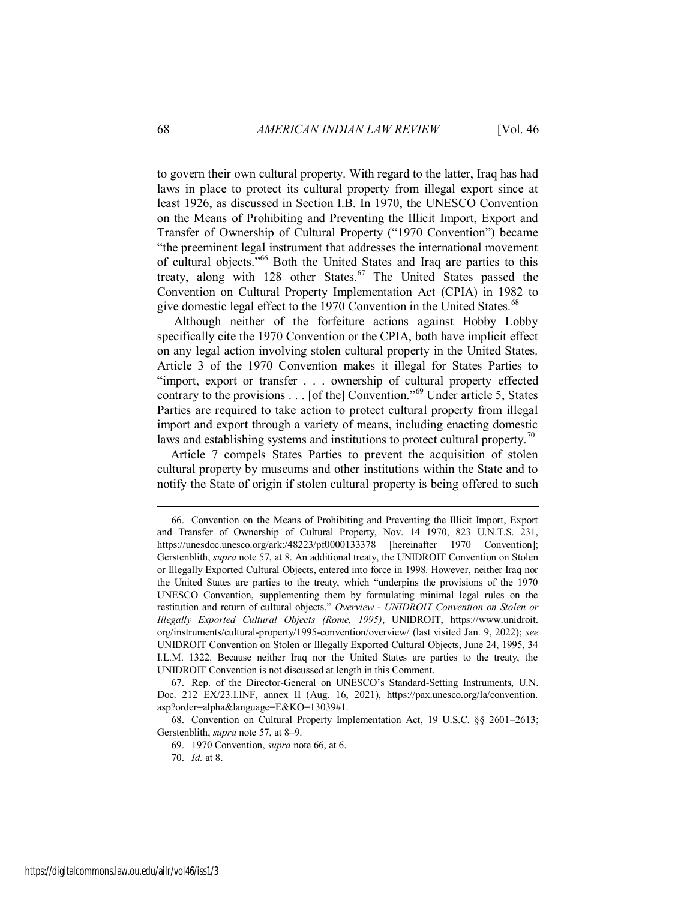to govern their own cultural property. With regard to the latter, Iraq has had laws in place to protect its cultural property from illegal export since at least 1926, as discussed in Section I.B. In 1970, the UNESCO Convention on the Means of Prohibiting and Preventing the Illicit Import, Export and Transfer of Ownership of Cultural Property ("1970 Convention") became "the preeminent legal instrument that addresses the international movement of cultural objects."<sup>66</sup> Both the United States and Iraq are parties to this treaty, along with 128 other States.<sup>67</sup> The United States passed the Convention on Cultural Property Implementation Act (CPIA) in 1982 to give domestic legal effect to the 1970 Convention in the United States.<sup>68</sup>

 Although neither of the forfeiture actions against Hobby Lobby specifically cite the 1970 Convention or the CPIA, both have implicit effect on any legal action involving stolen cultural property in the United States. Article 3 of the 1970 Convention makes it illegal for States Parties to "import, export or transfer . . . ownership of cultural property effected contrary to the provisions . . . [of the] Convention."<sup>69</sup> Under article 5, States Parties are required to take action to protect cultural property from illegal import and export through a variety of means, including enacting domestic laws and establishing systems and institutions to protect cultural property.<sup>70</sup>

Article 7 compels States Parties to prevent the acquisition of stolen cultural property by museums and other institutions within the State and to notify the State of origin if stolen cultural property is being offered to such

<sup>66.</sup> Convention on the Means of Prohibiting and Preventing the Illicit Import, Export and Transfer of Ownership of Cultural Property, Nov. 14 1970, 823 U.N.T.S. 231, https://unesdoc.unesco.org/ark:/48223/pf0000133378 [hereinafter 1970 Convention]; Gerstenblith, *supra* note 57, at 8. An additional treaty, the UNIDROIT Convention on Stolen or Illegally Exported Cultural Objects, entered into force in 1998. However, neither Iraq nor the United States are parties to the treaty, which "underpins the provisions of the 1970 UNESCO Convention, supplementing them by formulating minimal legal rules on the restitution and return of cultural objects." *Overview - UNIDROIT Convention on Stolen or Illegally Exported Cultural Objects (Rome, 1995)*, UNIDROIT, https://www.unidroit. org/instruments/cultural-property/1995-convention/overview/ (last visited Jan. 9, 2022); *see* UNIDROIT Convention on Stolen or Illegally Exported Cultural Objects, June 24, 1995, 34 I.L.M. 1322. Because neither Iraq nor the United States are parties to the treaty, the UNIDROIT Convention is not discussed at length in this Comment.

<sup>67.</sup> Rep. of the Director-General on UNESCO's Standard-Setting Instruments, U.N. Doc. 212 EX/23.I.INF, annex II (Aug. 16, 2021), https://pax.unesco.org/la/convention. asp?order=alpha&language=E&KO=13039#1.

<sup>68.</sup> Convention on Cultural Property Implementation Act, 19 U.S.C. §§ 2601–2613; Gerstenblith, *supra* note 57, at 8–9.

<sup>69. 1970</sup> Convention, *supra* note 66, at 6.

<sup>70.</sup> *Id.* at 8.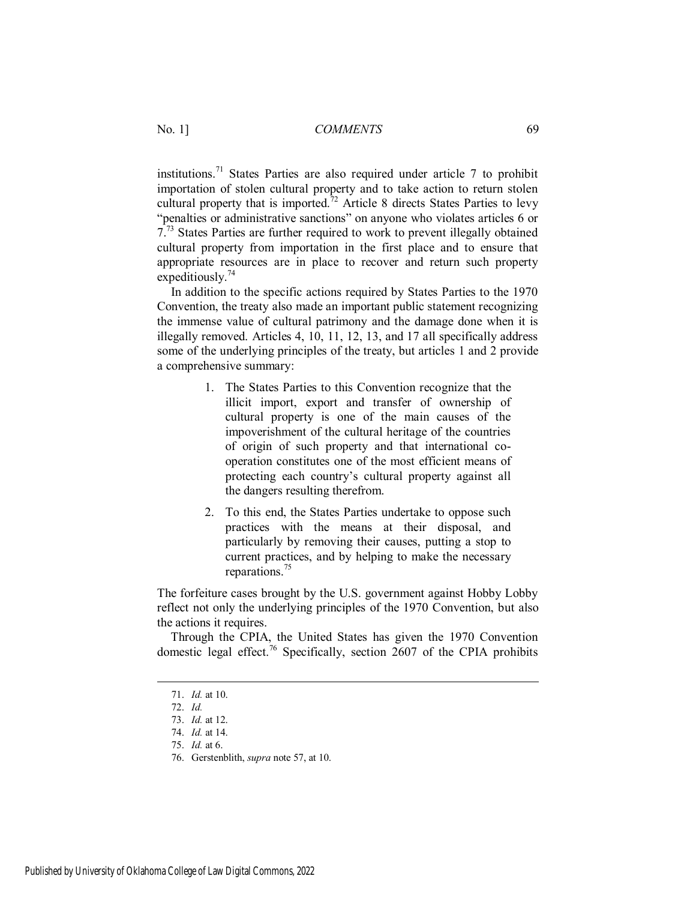institutions.<sup>71</sup> States Parties are also required under article 7 to prohibit importation of stolen cultural property and to take action to return stolen cultural property that is imported.<sup>72</sup> Article 8 directs States Parties to levy "penalties or administrative sanctions" on anyone who violates articles 6 or 7.<sup>73</sup> States Parties are further required to work to prevent illegally obtained cultural property from importation in the first place and to ensure that appropriate resources are in place to recover and return such property expeditiously.<sup>74</sup>

In addition to the specific actions required by States Parties to the 1970 Convention, the treaty also made an important public statement recognizing the immense value of cultural patrimony and the damage done when it is illegally removed. Articles 4, 10, 11, 12, 13, and 17 all specifically address some of the underlying principles of the treaty, but articles 1 and 2 provide a comprehensive summary:

- 1. The States Parties to this Convention recognize that the illicit import, export and transfer of ownership of cultural property is one of the main causes of the impoverishment of the cultural heritage of the countries of origin of such property and that international cooperation constitutes one of the most efficient means of protecting each country's cultural property against all the dangers resulting therefrom.
- 2. To this end, the States Parties undertake to oppose such practices with the means at their disposal, and particularly by removing their causes, putting a stop to current practices, and by helping to make the necessary reparations.<sup>75</sup>

The forfeiture cases brought by the U.S. government against Hobby Lobby reflect not only the underlying principles of the 1970 Convention, but also the actions it requires.

Through the CPIA, the United States has given the 1970 Convention domestic legal effect.<sup>76</sup> Specifically, section 2607 of the CPIA prohibits

<sup>71.</sup> *Id.* at 10.

<sup>72.</sup> *Id.*

<sup>73.</sup> *Id.* at 12.

<sup>74.</sup> *Id.* at 14.

<sup>75.</sup> *Id.* at 6.

<sup>76.</sup> Gerstenblith, *supra* note 57, at 10.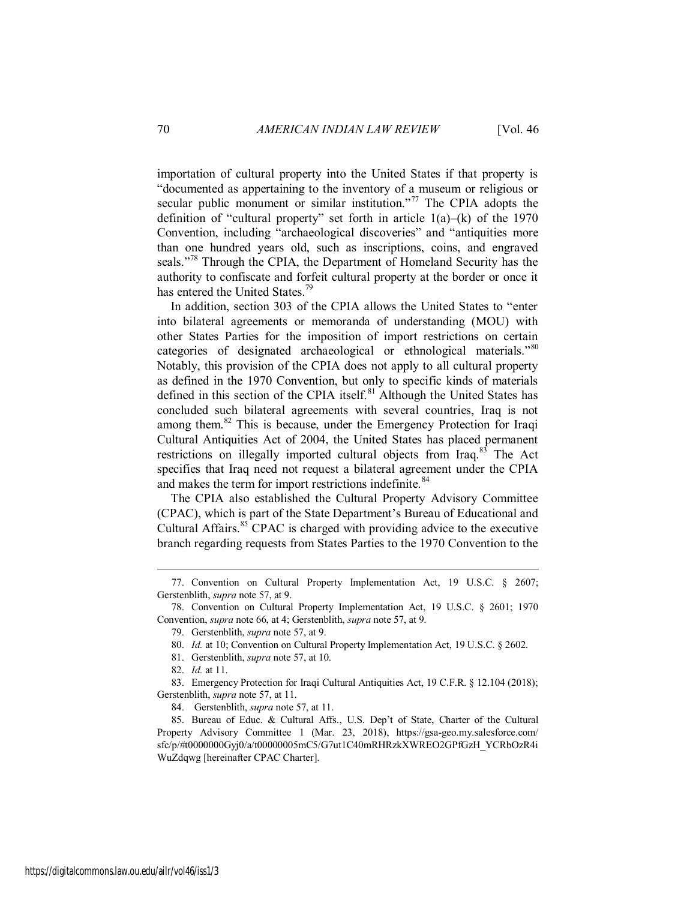importation of cultural property into the United States if that property is "documented as appertaining to the inventory of a museum or religious or secular public monument or similar institution."<sup>77</sup> The CPIA adopts the definition of "cultural property" set forth in article  $1(a)$ – $(k)$  of the 1970 Convention, including "archaeological discoveries" and "antiquities more than one hundred years old, such as inscriptions, coins, and engraved seals."<sup>78</sup> Through the CPIA, the Department of Homeland Security has the authority to confiscate and forfeit cultural property at the border or once it has entered the United States.<sup>79</sup>

In addition, section 303 of the CPIA allows the United States to "enter into bilateral agreements or memoranda of understanding (MOU) with other States Parties for the imposition of import restrictions on certain categories of designated archaeological or ethnological materials."<sup>80</sup> Notably, this provision of the CPIA does not apply to all cultural property as defined in the 1970 Convention, but only to specific kinds of materials defined in this section of the CPIA itself.<sup>81</sup> Although the United States has concluded such bilateral agreements with several countries, Iraq is not among them.<sup>82</sup> This is because, under the Emergency Protection for Iraqi Cultural Antiquities Act of 2004, the United States has placed permanent restrictions on illegally imported cultural objects from Iraq.<sup>83</sup> The Act specifies that Iraq need not request a bilateral agreement under the CPIA and makes the term for import restrictions indefinite.<sup>84</sup>

The CPIA also established the Cultural Property Advisory Committee (CPAC), which is part of the State Department's Bureau of Educational and Cultural Affairs.<sup>85</sup> CPAC is charged with providing advice to the executive branch regarding requests from States Parties to the 1970 Convention to the

<sup>77.</sup> Convention on Cultural Property Implementation Act, 19 U.S.C. § 2607; Gerstenblith, *supra* note 57, at 9.

<sup>78.</sup> Convention on Cultural Property Implementation Act, 19 U.S.C. § 2601; 1970 Convention, *supra* note 66, at 4; Gerstenblith, *supra* note 57, at 9.

<sup>79.</sup> Gerstenblith, *supra* note 57, at 9.

<sup>80.</sup> *Id.* at 10; Convention on Cultural Property Implementation Act, 19 U.S.C. § 2602.

<sup>81.</sup> Gerstenblith, *supra* note 57, at 10.

<sup>82.</sup> *Id.* at 11.

<sup>83.</sup> Emergency Protection for Iraqi Cultural Antiquities Act, 19 C.F.R. § 12.104 (2018); Gerstenblith, *supra* note 57, at 11.

<sup>84.</sup> Gerstenblith, *supra* note 57, at 11.

<sup>85.</sup> Bureau of Educ. & Cultural Affs., U.S. Dep't of State, Charter of the Cultural Property Advisory Committee 1 (Mar. 23, 2018), https://gsa-geo.my.salesforce.com/ sfc/p/#t0000000Gyj0/a/t00000005mC5/G7ut1C40mRHRzkXWREO2GPfGzH\_YCRbOzR4i WuZdqwg [hereinafter CPAC Charter].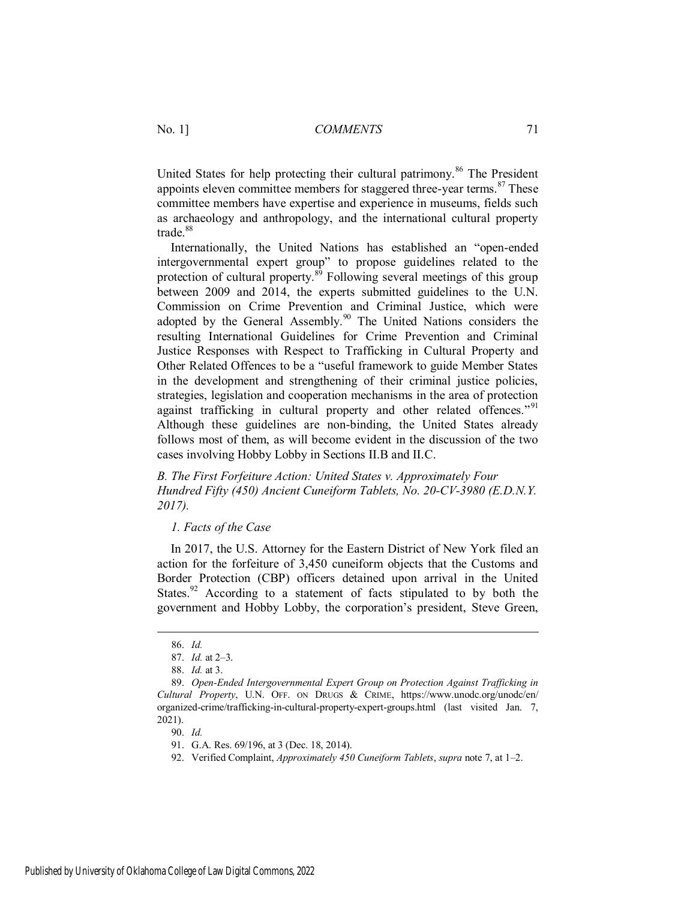United States for help protecting their cultural patrimony.<sup>86</sup> The President appoints eleven committee members for staggered three-year terms. $87$  These committee members have expertise and experience in museums, fields such as archaeology and anthropology, and the international cultural property trade.<sup>88</sup>

Internationally, the United Nations has established an "open-ended intergovernmental expert group" to propose guidelines related to the protection of cultural property. $89$  Following several meetings of this group between 2009 and 2014, the experts submitted guidelines to the U.N. Commission on Crime Prevention and Criminal Justice, which were adopted by the General Assembly.<sup>90</sup> The United Nations considers the resulting International Guidelines for Crime Prevention and Criminal Justice Responses with Respect to Trafficking in Cultural Property and Other Related Offences to be a "useful framework to guide Member States in the development and strengthening of their criminal justice policies, strategies, legislation and cooperation mechanisms in the area of protection against trafficking in cultural property and other related offences."<sup>91</sup> Although these guidelines are non-binding, the United States already follows most of them, as will become evident in the discussion of the two cases involving Hobby Lobby in Sections II.B and II.C.

*B. The First Forfeiture Action: United States v. Approximately Four Hundred Fifty (450) Ancient Cuneiform Tablets, No. 20-CV-3980 (E.D.N.Y. 2017).* 

*1. Facts of the Case* 

In 2017, the U.S. Attorney for the Eastern District of New York filed an action for the forfeiture of 3,450 cuneiform objects that the Customs and Border Protection (CBP) officers detained upon arrival in the United States.<sup>92</sup> According to a statement of facts stipulated to by both the government and Hobby Lobby, the corporation's president, Steve Green,

 $\overline{a}$ 

90. *Id.*

<sup>86.</sup> *Id.*

<sup>87.</sup> *Id.* at 2–3.

<sup>88.</sup> *Id.* at 3.

<sup>89.</sup> *Open-Ended Intergovernmental Expert Group on Protection Against Trafficking in Cultural Property*, U.N. OFF. ON DRUGS & CRIME, https://www.unodc.org/unodc/en/ organized-crime/trafficking-in-cultural-property-expert-groups.html (last visited Jan. 7, 2021).

<sup>91.</sup> G.A. Res. 69/196, at 3 (Dec. 18, 2014).

<sup>92.</sup> Verified Complaint, *Approximately 450 Cuneiform Tablets*, *supra* note 7, at 1–2.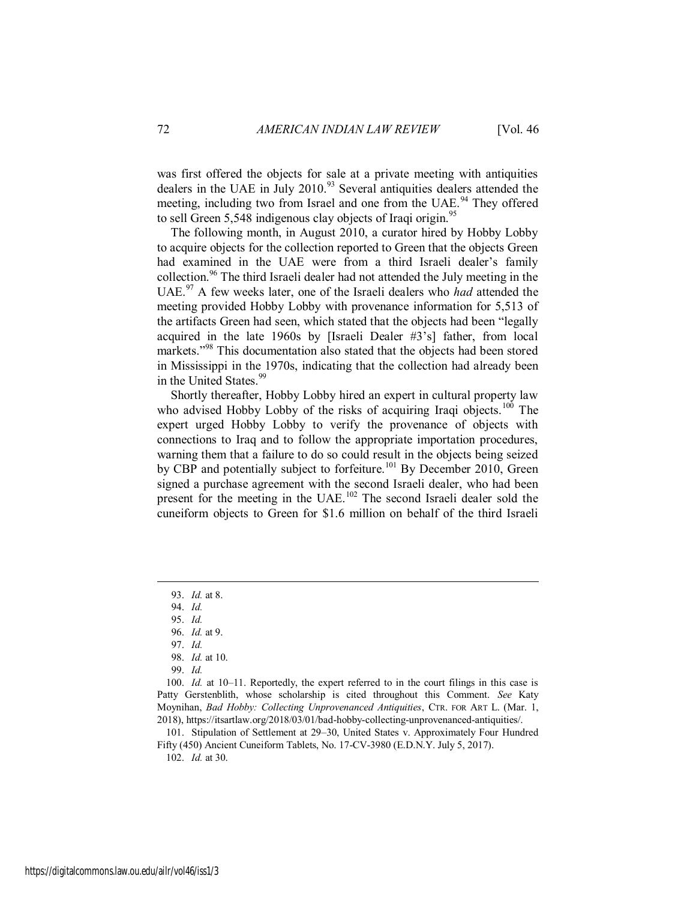was first offered the objects for sale at a private meeting with antiquities dealers in the UAE in July 2010.<sup>93</sup> Several antiquities dealers attended the meeting, including two from Israel and one from the UAE.<sup>94</sup> They offered to sell Green 5,548 indigenous clay objects of Iraqi origin.<sup>95</sup>

The following month, in August 2010, a curator hired by Hobby Lobby to acquire objects for the collection reported to Green that the objects Green had examined in the UAE were from a third Israeli dealer's family collection.<sup>96</sup> The third Israeli dealer had not attended the July meeting in the UAE.<sup>97</sup> A few weeks later, one of the Israeli dealers who *had* attended the meeting provided Hobby Lobby with provenance information for 5,513 of the artifacts Green had seen, which stated that the objects had been "legally acquired in the late 1960s by [Israeli Dealer #3's] father, from local markets."<sup>98</sup> This documentation also stated that the objects had been stored in Mississippi in the 1970s, indicating that the collection had already been in the United States.<sup>99</sup>

Shortly thereafter, Hobby Lobby hired an expert in cultural property law who advised Hobby Lobby of the risks of acquiring Iraqi objects.<sup>100</sup> The expert urged Hobby Lobby to verify the provenance of objects with connections to Iraq and to follow the appropriate importation procedures, warning them that a failure to do so could result in the objects being seized by CBP and potentially subject to forfeiture.<sup>101</sup> By December 2010, Green signed a purchase agreement with the second Israeli dealer, who had been present for the meeting in the UAE.<sup>102</sup> The second Israeli dealer sold the cuneiform objects to Green for \$1.6 million on behalf of the third Israeli

 $\overline{a}$ 

101. Stipulation of Settlement at 29–30, United States v. Approximately Four Hundred Fifty (450) Ancient Cuneiform Tablets, No. 17-CV-3980 (E.D.N.Y. July 5, 2017).

102. *Id.* at 30.

<sup>93.</sup> *Id.* at 8.

<sup>94.</sup> *Id.*

<sup>95.</sup> *Id.*

<sup>96.</sup> *Id.* at 9.

<sup>97.</sup> *Id.*

<sup>98.</sup> *Id.* at 10.

<sup>99.</sup> *Id.*

<sup>100.</sup> *Id.* at 10–11. Reportedly, the expert referred to in the court filings in this case is Patty Gerstenblith, whose scholarship is cited throughout this Comment. *See* Katy Moynihan, *Bad Hobby: Collecting Unprovenanced Antiquities*, CTR. FOR ART L. (Mar. 1, 2018), https://itsartlaw.org/2018/03/01/bad-hobby-collecting-unprovenanced-antiquities/.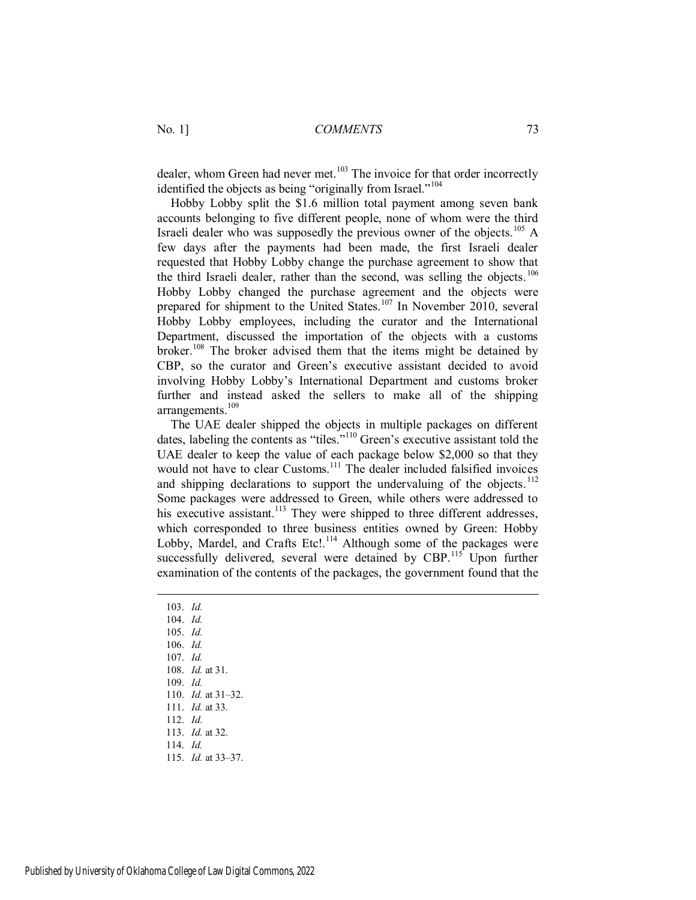dealer, whom Green had never met. $103$  The invoice for that order incorrectly identified the objects as being "originally from Israel."<sup>104</sup>

Hobby Lobby split the \$1.6 million total payment among seven bank accounts belonging to five different people, none of whom were the third Israeli dealer who was supposedly the previous owner of the objects.<sup>105</sup> A few days after the payments had been made, the first Israeli dealer requested that Hobby Lobby change the purchase agreement to show that the third Israeli dealer, rather than the second, was selling the objects.<sup>106</sup> Hobby Lobby changed the purchase agreement and the objects were prepared for shipment to the United States.<sup>107</sup> In November 2010, several Hobby Lobby employees, including the curator and the International Department, discussed the importation of the objects with a customs broker.<sup>108</sup> The broker advised them that the items might be detained by CBP, so the curator and Green's executive assistant decided to avoid involving Hobby Lobby's International Department and customs broker further and instead asked the sellers to make all of the shipping arrangements.<sup>109</sup>

The UAE dealer shipped the objects in multiple packages on different dates, labeling the contents as "tiles."<sup>110</sup> Green's executive assistant told the UAE dealer to keep the value of each package below \$2,000 so that they would not have to clear Customs.<sup>111</sup> The dealer included falsified invoices and shipping declarations to support the undervaluing of the objects.<sup>112</sup> Some packages were addressed to Green, while others were addressed to his executive assistant.<sup>113</sup> They were shipped to three different addresses, which corresponded to three business entities owned by Green: Hobby Lobby, Mardel, and Crafts Etc!.<sup>114</sup> Although some of the packages were successfully delivered, several were detained by CBP.<sup>115</sup> Upon further examination of the contents of the packages, the government found that the

103. *Id.* 104. *Id.* 105. *Id.* 106. *Id.* 107. *Id.* 108. *Id.* at 31. 109. *Id.* 110. *Id.* at 31–32. 111. *Id.* at 33. 112. *Id.* 113. *Id.* at 32. 114. *Id.* 115. *Id.* at 33–37.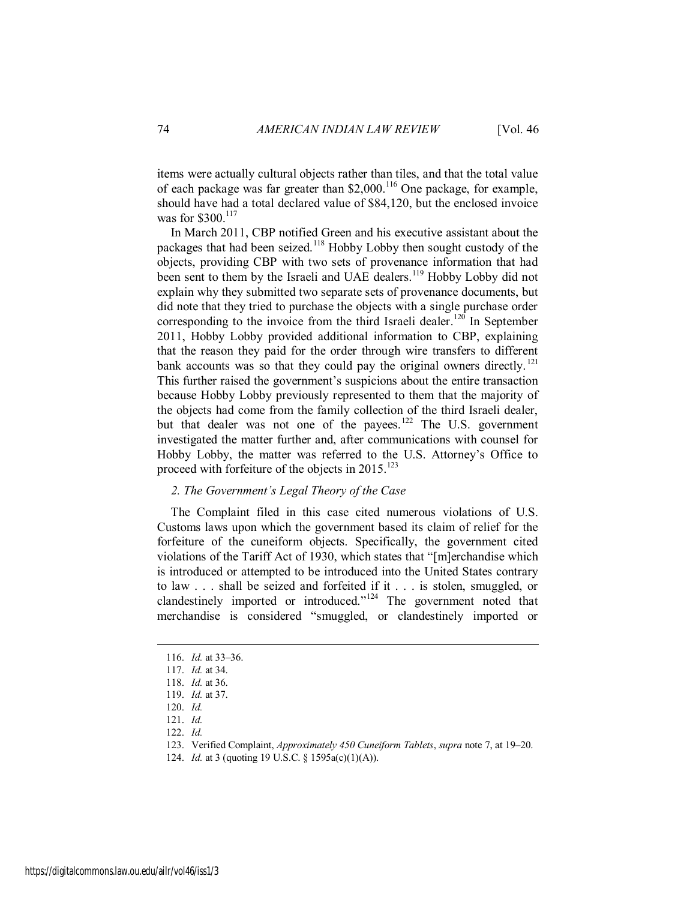items were actually cultural objects rather than tiles, and that the total value of each package was far greater than  $$2,000$ .<sup>116</sup> One package, for example, should have had a total declared value of \$84,120, but the enclosed invoice was for \$300.<sup>117</sup>

In March 2011, CBP notified Green and his executive assistant about the packages that had been seized.<sup>118</sup> Hobby Lobby then sought custody of the objects, providing CBP with two sets of provenance information that had been sent to them by the Israeli and UAE dealers.<sup>119</sup> Hobby Lobby did not explain why they submitted two separate sets of provenance documents, but did note that they tried to purchase the objects with a single purchase order corresponding to the invoice from the third Israeli dealer.<sup>120</sup> In September 2011, Hobby Lobby provided additional information to CBP, explaining that the reason they paid for the order through wire transfers to different bank accounts was so that they could pay the original owners directly.  $^{121}$ This further raised the government's suspicions about the entire transaction because Hobby Lobby previously represented to them that the majority of the objects had come from the family collection of the third Israeli dealer, but that dealer was not one of the payees.<sup>122</sup> The U.S. government investigated the matter further and, after communications with counsel for Hobby Lobby, the matter was referred to the U.S. Attorney's Office to proceed with forfeiture of the objects in  $2015$ <sup>123</sup>

#### *2. The Government's Legal Theory of the Case*

The Complaint filed in this case cited numerous violations of U.S. Customs laws upon which the government based its claim of relief for the forfeiture of the cuneiform objects. Specifically, the government cited violations of the Tariff Act of 1930, which states that "[m]erchandise which is introduced or attempted to be introduced into the United States contrary to law . . . shall be seized and forfeited if it . . . is stolen, smuggled, or clandestinely imported or introduced."<sup>124</sup> The government noted that merchandise is considered "smuggled, or clandestinely imported or

<sup>116.</sup> *Id.* at 33–36.

<sup>117.</sup> *Id.* at 34.

<sup>118.</sup> *Id.* at 36.

<sup>119.</sup> *Id.* at 37.

<sup>120.</sup> *Id.*

<sup>121.</sup> *Id.*

<sup>122.</sup> *Id.*

<sup>123.</sup> Verified Complaint, *Approximately 450 Cuneiform Tablets*, *supra* note 7, at 19–20.

<sup>124.</sup> *Id.* at 3 (quoting 19 U.S.C. § 1595a(c)(1)(A)).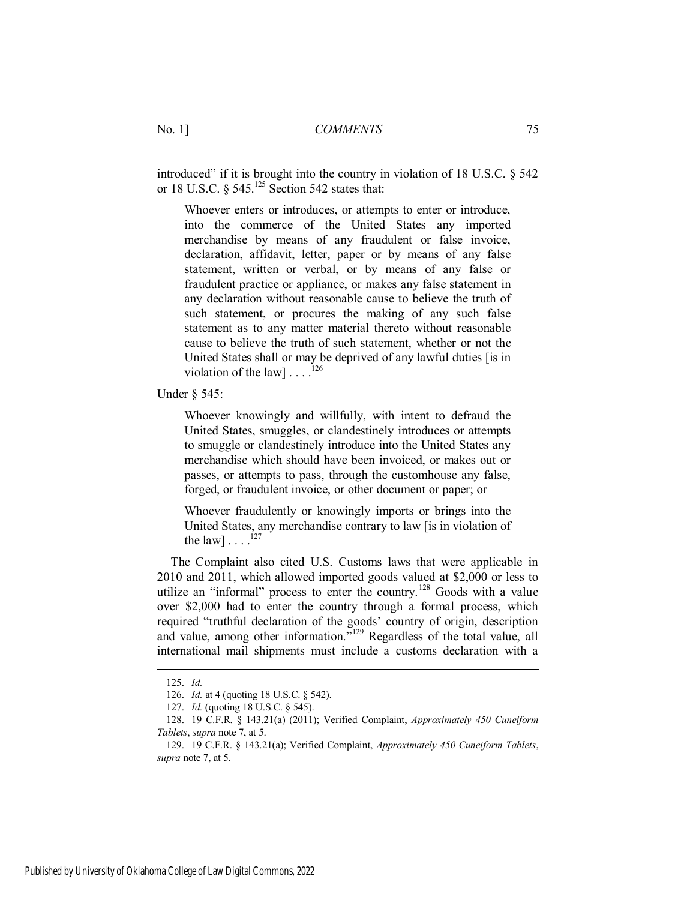introduced" if it is brought into the country in violation of 18 U.S.C. § 542 or 18 U.S.C. § 545.<sup>125</sup> Section 542 states that:

Whoever enters or introduces, or attempts to enter or introduce, into the commerce of the United States any imported merchandise by means of any fraudulent or false invoice, declaration, affidavit, letter, paper or by means of any false statement, written or verbal, or by means of any false or fraudulent practice or appliance, or makes any false statement in any declaration without reasonable cause to believe the truth of such statement, or procures the making of any such false statement as to any matter material thereto without reasonable cause to believe the truth of such statement, whether or not the United States shall or may be deprived of any lawful duties [is in violation of the law  $\left[ \ldots \right]^{126}$ 

Under § 545:

Whoever knowingly and willfully, with intent to defraud the United States, smuggles, or clandestinely introduces or attempts to smuggle or clandestinely introduce into the United States any merchandise which should have been invoiced, or makes out or passes, or attempts to pass, through the customhouse any false, forged, or fraudulent invoice, or other document or paper; or

Whoever fraudulently or knowingly imports or brings into the United States, any merchandise contrary to law [is in violation of the law]  $\dots$ .<sup>127</sup>

The Complaint also cited U.S. Customs laws that were applicable in 2010 and 2011, which allowed imported goods valued at \$2,000 or less to utilize an "informal" process to enter the country.<sup>128</sup> Goods with a value over \$2,000 had to enter the country through a formal process, which required "truthful declaration of the goods' country of origin, description and value, among other information.<sup>7129</sup> Regardless of the total value, all international mail shipments must include a customs declaration with a

<sup>125.</sup> *Id.*

<sup>126.</sup> *Id.* at 4 (quoting 18 U.S.C. § 542).

<sup>127.</sup> *Id.* (quoting 18 U.S.C. § 545).

<sup>128. 19</sup> C.F.R. § 143.21(a) (2011); Verified Complaint, *Approximately 450 Cuneiform Tablets*, *supra* note 7, at 5.

<sup>129. 19</sup> C.F.R. § 143.21(a); Verified Complaint, *Approximately 450 Cuneiform Tablets*, *supra* note 7, at 5.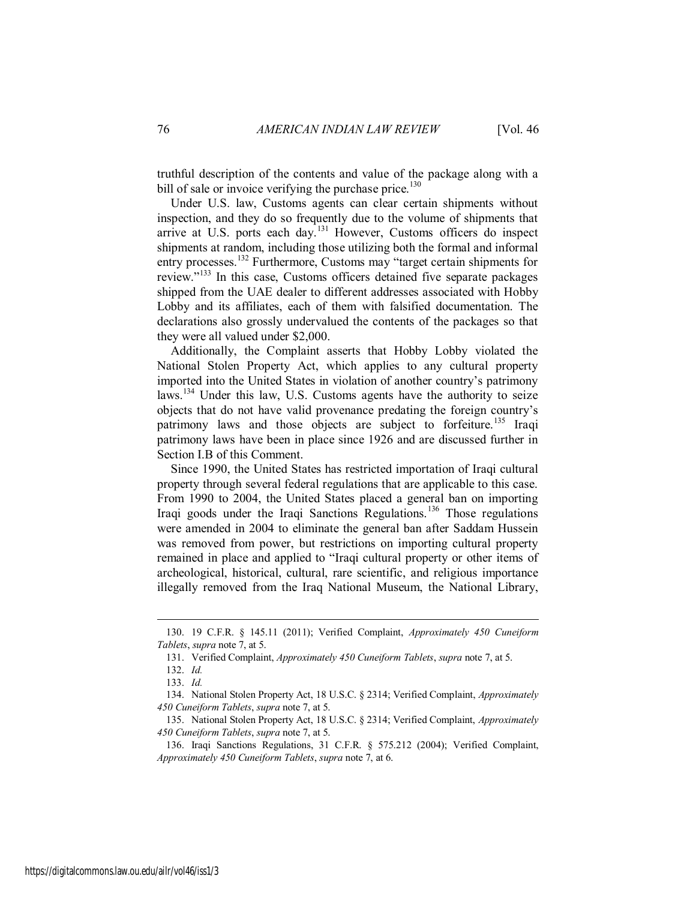truthful description of the contents and value of the package along with a bill of sale or invoice verifying the purchase price.<sup>130</sup>

Under U.S. law, Customs agents can clear certain shipments without inspection, and they do so frequently due to the volume of shipments that arrive at U.S. ports each day.<sup>131</sup> However, Customs officers do inspect shipments at random, including those utilizing both the formal and informal entry processes.<sup>132</sup> Furthermore, Customs may "target certain shipments for review."<sup>133</sup> In this case, Customs officers detained five separate packages shipped from the UAE dealer to different addresses associated with Hobby Lobby and its affiliates, each of them with falsified documentation. The declarations also grossly undervalued the contents of the packages so that they were all valued under \$2,000.

Additionally, the Complaint asserts that Hobby Lobby violated the National Stolen Property Act, which applies to any cultural property imported into the United States in violation of another country's patrimony laws.<sup>134</sup> Under this law, U.S. Customs agents have the authority to seize objects that do not have valid provenance predating the foreign country's patrimony laws and those objects are subject to forfeiture.<sup>135</sup> Iraqi patrimony laws have been in place since 1926 and are discussed further in Section I.B of this Comment.

Since 1990, the United States has restricted importation of Iraqi cultural property through several federal regulations that are applicable to this case. From 1990 to 2004, the United States placed a general ban on importing Iraqi goods under the Iraqi Sanctions Regulations.<sup>136</sup> Those regulations were amended in 2004 to eliminate the general ban after Saddam Hussein was removed from power, but restrictions on importing cultural property remained in place and applied to "Iraqi cultural property or other items of archeological, historical, cultural, rare scientific, and religious importance illegally removed from the Iraq National Museum, the National Library,

<sup>130. 19</sup> C.F.R. § 145.11 (2011); Verified Complaint, *Approximately 450 Cuneiform Tablets*, *supra* note 7, at 5.

<sup>131.</sup> Verified Complaint, *Approximately 450 Cuneiform Tablets*, *supra* note 7, at 5.

<sup>132.</sup> *Id.*

<sup>133.</sup> *Id.*

<sup>134.</sup> National Stolen Property Act, 18 U.S.C. § 2314; Verified Complaint, *Approximately 450 Cuneiform Tablets*, *supra* note 7, at 5.

<sup>135.</sup> National Stolen Property Act, 18 U.S.C. § 2314; Verified Complaint, *Approximately 450 Cuneiform Tablets*, *supra* note 7, at 5.

<sup>136.</sup> Iraqi Sanctions Regulations, 31 C.F.R. § 575.212 (2004); Verified Complaint, *Approximately 450 Cuneiform Tablets*, *supra* note 7, at 6.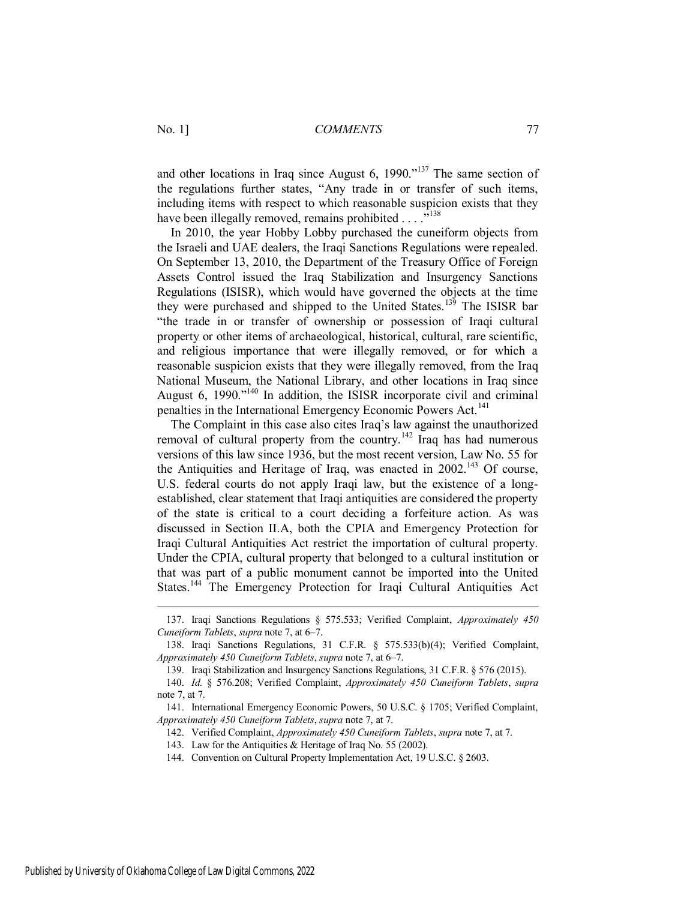and other locations in Iraq since August 6,  $1990.^{137}$  The same section of the regulations further states, "Any trade in or transfer of such items, including items with respect to which reasonable suspicion exists that they have been illegally removed, remains prohibited  $\ldots$ <sup>5138</sup>

In 2010, the year Hobby Lobby purchased the cuneiform objects from the Israeli and UAE dealers, the Iraqi Sanctions Regulations were repealed. On September 13, 2010, the Department of the Treasury Office of Foreign Assets Control issued the Iraq Stabilization and Insurgency Sanctions Regulations (ISISR), which would have governed the objects at the time they were purchased and shipped to the United States.<sup>139</sup> The ISISR bar "the trade in or transfer of ownership or possession of Iraqi cultural property or other items of archaeological, historical, cultural, rare scientific, and religious importance that were illegally removed, or for which a reasonable suspicion exists that they were illegally removed, from the Iraq National Museum, the National Library, and other locations in Iraq since August 6, 1990.<sup> $n_{140}$ </sup> In addition, the ISISR incorporate civil and criminal penalties in the International Emergency Economic Powers Act.<sup>141</sup>

The Complaint in this case also cites Iraq's law against the unauthorized removal of cultural property from the country.<sup>142</sup> Iraq has had numerous versions of this law since 1936, but the most recent version, Law No. 55 for the Antiquities and Heritage of Iraq, was enacted in  $2002$ <sup>143</sup> Of course, U.S. federal courts do not apply Iraqi law, but the existence of a longestablished, clear statement that Iraqi antiquities are considered the property of the state is critical to a court deciding a forfeiture action. As was discussed in Section II.A, both the CPIA and Emergency Protection for Iraqi Cultural Antiquities Act restrict the importation of cultural property. Under the CPIA, cultural property that belonged to a cultural institution or that was part of a public monument cannot be imported into the United States.<sup>144</sup> The Emergency Protection for Iraqi Cultural Antiquities Act

<sup>137.</sup> Iraqi Sanctions Regulations § 575.533; Verified Complaint, *Approximately 450 Cuneiform Tablets*, *supra* note 7, at 6–7.

<sup>138.</sup> Iraqi Sanctions Regulations, 31 C.F.R. § 575.533(b)(4); Verified Complaint, *Approximately 450 Cuneiform Tablets*, *supra* note 7, at 6–7.

<sup>139.</sup> Iraqi Stabilization and Insurgency Sanctions Regulations, 31 C.F.R. § 576 (2015).

<sup>140.</sup> *Id.* § 576.208; Verified Complaint, *Approximately 450 Cuneiform Tablets*, *supra* note 7, at 7.

<sup>141.</sup> International Emergency Economic Powers, 50 U.S.C. § 1705; Verified Complaint, *Approximately 450 Cuneiform Tablets*, *supra* note 7, at 7.

<sup>142.</sup> Verified Complaint, *Approximately 450 Cuneiform Tablets*, *supra* note 7, at 7.

<sup>143.</sup> Law for the Antiquities & Heritage of Iraq No. 55 (2002).

<sup>144.</sup> Convention on Cultural Property Implementation Act, 19 U.S.C. § 2603.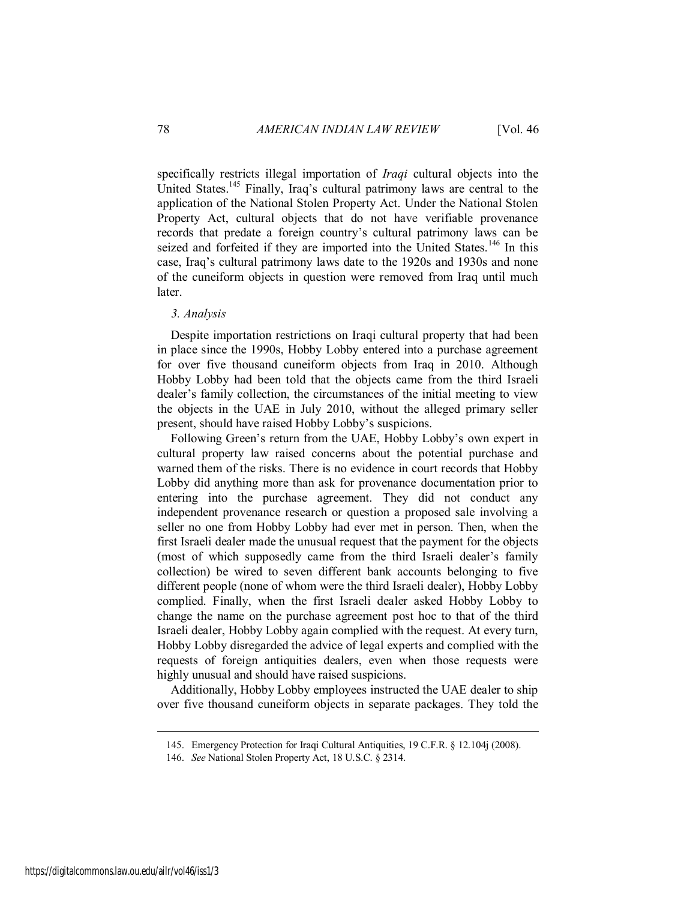specifically restricts illegal importation of *Iraqi* cultural objects into the United States.<sup>145</sup> Finally, Iraq's cultural patrimony laws are central to the application of the National Stolen Property Act. Under the National Stolen Property Act, cultural objects that do not have verifiable provenance records that predate a foreign country's cultural patrimony laws can be seized and forfeited if they are imported into the United States.<sup>146</sup> In this case, Iraq's cultural patrimony laws date to the 1920s and 1930s and none of the cuneiform objects in question were removed from Iraq until much later.

#### *3. Analysis*

Despite importation restrictions on Iraqi cultural property that had been in place since the 1990s, Hobby Lobby entered into a purchase agreement for over five thousand cuneiform objects from Iraq in 2010. Although Hobby Lobby had been told that the objects came from the third Israeli dealer's family collection, the circumstances of the initial meeting to view the objects in the UAE in July 2010, without the alleged primary seller present, should have raised Hobby Lobby's suspicions.

Following Green's return from the UAE, Hobby Lobby's own expert in cultural property law raised concerns about the potential purchase and warned them of the risks. There is no evidence in court records that Hobby Lobby did anything more than ask for provenance documentation prior to entering into the purchase agreement. They did not conduct any independent provenance research or question a proposed sale involving a seller no one from Hobby Lobby had ever met in person. Then, when the first Israeli dealer made the unusual request that the payment for the objects (most of which supposedly came from the third Israeli dealer's family collection) be wired to seven different bank accounts belonging to five different people (none of whom were the third Israeli dealer), Hobby Lobby complied. Finally, when the first Israeli dealer asked Hobby Lobby to change the name on the purchase agreement post hoc to that of the third Israeli dealer, Hobby Lobby again complied with the request. At every turn, Hobby Lobby disregarded the advice of legal experts and complied with the requests of foreign antiquities dealers, even when those requests were highly unusual and should have raised suspicions.

Additionally, Hobby Lobby employees instructed the UAE dealer to ship over five thousand cuneiform objects in separate packages. They told the

<sup>145.</sup> Emergency Protection for Iraqi Cultural Antiquities, 19 C.F.R. § 12.104j (2008).

<sup>146.</sup> *See* National Stolen Property Act, 18 U.S.C. § 2314.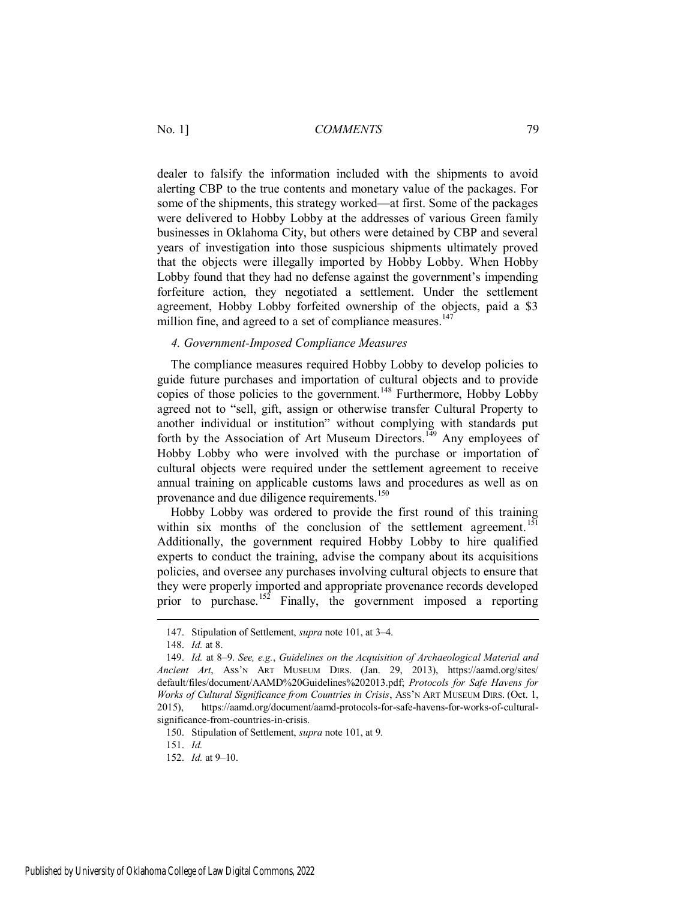dealer to falsify the information included with the shipments to avoid alerting CBP to the true contents and monetary value of the packages. For some of the shipments, this strategy worked—at first. Some of the packages were delivered to Hobby Lobby at the addresses of various Green family businesses in Oklahoma City, but others were detained by CBP and several years of investigation into those suspicious shipments ultimately proved that the objects were illegally imported by Hobby Lobby. When Hobby Lobby found that they had no defense against the government's impending forfeiture action, they negotiated a settlement. Under the settlement agreement, Hobby Lobby forfeited ownership of the objects, paid a \$3 million fine, and agreed to a set of compliance measures.<sup>147</sup>

#### *4. Government-Imposed Compliance Measures*

The compliance measures required Hobby Lobby to develop policies to guide future purchases and importation of cultural objects and to provide copies of those policies to the government.<sup>148</sup> Furthermore, Hobby Lobby agreed not to "sell, gift, assign or otherwise transfer Cultural Property to another individual or institution" without complying with standards put forth by the Association of Art Museum Directors.<sup>149</sup> Any employees of Hobby Lobby who were involved with the purchase or importation of cultural objects were required under the settlement agreement to receive annual training on applicable customs laws and procedures as well as on provenance and due diligence requirements.<sup>150</sup>

Hobby Lobby was ordered to provide the first round of this training within six months of the conclusion of the settlement agreement.<sup>151</sup> Additionally, the government required Hobby Lobby to hire qualified experts to conduct the training, advise the company about its acquisitions policies, and oversee any purchases involving cultural objects to ensure that they were properly imported and appropriate provenance records developed prior to purchase.<sup>152</sup> Finally, the government imposed a reporting

 $\overline{a}$ 

150. Stipulation of Settlement, *supra* note 101, at 9.

151. *Id.*

152. *Id.* at 9–10.

<sup>147.</sup> Stipulation of Settlement, *supra* note 101, at 3–4.

<sup>148.</sup> *Id.* at 8.

<sup>149.</sup> *Id.* at 8–9. *See, e.g.*, *Guidelines on the Acquisition of Archaeological Material and Ancient Art*, ASS'N ART MUSEUM DIRS. (Jan. 29, 2013), https://aamd.org/sites/ default/files/document/AAMD%20Guidelines%202013.pdf; *Protocols for Safe Havens for Works of Cultural Significance from Countries in Crisis*, ASS'N ART MUSEUM DIRS. (Oct. 1, 2015), https://aamd.org/document/aamd-protocols-for-safe-havens-for-works-of-culturalsignificance-from-countries-in-crisis.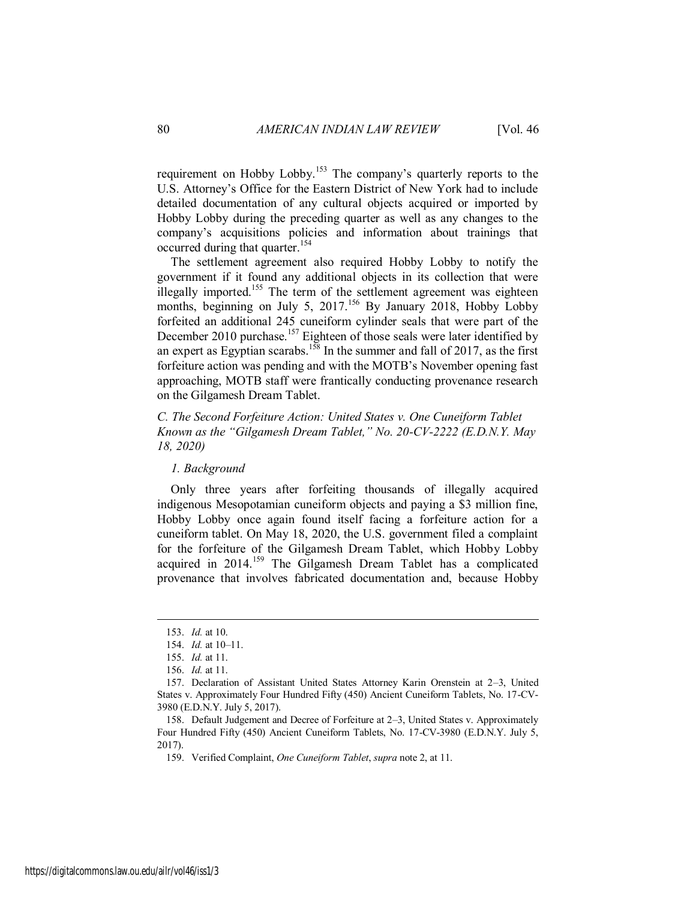requirement on Hobby Lobby.<sup>153</sup> The company's quarterly reports to the U.S. Attorney's Office for the Eastern District of New York had to include detailed documentation of any cultural objects acquired or imported by Hobby Lobby during the preceding quarter as well as any changes to the company's acquisitions policies and information about trainings that occurred during that quarter.<sup>154</sup>

The settlement agreement also required Hobby Lobby to notify the government if it found any additional objects in its collection that were illegally imported.<sup>155</sup> The term of the settlement agreement was eighteen months, beginning on July 5, 2017.<sup>156</sup> By January 2018, Hobby Lobby forfeited an additional 245 cuneiform cylinder seals that were part of the December 2010 purchase.<sup>157</sup> Eighteen of those seals were later identified by an expert as Egyptian scarabs.<sup>158</sup> In the summer and fall of 2017, as the first forfeiture action was pending and with the MOTB's November opening fast approaching, MOTB staff were frantically conducting provenance research on the Gilgamesh Dream Tablet.

*C. The Second Forfeiture Action: United States v. One Cuneiform Tablet Known as the "Gilgamesh Dream Tablet," No. 20-CV-2222 (E.D.N.Y. May 18, 2020)* 

#### *1. Background*

Only three years after forfeiting thousands of illegally acquired indigenous Mesopotamian cuneiform objects and paying a \$3 million fine, Hobby Lobby once again found itself facing a forfeiture action for a cuneiform tablet. On May 18, 2020, the U.S. government filed a complaint for the forfeiture of the Gilgamesh Dream Tablet, which Hobby Lobby acquired in 2014.<sup>159</sup> The Gilgamesh Dream Tablet has a complicated provenance that involves fabricated documentation and, because Hobby

<sup>153.</sup> *Id.* at 10.

<sup>154.</sup> *Id.* at 10–11.

<sup>155.</sup> *Id.* at 11.

<sup>156.</sup> *Id.* at 11.

<sup>157.</sup> Declaration of Assistant United States Attorney Karin Orenstein at 2–3, United States v. Approximately Four Hundred Fifty (450) Ancient Cuneiform Tablets, No. 17-CV-3980 (E.D.N.Y. July 5, 2017).

<sup>158.</sup> Default Judgement and Decree of Forfeiture at 2–3, United States v. Approximately Four Hundred Fifty (450) Ancient Cuneiform Tablets, No. 17-CV-3980 (E.D.N.Y. July 5, 2017).

<sup>159.</sup> Verified Complaint, *One Cuneiform Tablet*, *supra* note 2, at 11.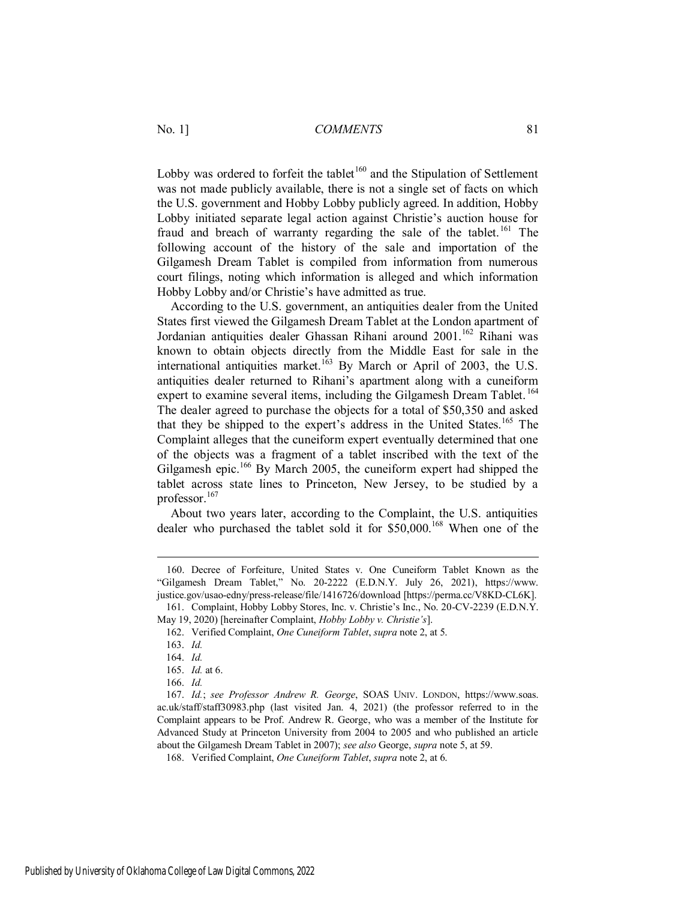Lobby was ordered to forfeit the tablet<sup>160</sup> and the Stipulation of Settlement was not made publicly available, there is not a single set of facts on which the U.S. government and Hobby Lobby publicly agreed. In addition, Hobby Lobby initiated separate legal action against Christie's auction house for fraud and breach of warranty regarding the sale of the tablet.<sup>161</sup> The following account of the history of the sale and importation of the Gilgamesh Dream Tablet is compiled from information from numerous court filings, noting which information is alleged and which information Hobby Lobby and/or Christie's have admitted as true.

According to the U.S. government, an antiquities dealer from the United States first viewed the Gilgamesh Dream Tablet at the London apartment of Jordanian antiquities dealer Ghassan Rihani around 2001.<sup>162</sup> Rihani was known to obtain objects directly from the Middle East for sale in the international antiquities market.<sup>163</sup> By March or April of 2003, the U.S. antiquities dealer returned to Rihani's apartment along with a cuneiform expert to examine several items, including the Gilgamesh Dream Tablet.<sup>164</sup> The dealer agreed to purchase the objects for a total of \$50,350 and asked that they be shipped to the expert's address in the United States.<sup>165</sup> The Complaint alleges that the cuneiform expert eventually determined that one of the objects was a fragment of a tablet inscribed with the text of the Gilgamesh epic.<sup>166</sup> By March 2005, the cuneiform expert had shipped the tablet across state lines to Princeton, New Jersey, to be studied by a professor.<sup>167</sup>

About two years later, according to the Complaint, the U.S. antiquities dealer who purchased the tablet sold it for  $$50,000$ .<sup>168</sup> When one of the

<sup>160.</sup> Decree of Forfeiture, United States v. One Cuneiform Tablet Known as the "Gilgamesh Dream Tablet," No. 20-2222 (E.D.N.Y. July 26, 2021), https://www. justice.gov/usao-edny/press-release/file/1416726/download [https://perma.cc/V8KD-CL6K].

<sup>161.</sup> Complaint, Hobby Lobby Stores, Inc. v. Christie's Inc., No. 20-CV-2239 (E.D.N.Y. May 19, 2020) [hereinafter Complaint, *Hobby Lobby v. Christie's*].

<sup>162.</sup> Verified Complaint, *One Cuneiform Tablet*, *supra* note 2, at 5.

<sup>163.</sup> *Id.*

<sup>164.</sup> *Id.*

<sup>165.</sup> *Id.* at 6.

<sup>166.</sup> *Id.*

<sup>167.</sup> *Id.*; *see Professor Andrew R. George*, SOAS UNIV. LONDON, https://www.soas. ac.uk/staff/staff30983.php (last visited Jan. 4, 2021) (the professor referred to in the Complaint appears to be Prof. Andrew R. George, who was a member of the Institute for Advanced Study at Princeton University from 2004 to 2005 and who published an article about the Gilgamesh Dream Tablet in 2007); *see also* George, *supra* note 5, at 59.

<sup>168.</sup> Verified Complaint, *One Cuneiform Tablet*, *supra* note 2, at 6.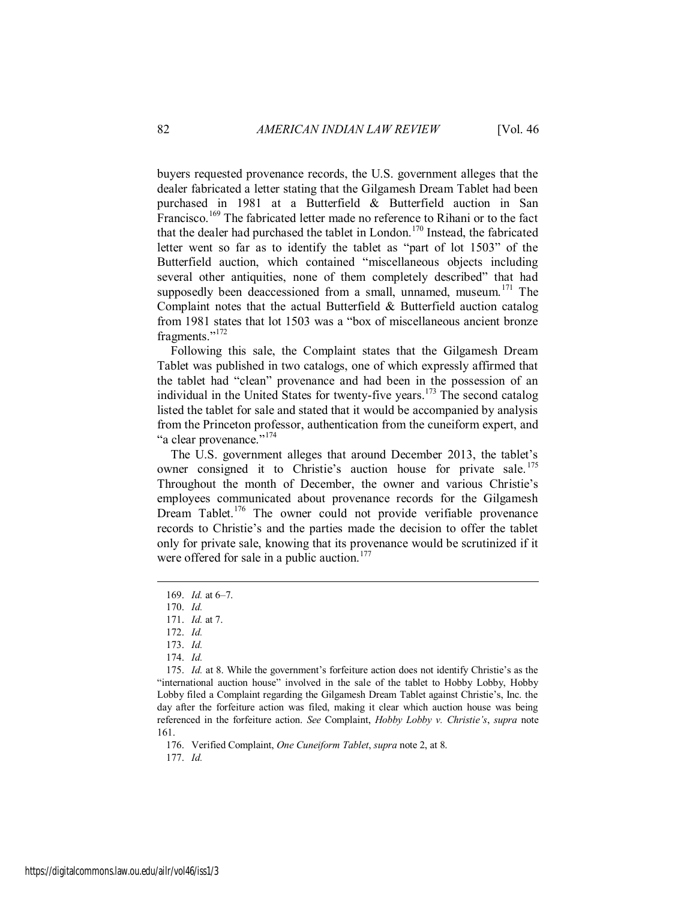buyers requested provenance records, the U.S. government alleges that the dealer fabricated a letter stating that the Gilgamesh Dream Tablet had been purchased in 1981 at a Butterfield & Butterfield auction in San Francisco.<sup>169</sup> The fabricated letter made no reference to Rihani or to the fact that the dealer had purchased the tablet in London.<sup>170</sup> Instead, the fabricated letter went so far as to identify the tablet as "part of lot 1503" of the Butterfield auction, which contained "miscellaneous objects including several other antiquities, none of them completely described" that had supposedly been deaccessioned from a small, unnamed, museum.<sup>171</sup> The Complaint notes that the actual Butterfield  $\&$  Butterfield auction catalog from 1981 states that lot 1503 was a "box of miscellaneous ancient bronze fragments."<sup>172</sup>

Following this sale, the Complaint states that the Gilgamesh Dream Tablet was published in two catalogs, one of which expressly affirmed that the tablet had "clean" provenance and had been in the possession of an individual in the United States for twenty-five years.<sup>173</sup> The second catalog listed the tablet for sale and stated that it would be accompanied by analysis from the Princeton professor, authentication from the cuneiform expert, and "a clear provenance."<sup>174</sup>

The U.S. government alleges that around December 2013, the tablet's owner consigned it to Christie's auction house for private sale.<sup>175</sup> Throughout the month of December, the owner and various Christie's employees communicated about provenance records for the Gilgamesh Dream Tablet.<sup>176</sup> The owner could not provide verifiable provenance records to Christie's and the parties made the decision to offer the tablet only for private sale, knowing that its provenance would be scrutinized if it were offered for sale in a public auction.<sup>177</sup>

 $\overline{a}$ 

176. Verified Complaint, *One Cuneiform Tablet*, *supra* note 2, at 8.

177. *Id.*

<sup>169.</sup> *Id.* at 6–7.

<sup>170.</sup> *Id.*

<sup>171.</sup> *Id.* at 7.

<sup>172.</sup> *Id.*

<sup>173.</sup> *Id.*

<sup>174.</sup> *Id.*

<sup>175.</sup> *Id.* at 8. While the government's forfeiture action does not identify Christie's as the "international auction house" involved in the sale of the tablet to Hobby Lobby, Hobby Lobby filed a Complaint regarding the Gilgamesh Dream Tablet against Christie's, Inc. the day after the forfeiture action was filed, making it clear which auction house was being referenced in the forfeiture action. *See* Complaint, *Hobby Lobby v. Christie's*, *supra* note 161.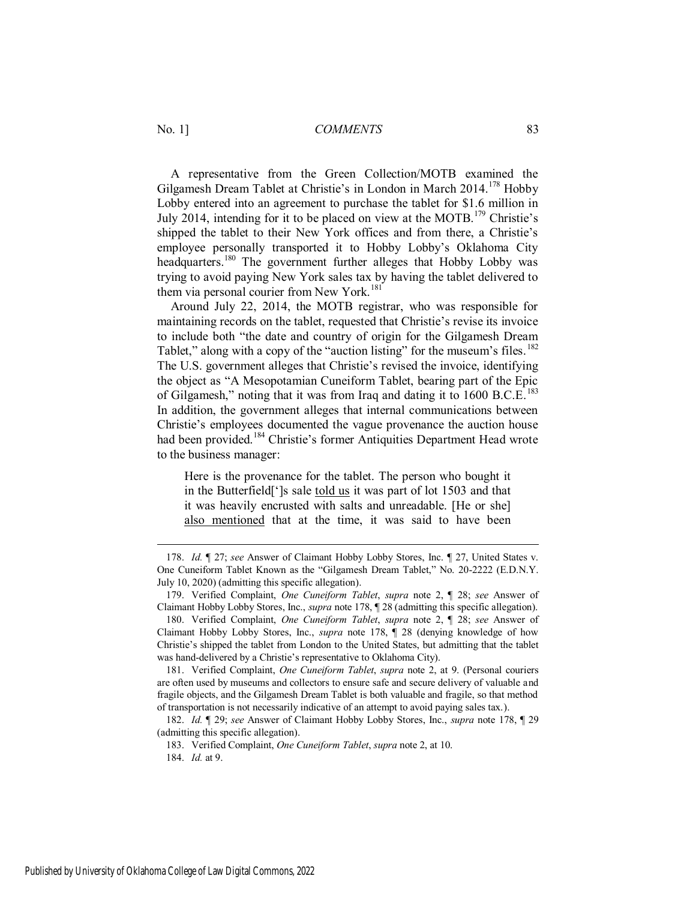A representative from the Green Collection/MOTB examined the Gilgamesh Dream Tablet at Christie's in London in March 2014.<sup>178</sup> Hobby Lobby entered into an agreement to purchase the tablet for \$1.6 million in July 2014, intending for it to be placed on view at the MOTB.<sup>179</sup> Christie's shipped the tablet to their New York offices and from there, a Christie's employee personally transported it to Hobby Lobby's Oklahoma City headquarters.<sup>180</sup> The government further alleges that Hobby Lobby was trying to avoid paying New York sales tax by having the tablet delivered to them via personal courier from New York.<sup>181</sup>

Around July 22, 2014, the MOTB registrar, who was responsible for maintaining records on the tablet, requested that Christie's revise its invoice to include both "the date and country of origin for the Gilgamesh Dream Tablet," along with a copy of the "auction listing" for the museum's files.<sup>182</sup> The U.S. government alleges that Christie's revised the invoice, identifying the object as "A Mesopotamian Cuneiform Tablet, bearing part of the Epic of Gilgamesh," noting that it was from Iraq and dating it to 1600 B.C.E.<sup>183</sup> In addition, the government alleges that internal communications between Christie's employees documented the vague provenance the auction house had been provided.<sup>184</sup> Christie's former Antiquities Department Head wrote to the business manager:

Here is the provenance for the tablet. The person who bought it in the Butterfield[']s sale told us it was part of lot 1503 and that it was heavily encrusted with salts and unreadable. [He or she] also mentioned that at the time, it was said to have been

<sup>178.</sup> *Id.* ¶ 27; *see* Answer of Claimant Hobby Lobby Stores, Inc. ¶ 27, United States v. One Cuneiform Tablet Known as the "Gilgamesh Dream Tablet," No. 20-2222 (E.D.N.Y. July 10, 2020) (admitting this specific allegation).

<sup>179.</sup> Verified Complaint, *One Cuneiform Tablet*, *supra* note 2, ¶ 28; *see* Answer of Claimant Hobby Lobby Stores, Inc., *supra* note 178, ¶ 28 (admitting this specific allegation).

<sup>180.</sup> Verified Complaint, *One Cuneiform Tablet*, *supra* note 2, ¶ 28; *see* Answer of Claimant Hobby Lobby Stores, Inc., *supra* note 178, ¶ 28 (denying knowledge of how Christie's shipped the tablet from London to the United States, but admitting that the tablet was hand-delivered by a Christie's representative to Oklahoma City).

<sup>181.</sup> Verified Complaint, *One Cuneiform Tablet*, *supra* note 2, at 9. (Personal couriers are often used by museums and collectors to ensure safe and secure delivery of valuable and fragile objects, and the Gilgamesh Dream Tablet is both valuable and fragile, so that method of transportation is not necessarily indicative of an attempt to avoid paying sales tax.).

<sup>182.</sup> *Id.* ¶ 29; *see* Answer of Claimant Hobby Lobby Stores, Inc., *supra* note 178, ¶ 29 (admitting this specific allegation).

<sup>183.</sup> Verified Complaint, *One Cuneiform Tablet*, *supra* note 2, at 10.

<sup>184.</sup> *Id.* at 9.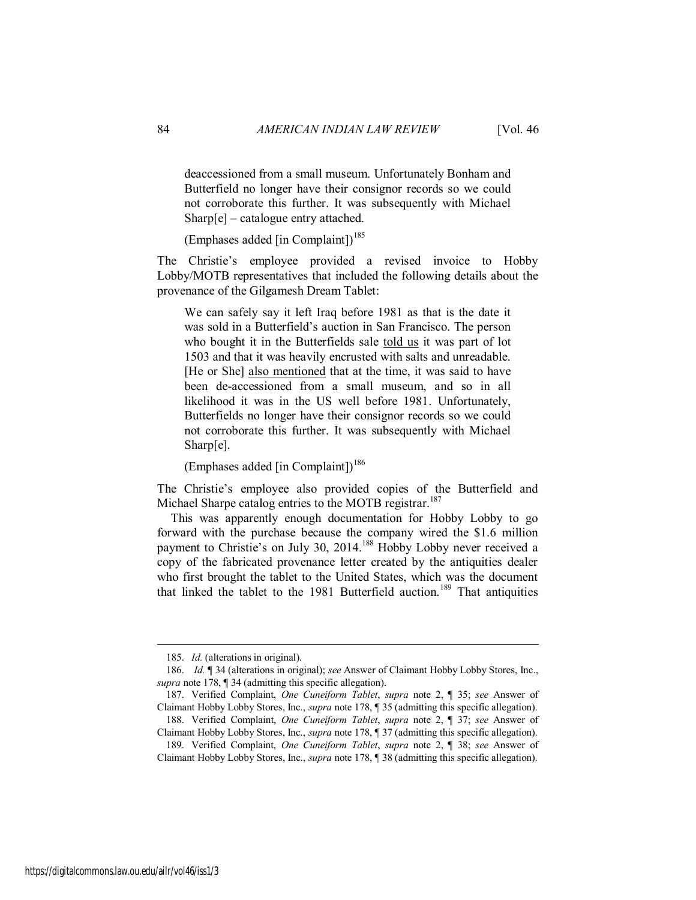deaccessioned from a small museum. Unfortunately Bonham and Butterfield no longer have their consignor records so we could not corroborate this further. It was subsequently with Michael Sharp[e] – catalogue entry attached.

(Emphases added [in Complaint])<sup>185</sup>

The Christie's employee provided a revised invoice to Hobby Lobby/MOTB representatives that included the following details about the provenance of the Gilgamesh Dream Tablet:

We can safely say it left Iraq before 1981 as that is the date it was sold in a Butterfield's auction in San Francisco. The person who bought it in the Butterfields sale told us it was part of lot 1503 and that it was heavily encrusted with salts and unreadable. [He or She] also mentioned that at the time, it was said to have been de-accessioned from a small museum, and so in all likelihood it was in the US well before 1981. Unfortunately, Butterfields no longer have their consignor records so we could not corroborate this further. It was subsequently with Michael Sharp[e].

(Emphases added [in Complaint])<sup>186</sup>

The Christie's employee also provided copies of the Butterfield and Michael Sharpe catalog entries to the MOTB registrar.<sup>187</sup>

This was apparently enough documentation for Hobby Lobby to go forward with the purchase because the company wired the \$1.6 million payment to Christie's on July 30, 2014.<sup>188</sup> Hobby Lobby never received a copy of the fabricated provenance letter created by the antiquities dealer who first brought the tablet to the United States, which was the document that linked the tablet to the 1981 Butterfield auction.<sup>189</sup> That antiquities

<sup>185.</sup> *Id.* (alterations in original).

<sup>186.</sup> *Id.* ¶ 34 (alterations in original); *see* Answer of Claimant Hobby Lobby Stores, Inc., *supra* note 178, ¶ 34 (admitting this specific allegation).

<sup>187.</sup> Verified Complaint, *One Cuneiform Tablet*, *supra* note 2, ¶ 35; *see* Answer of Claimant Hobby Lobby Stores, Inc., *supra* note 178, ¶ 35 (admitting this specific allegation). 188. Verified Complaint, *One Cuneiform Tablet*, *supra* note 2, ¶ 37; *see* Answer of

Claimant Hobby Lobby Stores, Inc., *supra* note 178, ¶ 37 (admitting this specific allegation). 189. Verified Complaint, *One Cuneiform Tablet*, *supra* note 2, ¶ 38; *see* Answer of

Claimant Hobby Lobby Stores, Inc., *supra* note 178, ¶ 38 (admitting this specific allegation).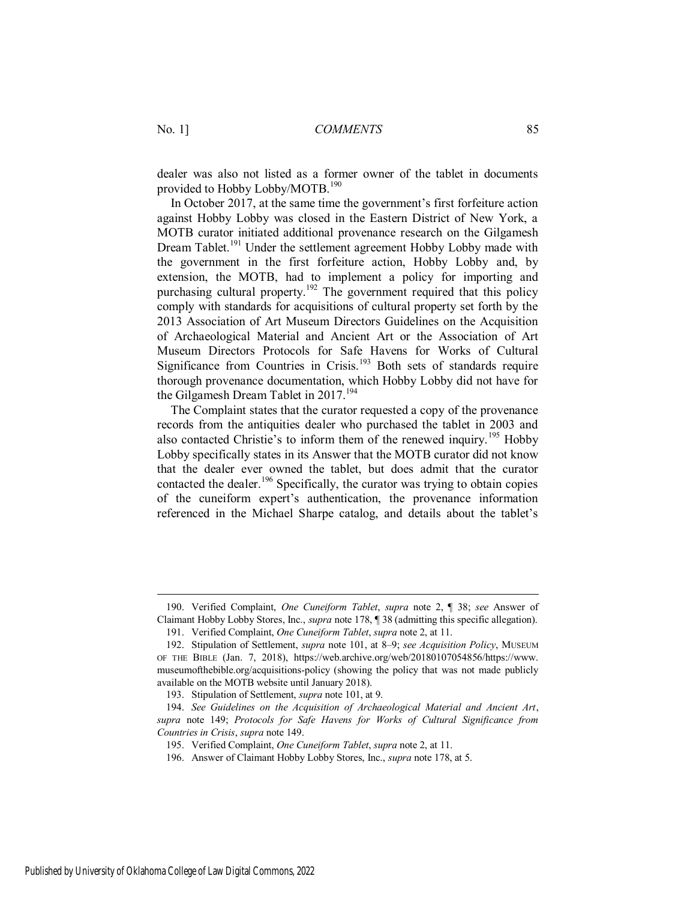dealer was also not listed as a former owner of the tablet in documents provided to Hobby Lobby/MOTB.<sup>190</sup>

In October 2017, at the same time the government's first forfeiture action against Hobby Lobby was closed in the Eastern District of New York, a MOTB curator initiated additional provenance research on the Gilgamesh Dream Tablet.<sup>191</sup> Under the settlement agreement Hobby Lobby made with the government in the first forfeiture action, Hobby Lobby and, by extension, the MOTB, had to implement a policy for importing and purchasing cultural property.<sup>192</sup> The government required that this policy comply with standards for acquisitions of cultural property set forth by the 2013 Association of Art Museum Directors Guidelines on the Acquisition of Archaeological Material and Ancient Art or the Association of Art Museum Directors Protocols for Safe Havens for Works of Cultural Significance from Countries in Crisis.<sup>193</sup> Both sets of standards require thorough provenance documentation, which Hobby Lobby did not have for the Gilgamesh Dream Tablet in 2017.<sup>194</sup>

The Complaint states that the curator requested a copy of the provenance records from the antiquities dealer who purchased the tablet in 2003 and also contacted Christie's to inform them of the renewed inquiry.<sup>195</sup> Hobby Lobby specifically states in its Answer that the MOTB curator did not know that the dealer ever owned the tablet, but does admit that the curator contacted the dealer.<sup>196</sup> Specifically, the curator was trying to obtain copies of the cuneiform expert's authentication, the provenance information referenced in the Michael Sharpe catalog, and details about the tablet's

<sup>190.</sup> Verified Complaint, *One Cuneiform Tablet*, *supra* note 2, ¶ 38; *see* Answer of Claimant Hobby Lobby Stores, Inc., *supra* note 178, ¶ 38 (admitting this specific allegation).

<sup>191.</sup> Verified Complaint, *One Cuneiform Tablet*, *supra* note 2, at 11.

<sup>192.</sup> Stipulation of Settlement, *supra* note 101, at 8–9; *see Acquisition Policy*, MUSEUM OF THE BIBLE (Jan. 7, 2018), https://web.archive.org/web/20180107054856/https://www. museumofthebible.org/acquisitions-policy (showing the policy that was not made publicly available on the MOTB website until January 2018).

<sup>193.</sup> Stipulation of Settlement, *supra* note 101, at 9.

<sup>194.</sup> *See Guidelines on the Acquisition of Archaeological Material and Ancient Art*, *supra* note 149; *Protocols for Safe Havens for Works of Cultural Significance from Countries in Crisis*, *supra* note 149.

<sup>195.</sup> Verified Complaint, *One Cuneiform Tablet*, *supra* note 2, at 11.

<sup>196.</sup> Answer of Claimant Hobby Lobby Stores, Inc., *supra* note 178, at 5.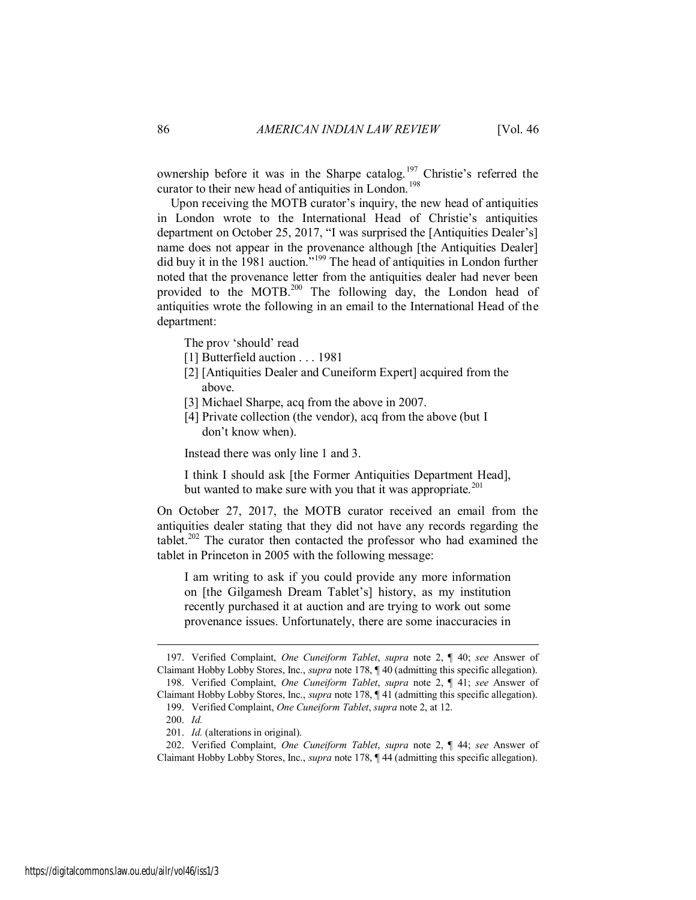ownership before it was in the Sharpe catalog.<sup>197</sup> Christie's referred the curator to their new head of antiquities in London.<sup>198</sup>

Upon receiving the MOTB curator's inquiry, the new head of antiquities in London wrote to the International Head of Christie's antiquities department on October 25, 2017, "I was surprised the [Antiquities Dealer's] name does not appear in the provenance although [the Antiquities Dealer] did buy it in the 1981 auction."<sup>199</sup> The head of antiquities in London further noted that the provenance letter from the antiquities dealer had never been provided to the MOTB.<sup>200</sup> The following day, the London head of antiquities wrote the following in an email to the International Head of the department:

The prov 'should' read

- [1] Butterfield auction . . . 1981]
- [2] [Antiquities Dealer and Cuneiform Expert] acquired from the above.
- [3] Michael Sharpe, acq from the above in 2007.
- [4] Private collection (the vendor), acq from the above (but I don't know when).

Instead there was only line 1 and 3.

I think I should ask [the Former Antiquities Department Head], but wanted to make sure with you that it was appropriate.<sup>201</sup>

On October 27, 2017, the MOTB curator received an email from the antiquities dealer stating that they did not have any records regarding the tablet.<sup>202</sup> The curator then contacted the professor who had examined the tablet in Princeton in 2005 with the following message:

I am writing to ask if you could provide any more information on [the Gilgamesh Dream Tablet's] history, as my institution recently purchased it at auction and are trying to work out some provenance issues. Unfortunately, there are some inaccuracies in

<sup>197.</sup> Verified Complaint, *One Cuneiform Tablet*, *supra* note 2, ¶ 40; *see* Answer of Claimant Hobby Lobby Stores, Inc., *supra* note 178, ¶ 40 (admitting this specific allegation). 198. Verified Complaint, *One Cuneiform Tablet*, *supra* note 2, ¶ 41; *see* Answer of Claimant Hobby Lobby Stores, Inc., *supra* note 178, ¶ 41 (admitting this specific allegation).

<sup>199.</sup> Verified Complaint, *One Cuneiform Tablet*, *supra* note 2, at 12.

<sup>200.</sup> *Id.*

<sup>201.</sup> *Id.* (alterations in original).

<sup>202.</sup> Verified Complaint, *One Cuneiform Tablet*, *supra* note 2, ¶ 44; *see* Answer of Claimant Hobby Lobby Stores, Inc., *supra* note 178, ¶ 44 (admitting this specific allegation).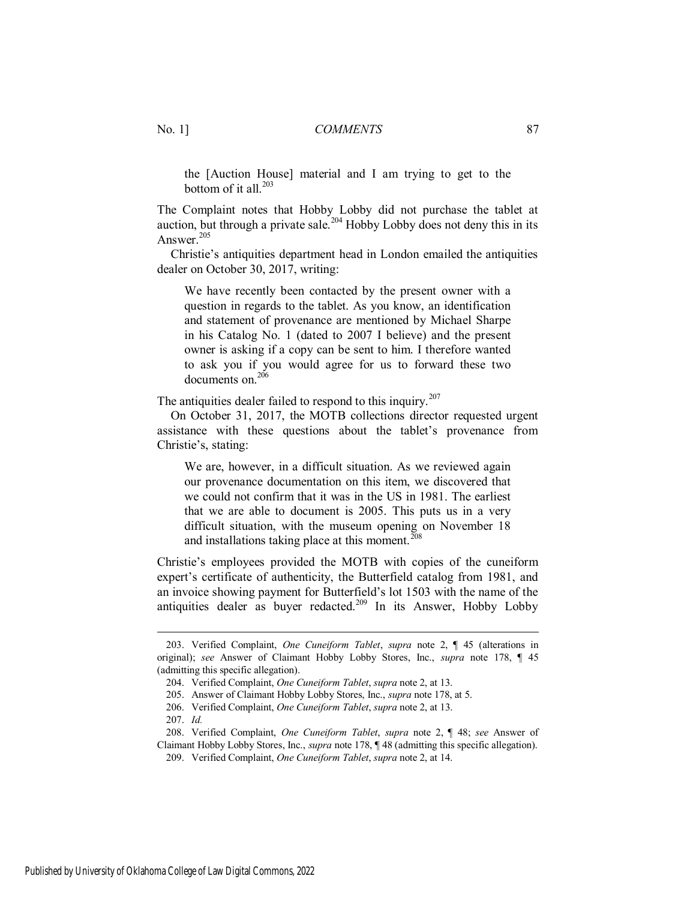the [Auction House] material and I am trying to get to the bottom of it all. $^{203}$ 

The Complaint notes that Hobby Lobby did not purchase the tablet at auction, but through a private sale.<sup>204</sup> Hobby Lobby does not deny this in its Answer. $205$ 

Christie's antiquities department head in London emailed the antiquities dealer on October 30, 2017, writing:

We have recently been contacted by the present owner with a question in regards to the tablet. As you know, an identification and statement of provenance are mentioned by Michael Sharpe in his Catalog No. 1 (dated to 2007 I believe) and the present owner is asking if a copy can be sent to him. I therefore wanted to ask you if you would agree for us to forward these two documents on.<sup>206</sup>

The antiquities dealer failed to respond to this inquiry.<sup>207</sup>

On October 31, 2017, the MOTB collections director requested urgent assistance with these questions about the tablet's provenance from Christie's, stating:

We are, however, in a difficult situation. As we reviewed again our provenance documentation on this item, we discovered that we could not confirm that it was in the US in 1981. The earliest that we are able to document is 2005. This puts us in a very difficult situation, with the museum opening on November 18 and installations taking place at this moment. $208$ 

Christie's employees provided the MOTB with copies of the cuneiform expert's certificate of authenticity, the Butterfield catalog from 1981, and an invoice showing payment for Butterfield's lot 1503 with the name of the antiquities dealer as buyer redacted.<sup>209</sup> In its Answer, Hobby Lobby

<sup>203.</sup> Verified Complaint, *One Cuneiform Tablet*, *supra* note 2, ¶ 45 (alterations in original); *see* Answer of Claimant Hobby Lobby Stores, Inc., *supra* note 178, ¶ 45 (admitting this specific allegation).

<sup>204.</sup> Verified Complaint, *One Cuneiform Tablet*, *supra* note 2, at 13.

<sup>205.</sup> Answer of Claimant Hobby Lobby Stores, Inc., *supra* note 178, at 5.

<sup>206.</sup> Verified Complaint, *One Cuneiform Tablet*, *supra* note 2, at 13.

<sup>207.</sup> *Id.*

<sup>208.</sup> Verified Complaint, *One Cuneiform Tablet*, *supra* note 2, ¶ 48; *see* Answer of Claimant Hobby Lobby Stores, Inc., *supra* note 178, ¶ 48 (admitting this specific allegation).

<sup>209.</sup> Verified Complaint, *One Cuneiform Tablet*, *supra* note 2, at 14.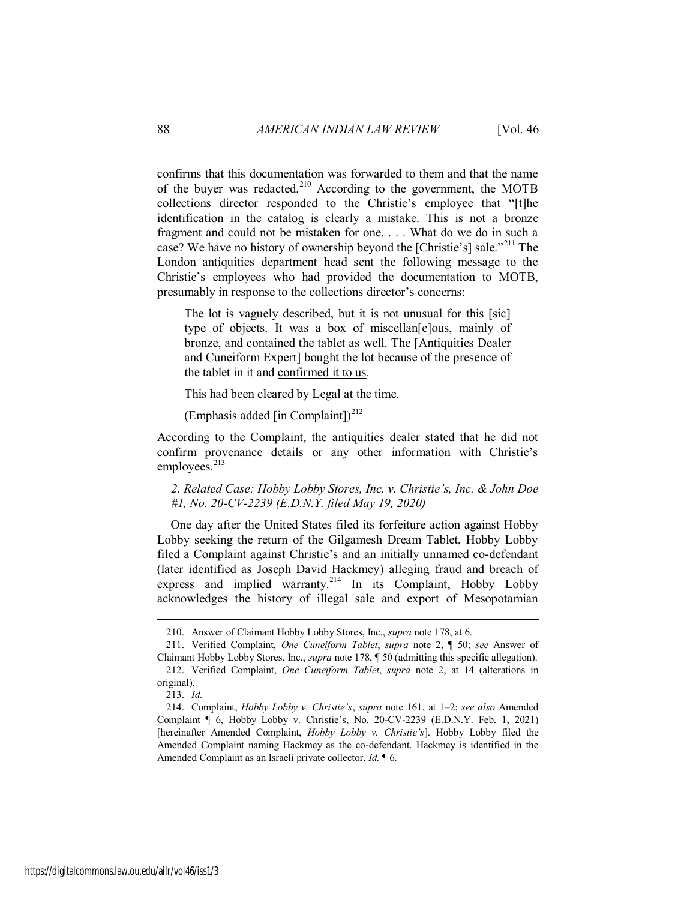confirms that this documentation was forwarded to them and that the name of the buyer was redacted.<sup>210</sup> According to the government, the MOTB collections director responded to the Christie's employee that "[t]he identification in the catalog is clearly a mistake. This is not a bronze fragment and could not be mistaken for one. . . . What do we do in such a case? We have no history of ownership beyond the [Christie's] sale."<sup>211</sup> The London antiquities department head sent the following message to the Christie's employees who had provided the documentation to MOTB, presumably in response to the collections director's concerns:

The lot is vaguely described, but it is not unusual for this [sic] type of objects. It was a box of miscellan[e]ous, mainly of bronze, and contained the tablet as well. The [Antiquities Dealer and Cuneiform Expert] bought the lot because of the presence of the tablet in it and confirmed it to us.

This had been cleared by Legal at the time.

(Emphasis added [in Complaint])<sup>212</sup>

According to the Complaint, the antiquities dealer stated that he did not confirm provenance details or any other information with Christie's employees. $^{213}$ 

*2. Related Case: Hobby Lobby Stores, Inc. v. Christie's, Inc. & John Doe #1, No. 20-CV-2239 (E.D.N.Y. filed May 19, 2020)* 

One day after the United States filed its forfeiture action against Hobby Lobby seeking the return of the Gilgamesh Dream Tablet, Hobby Lobby filed a Complaint against Christie's and an initially unnamed co-defendant (later identified as Joseph David Hackmey) alleging fraud and breach of express and implied warranty.<sup>214</sup> In its Complaint, Hobby Lobby acknowledges the history of illegal sale and export of Mesopotamian

<sup>210.</sup> Answer of Claimant Hobby Lobby Stores, Inc., *supra* note 178, at 6.

<sup>211.</sup> Verified Complaint, *One Cuneiform Tablet*, *supra* note 2, ¶ 50; *see* Answer of Claimant Hobby Lobby Stores, Inc., *supra* note 178, ¶ 50 (admitting this specific allegation). 212. Verified Complaint, *One Cuneiform Tablet*, *supra* note 2, at 14 (alterations in

original). 213. *Id.*

<sup>214.</sup> Complaint, *Hobby Lobby v. Christie's*, *supra* note 161, at 1–2; *see also* Amended Complaint ¶ 6, Hobby Lobby v. Christie's, No. 20-CV-2239 (E.D.N.Y. Feb. 1, 2021) [hereinafter Amended Complaint, *Hobby Lobby v. Christie's*]. Hobby Lobby filed the Amended Complaint naming Hackmey as the co-defendant. Hackmey is identified in the Amended Complaint as an Israeli private collector. *Id.* ¶ 6.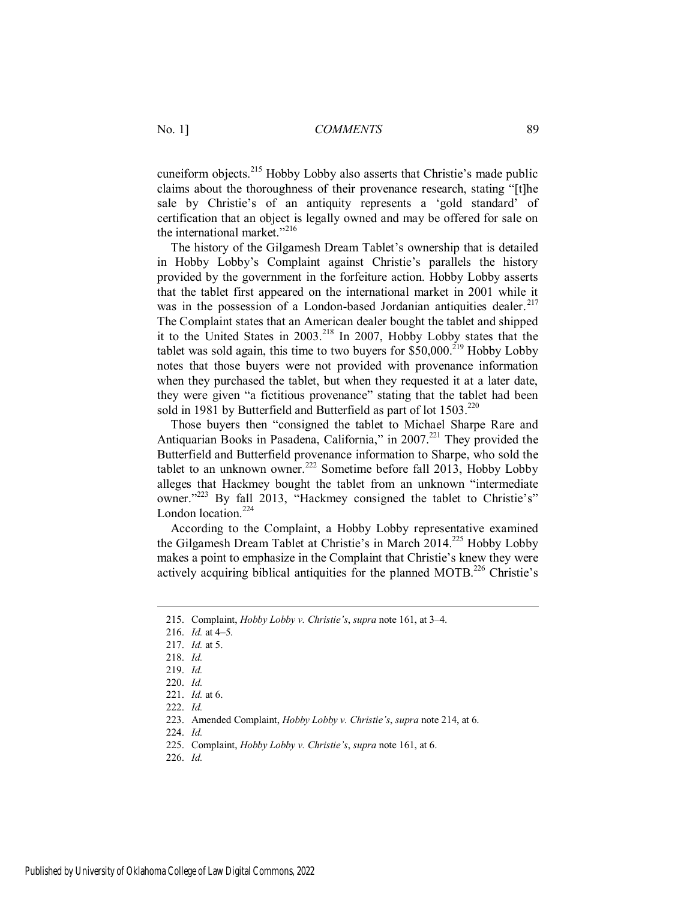cuneiform objects.<sup>215</sup> Hobby Lobby also asserts that Christie's made public claims about the thoroughness of their provenance research, stating "[t]he sale by Christie's of an antiquity represents a 'gold standard' of certification that an object is legally owned and may be offered for sale on the international market." $^{216}$ 

The history of the Gilgamesh Dream Tablet's ownership that is detailed in Hobby Lobby's Complaint against Christie's parallels the history provided by the government in the forfeiture action. Hobby Lobby asserts that the tablet first appeared on the international market in 2001 while it was in the possession of a London-based Jordanian antiquities dealer.<sup>217</sup> The Complaint states that an American dealer bought the tablet and shipped it to the United States in 2003.<sup>218</sup> In 2007, Hobby Lobby states that the tablet was sold again, this time to two buyers for  $$50,000$ <sup>219</sup> Hobby Lobby notes that those buyers were not provided with provenance information when they purchased the tablet, but when they requested it at a later date, they were given "a fictitious provenance" stating that the tablet had been sold in 1981 by Butterfield and Butterfield as part of lot  $1503$ .<sup>220</sup>

Those buyers then "consigned the tablet to Michael Sharpe Rare and Antiquarian Books in Pasadena, California," in 2007.<sup>221</sup> They provided the Butterfield and Butterfield provenance information to Sharpe, who sold the tablet to an unknown owner.<sup>222</sup> Sometime before fall 2013, Hobby Lobby alleges that Hackmey bought the tablet from an unknown "intermediate owner."<sup>223</sup> By fall 2013, "Hackmey consigned the tablet to Christie's" London location.<sup>224</sup>

According to the Complaint, a Hobby Lobby representative examined the Gilgamesh Dream Tablet at Christie's in March 2014.<sup>225</sup> Hobby Lobby makes a point to emphasize in the Complaint that Christie's knew they were actively acquiring biblical antiquities for the planned MOTB.<sup>226</sup> Christie's

 $\overline{a}$ 

224. *Id.*

226. *Id.* 

<sup>215.</sup> Complaint, *Hobby Lobby v. Christie's*, *supra* note 161, at 3–4.

<sup>216.</sup> *Id.* at 4–5.

<sup>217.</sup> *Id.* at 5.

<sup>218.</sup> *Id.*

<sup>219.</sup> *Id.*

<sup>220.</sup> *Id.* 

<sup>221.</sup> *Id.* at 6.

<sup>222.</sup> *Id.*

<sup>223.</sup> Amended Complaint, *Hobby Lobby v. Christie's*, *supra* note 214, at 6.

<sup>225.</sup> Complaint, *Hobby Lobby v. Christie's*, *supra* note 161, at 6.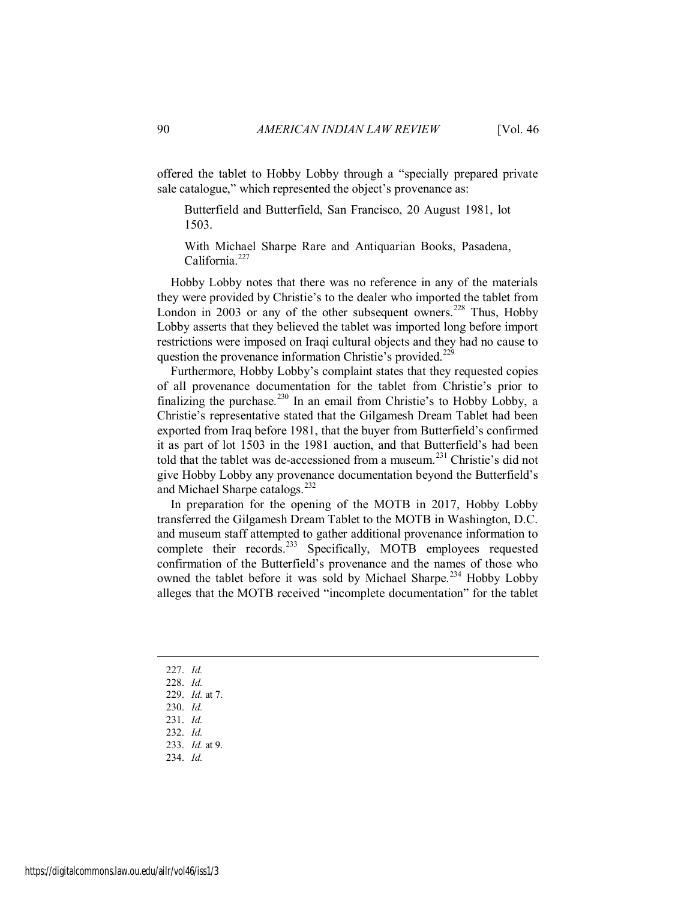offered the tablet to Hobby Lobby through a "specially prepared private sale catalogue," which represented the object's provenance as:

Butterfield and Butterfield, San Francisco, 20 August 1981, lot 1503.

With Michael Sharpe Rare and Antiquarian Books, Pasadena, California.<sup>227</sup>

Hobby Lobby notes that there was no reference in any of the materials they were provided by Christie's to the dealer who imported the tablet from London in 2003 or any of the other subsequent owners.<sup>228</sup> Thus, Hobby Lobby asserts that they believed the tablet was imported long before import restrictions were imposed on Iraqi cultural objects and they had no cause to question the provenance information Christie's provided.<sup>229</sup>

Furthermore, Hobby Lobby's complaint states that they requested copies of all provenance documentation for the tablet from Christie's prior to finalizing the purchase.<sup>230</sup> In an email from Christie's to Hobby Lobby, a Christie's representative stated that the Gilgamesh Dream Tablet had been exported from Iraq before 1981, that the buyer from Butterfield's confirmed it as part of lot 1503 in the 1981 auction, and that Butterfield's had been told that the tablet was de-accessioned from a museum.<sup>231</sup> Christie's did not give Hobby Lobby any provenance documentation beyond the Butterfield's and Michael Sharpe catalogs.<sup>232</sup>

In preparation for the opening of the MOTB in 2017, Hobby Lobby transferred the Gilgamesh Dream Tablet to the MOTB in Washington, D.C. and museum staff attempted to gather additional provenance information to complete their records.<sup>233</sup> Specifically, MOTB employees requested confirmation of the Butterfield's provenance and the names of those who owned the tablet before it was sold by Michael Sharpe.<sup>234</sup> Hobby Lobby alleges that the MOTB received "incomplete documentation" for the tablet

227. *Id.*

- 228. *Id.*
- 229. *Id.* at 7.
- 230. *Id.*
- 231. *Id.*
- 232. *Id.* 233. *Id.* at 9.
- 234. *Id.*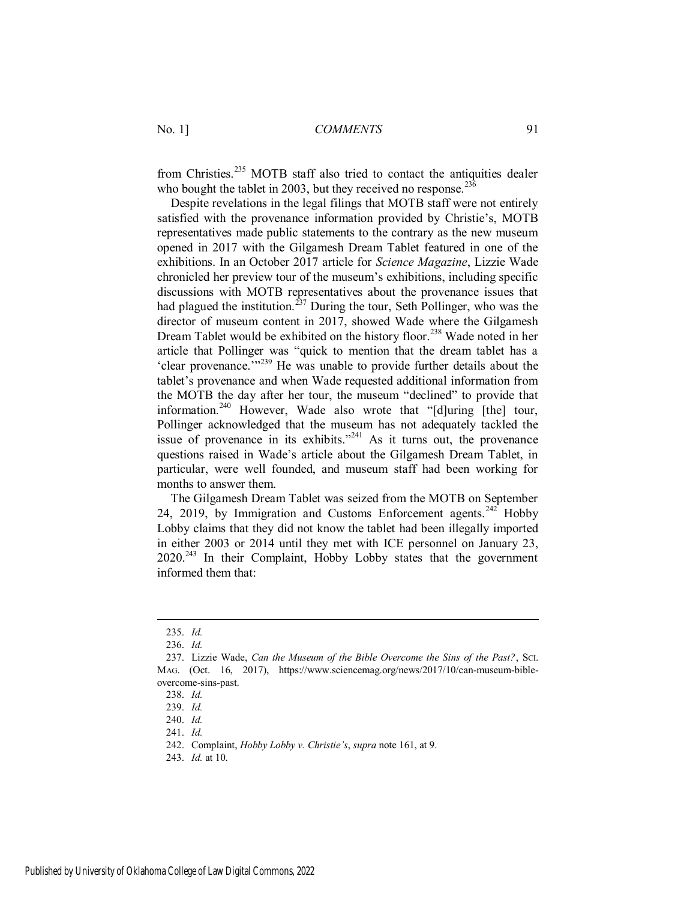from Christies.<sup>235</sup> MOTB staff also tried to contact the antiquities dealer who bought the tablet in 2003, but they received no response.  $23\overline{6}$ 

Despite revelations in the legal filings that MOTB staff were not entirely satisfied with the provenance information provided by Christie's, MOTB representatives made public statements to the contrary as the new museum opened in 2017 with the Gilgamesh Dream Tablet featured in one of the exhibitions. In an October 2017 article for *Science Magazine*, Lizzie Wade chronicled her preview tour of the museum's exhibitions, including specific discussions with MOTB representatives about the provenance issues that had plagued the institution.<sup>237</sup> During the tour, Seth Pollinger, who was the director of museum content in 2017, showed Wade where the Gilgamesh Dream Tablet would be exhibited on the history floor.<sup>238</sup> Wade noted in her article that Pollinger was "quick to mention that the dream tablet has a 'clear provenance.'"<sup>239</sup> He was unable to provide further details about the tablet's provenance and when Wade requested additional information from the MOTB the day after her tour, the museum "declined" to provide that information.<sup>240</sup> However, Wade also wrote that "[d]uring [the] tour, Pollinger acknowledged that the museum has not adequately tackled the issue of provenance in its exhibits. $1241$  As it turns out, the provenance questions raised in Wade's article about the Gilgamesh Dream Tablet, in particular, were well founded, and museum staff had been working for months to answer them.

The Gilgamesh Dream Tablet was seized from the MOTB on September 24, 2019, by Immigration and Customs Enforcement agents.<sup>242</sup> Hobby Lobby claims that they did not know the tablet had been illegally imported in either 2003 or 2014 until they met with ICE personnel on January 23, 2020.<sup>243</sup> In their Complaint, Hobby Lobby states that the government informed them that:

<sup>235.</sup> *Id.*

<sup>236.</sup> *Id.*

<sup>237.</sup> Lizzie Wade, *Can the Museum of the Bible Overcome the Sins of the Past?*, SCI. MAG. (Oct. 16, 2017), https://www.sciencemag.org/news/2017/10/can-museum-bibleovercome-sins-past.

<sup>238.</sup> *Id.*

<sup>239.</sup> *Id.*

<sup>240.</sup> *Id.*

<sup>241.</sup> *Id.*

<sup>242.</sup> Complaint, *Hobby Lobby v. Christie's*, *supra* note 161, at 9.

<sup>243.</sup> *Id.* at 10.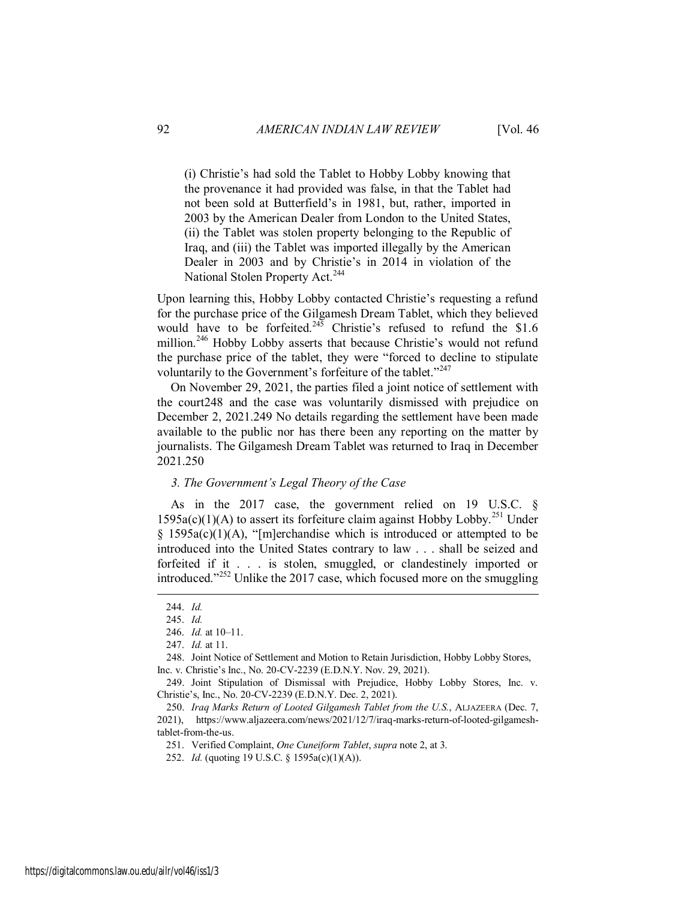(i) Christie's had sold the Tablet to Hobby Lobby knowing that the provenance it had provided was false, in that the Tablet had not been sold at Butterfield's in 1981, but, rather, imported in 2003 by the American Dealer from London to the United States, (ii) the Tablet was stolen property belonging to the Republic of Iraq, and (iii) the Tablet was imported illegally by the American Dealer in 2003 and by Christie's in 2014 in violation of the National Stolen Property Act.<sup>244</sup>

Upon learning this, Hobby Lobby contacted Christie's requesting a refund for the purchase price of the Gilgamesh Dream Tablet, which they believed would have to be forfeited.<sup>245</sup> Christie's refused to refund the \$1.6 million.<sup>246</sup> Hobby Lobby asserts that because Christie's would not refund the purchase price of the tablet, they were "forced to decline to stipulate voluntarily to the Government's forfeiture of the tablet."<sup>247</sup>

On November 29, 2021, the parties filed a joint notice of settlement with the court248 and the case was voluntarily dismissed with prejudice on December 2, 2021.249 No details regarding the settlement have been made available to the public nor has there been any reporting on the matter by journalists. The Gilgamesh Dream Tablet was returned to Iraq in December 2021.250

#### *3. The Government's Legal Theory of the Case*

As in the 2017 case, the government relied on 19 U.S.C. §  $1595a(c)(1)(A)$  to assert its forfeiture claim against Hobby Lobby.<sup>251</sup> Under  $§$  1595a(c)(1)(A), "[m]erchandise which is introduced or attempted to be introduced into the United States contrary to law . . . shall be seized and forfeited if it . . . is stolen, smuggled, or clandestinely imported or introduced."<sup>252</sup> Unlike the 2017 case, which focused more on the smuggling

<sup>244.</sup> *Id.*

<sup>245.</sup> *Id.*

<sup>246.</sup> *Id.* at 10–11.

<sup>247.</sup> *Id.* at 11.

<sup>248.</sup> Joint Notice of Settlement and Motion to Retain Jurisdiction, Hobby Lobby Stores, Inc. v. Christie's Inc., No. 20-CV-2239 (E.D.N.Y. Nov. 29, 2021).

<sup>249.</sup> Joint Stipulation of Dismissal with Prejudice, Hobby Lobby Stores, Inc. v. Christie's, Inc., No. 20-CV-2239 (E.D.N.Y. Dec. 2, 2021).

<sup>250.</sup> *Iraq Marks Return of Looted Gilgamesh Tablet from the U.S.*, ALJAZEERA (Dec. 7, 2021), https://www.aljazeera.com/news/2021/12/7/iraq-marks-return-of-looted-gilgameshtablet-from-the-us.

<sup>251.</sup> Verified Complaint, *One Cuneiform Tablet*, *supra* note 2, at 3.

<sup>252.</sup> *Id.* (quoting 19 U.S.C. § 1595a(c)(1)(A)).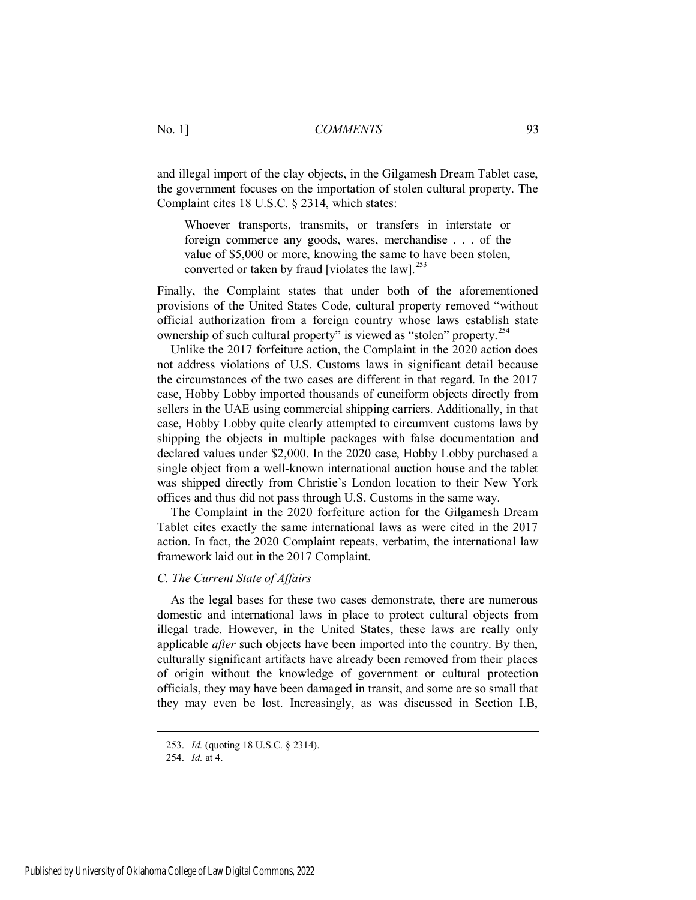and illegal import of the clay objects, in the Gilgamesh Dream Tablet case, the government focuses on the importation of stolen cultural property. The Complaint cites 18 U.S.C. § 2314, which states:

Whoever transports, transmits, or transfers in interstate or foreign commerce any goods, wares, merchandise . . . of the value of \$5,000 or more, knowing the same to have been stolen, converted or taken by fraud [violates the law]. $^{253}$ 

Finally, the Complaint states that under both of the aforementioned provisions of the United States Code, cultural property removed "without official authorization from a foreign country whose laws establish state ownership of such cultural property" is viewed as "stolen" property.<sup>254</sup>

Unlike the 2017 forfeiture action, the Complaint in the 2020 action does not address violations of U.S. Customs laws in significant detail because the circumstances of the two cases are different in that regard. In the 2017 case, Hobby Lobby imported thousands of cuneiform objects directly from sellers in the UAE using commercial shipping carriers. Additionally, in that case, Hobby Lobby quite clearly attempted to circumvent customs laws by shipping the objects in multiple packages with false documentation and declared values under \$2,000. In the 2020 case, Hobby Lobby purchased a single object from a well-known international auction house and the tablet was shipped directly from Christie's London location to their New York offices and thus did not pass through U.S. Customs in the same way.

The Complaint in the 2020 forfeiture action for the Gilgamesh Dream Tablet cites exactly the same international laws as were cited in the 2017 action. In fact, the 2020 Complaint repeats, verbatim, the international law framework laid out in the 2017 Complaint.

#### *C. The Current State of Affairs*

As the legal bases for these two cases demonstrate, there are numerous domestic and international laws in place to protect cultural objects from illegal trade. However, in the United States, these laws are really only applicable *after* such objects have been imported into the country. By then, culturally significant artifacts have already been removed from their places of origin without the knowledge of government or cultural protection officials, they may have been damaged in transit, and some are so small that they may even be lost. Increasingly, as was discussed in Section I.B,

<sup>253.</sup> *Id.* (quoting 18 U.S.C. § 2314).

<sup>254.</sup> *Id.* at 4.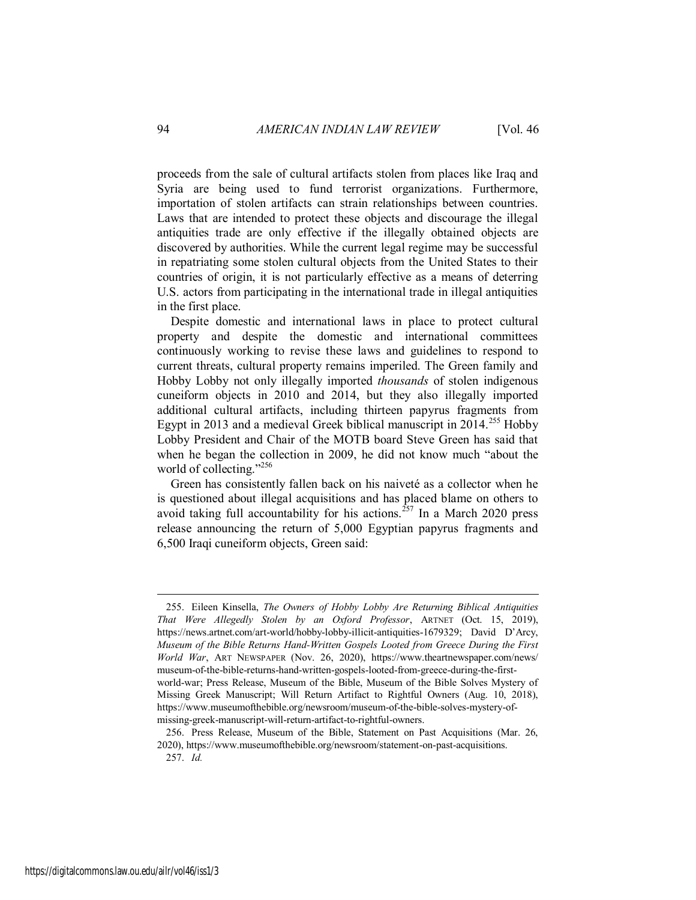proceeds from the sale of cultural artifacts stolen from places like Iraq and Syria are being used to fund terrorist organizations. Furthermore, importation of stolen artifacts can strain relationships between countries. Laws that are intended to protect these objects and discourage the illegal antiquities trade are only effective if the illegally obtained objects are discovered by authorities. While the current legal regime may be successful in repatriating some stolen cultural objects from the United States to their countries of origin, it is not particularly effective as a means of deterring U.S. actors from participating in the international trade in illegal antiquities in the first place.

Despite domestic and international laws in place to protect cultural property and despite the domestic and international committees continuously working to revise these laws and guidelines to respond to current threats, cultural property remains imperiled. The Green family and Hobby Lobby not only illegally imported *thousands* of stolen indigenous cuneiform objects in 2010 and 2014, but they also illegally imported additional cultural artifacts, including thirteen papyrus fragments from Egypt in 2013 and a medieval Greek biblical manuscript in  $2014$ <sup>255</sup> Hobby Lobby President and Chair of the MOTB board Steve Green has said that when he began the collection in 2009, he did not know much "about the world of collecting."<sup>256</sup>

Green has consistently fallen back on his naiveté as a collector when he is questioned about illegal acquisitions and has placed blame on others to avoid taking full accountability for his actions.<sup>257</sup> In a March 2020 press release announcing the return of 5,000 Egyptian papyrus fragments and 6,500 Iraqi cuneiform objects, Green said:

<sup>255.</sup> Eileen Kinsella, *The Owners of Hobby Lobby Are Returning Biblical Antiquities That Were Allegedly Stolen by an Oxford Professor*, ARTNET (Oct. 15, 2019), https://news.artnet.com/art-world/hobby-lobby-illicit-antiquities-1679329; David D'Arcy, *Museum of the Bible Returns Hand-Written Gospels Looted from Greece During the First World War*, ART NEWSPAPER (Nov. 26, 2020), https://www.theartnewspaper.com/news/ museum-of-the-bible-returns-hand-written-gospels-looted-from-greece-during-the-firstworld-war; Press Release, Museum of the Bible, Museum of the Bible Solves Mystery of Missing Greek Manuscript; Will Return Artifact to Rightful Owners (Aug. 10, 2018), https://www.museumofthebible.org/newsroom/museum-of-the-bible-solves-mystery-ofmissing-greek-manuscript-will-return-artifact-to-rightful-owners.

<sup>256.</sup> Press Release, Museum of the Bible, Statement on Past Acquisitions (Mar. 26, 2020), https://www.museumofthebible.org/newsroom/statement-on-past-acquisitions. 257. *Id.*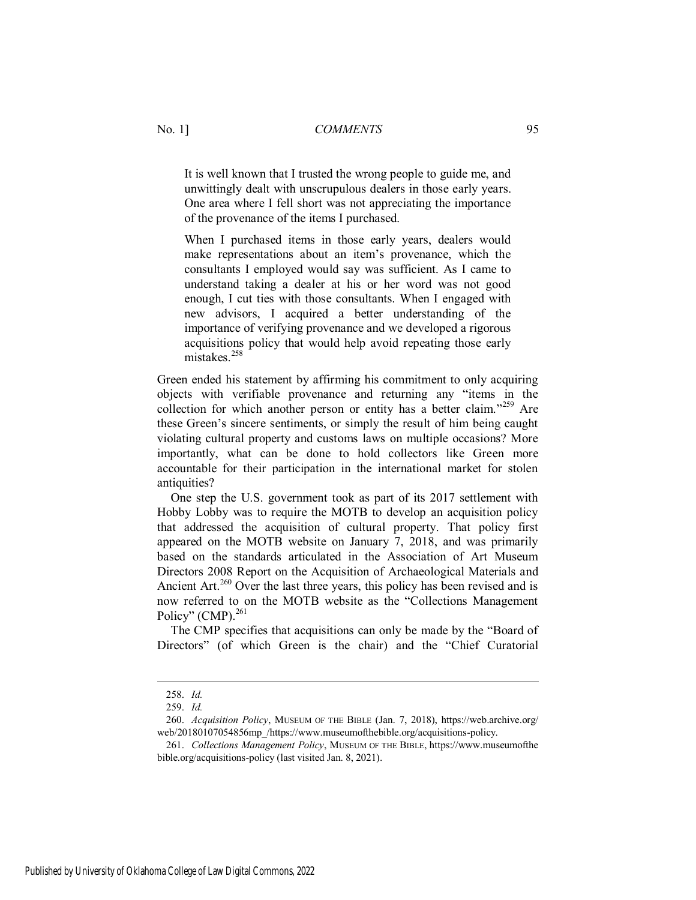It is well known that I trusted the wrong people to guide me, and unwittingly dealt with unscrupulous dealers in those early years. One area where I fell short was not appreciating the importance of the provenance of the items I purchased.

When I purchased items in those early years, dealers would make representations about an item's provenance, which the consultants I employed would say was sufficient. As I came to understand taking a dealer at his or her word was not good enough, I cut ties with those consultants. When I engaged with new advisors, I acquired a better understanding of the importance of verifying provenance and we developed a rigorous acquisitions policy that would help avoid repeating those early mistakes<sup>258</sup>

Green ended his statement by affirming his commitment to only acquiring objects with verifiable provenance and returning any "items in the collection for which another person or entity has a better claim."<sup>259</sup> Are these Green's sincere sentiments, or simply the result of him being caught violating cultural property and customs laws on multiple occasions? More importantly, what can be done to hold collectors like Green more accountable for their participation in the international market for stolen antiquities?

One step the U.S. government took as part of its 2017 settlement with Hobby Lobby was to require the MOTB to develop an acquisition policy that addressed the acquisition of cultural property. That policy first appeared on the MOTB website on January 7, 2018, and was primarily based on the standards articulated in the Association of Art Museum Directors 2008 Report on the Acquisition of Archaeological Materials and Ancient Art.<sup>260</sup> Over the last three years, this policy has been revised and is now referred to on the MOTB website as the "Collections Management Policy" (CMP). $^{261}$ 

The CMP specifies that acquisitions can only be made by the "Board of Directors" (of which Green is the chair) and the "Chief Curatorial

<sup>258.</sup> *Id.* 

<sup>259.</sup> *Id.* 

<sup>260.</sup> *Acquisition Policy*, MUSEUM OF THE BIBLE (Jan. 7, 2018), https://web.archive.org/ web/20180107054856mp /https://www.museumofthebible.org/acquisitions-policy.

<sup>261.</sup> *Collections Management Policy*, MUSEUM OF THE BIBLE, https://www.museumofthe bible.org/acquisitions-policy (last visited Jan. 8, 2021).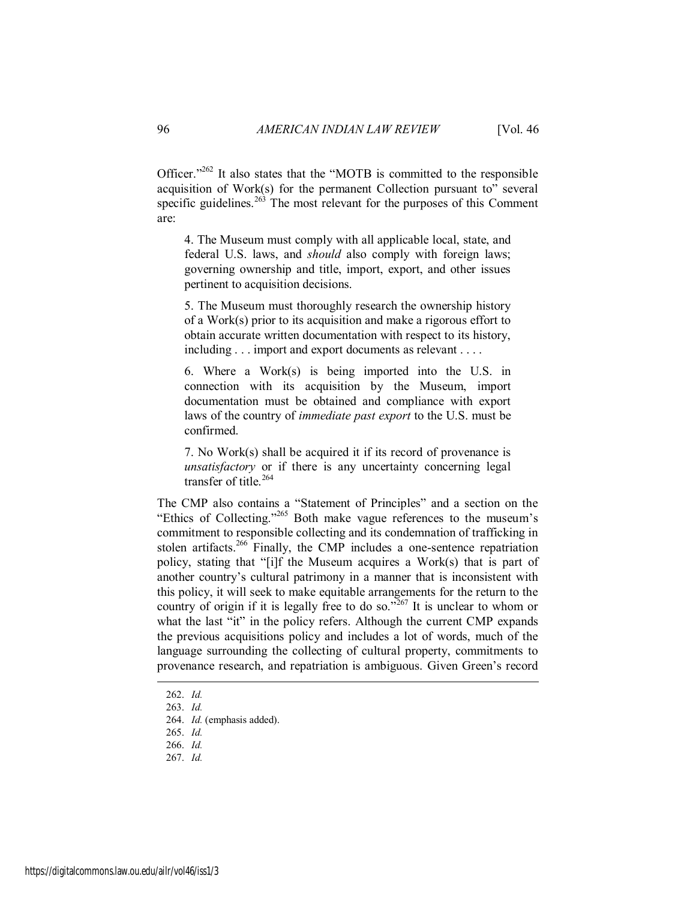Officer." $262$  It also states that the "MOTB is committed to the responsible acquisition of Work(s) for the permanent Collection pursuant to<sup> $\dot{v}$ </sup> several specific guidelines.<sup>263</sup> The most relevant for the purposes of this Comment are:

4. The Museum must comply with all applicable local, state, and federal U.S. laws, and *should* also comply with foreign laws; governing ownership and title, import, export, and other issues pertinent to acquisition decisions.

5. The Museum must thoroughly research the ownership history of a Work(s) prior to its acquisition and make a rigorous effort to obtain accurate written documentation with respect to its history, including . . . import and export documents as relevant . . . .

6. Where a Work(s) is being imported into the U.S. in connection with its acquisition by the Museum, import documentation must be obtained and compliance with export laws of the country of *immediate past export* to the U.S. must be confirmed.

7. No Work(s) shall be acquired it if its record of provenance is *unsatisfactory* or if there is any uncertainty concerning legal transfer of title.<sup>264</sup>

The CMP also contains a "Statement of Principles" and a section on the "Ethics of Collecting."<sup>265</sup> Both make vague references to the museum's commitment to responsible collecting and its condemnation of trafficking in stolen artifacts.<sup>266</sup> Finally, the CMP includes a one-sentence repatriation policy, stating that "[i]f the Museum acquires a Work(s) that is part of another country's cultural patrimony in a manner that is inconsistent with this policy, it will seek to make equitable arrangements for the return to the country of origin if it is legally free to do so.<sup> $5267$ </sup> It is unclear to whom or what the last "it" in the policy refers. Although the current CMP expands the previous acquisitions policy and includes a lot of words, much of the language surrounding the collecting of cultural property, commitments to provenance research, and repatriation is ambiguous. Given Green's record

 $\overline{a}$ 

267. *Id.*

<sup>262.</sup> *Id.*

<sup>263.</sup> *Id.*

<sup>264.</sup> *Id.* (emphasis added).

<sup>265.</sup> *Id.*

<sup>266.</sup> *Id.*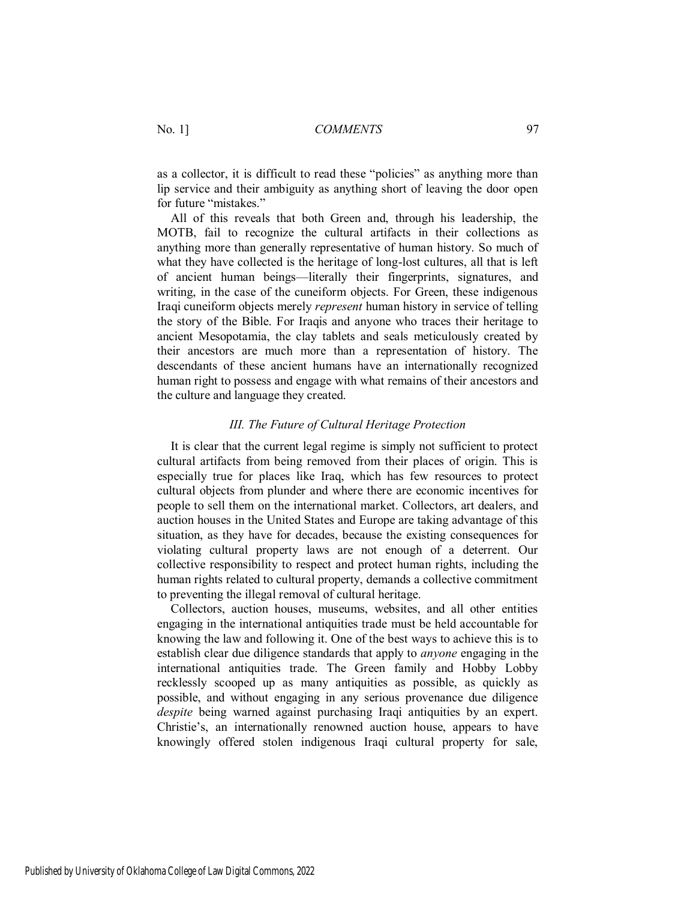as a collector, it is difficult to read these "policies" as anything more than lip service and their ambiguity as anything short of leaving the door open for future "mistakes."

All of this reveals that both Green and, through his leadership, the MOTB, fail to recognize the cultural artifacts in their collections as anything more than generally representative of human history. So much of what they have collected is the heritage of long-lost cultures, all that is left of ancient human beings—literally their fingerprints, signatures, and writing, in the case of the cuneiform objects. For Green, these indigenous Iraqi cuneiform objects merely *represent* human history in service of telling the story of the Bible. For Iraqis and anyone who traces their heritage to ancient Mesopotamia, the clay tablets and seals meticulously created by their ancestors are much more than a representation of history. The descendants of these ancient humans have an internationally recognized human right to possess and engage with what remains of their ancestors and the culture and language they created.

#### *III. The Future of Cultural Heritage Protection*

It is clear that the current legal regime is simply not sufficient to protect cultural artifacts from being removed from their places of origin. This is especially true for places like Iraq, which has few resources to protect cultural objects from plunder and where there are economic incentives for people to sell them on the international market. Collectors, art dealers, and auction houses in the United States and Europe are taking advantage of this situation, as they have for decades, because the existing consequences for violating cultural property laws are not enough of a deterrent. Our collective responsibility to respect and protect human rights, including the human rights related to cultural property, demands a collective commitment to preventing the illegal removal of cultural heritage.

Collectors, auction houses, museums, websites, and all other entities engaging in the international antiquities trade must be held accountable for knowing the law and following it. One of the best ways to achieve this is to establish clear due diligence standards that apply to *anyone* engaging in the international antiquities trade. The Green family and Hobby Lobby recklessly scooped up as many antiquities as possible, as quickly as possible, and without engaging in any serious provenance due diligence *despite* being warned against purchasing Iraqi antiquities by an expert. Christie's, an internationally renowned auction house, appears to have knowingly offered stolen indigenous Iraqi cultural property for sale,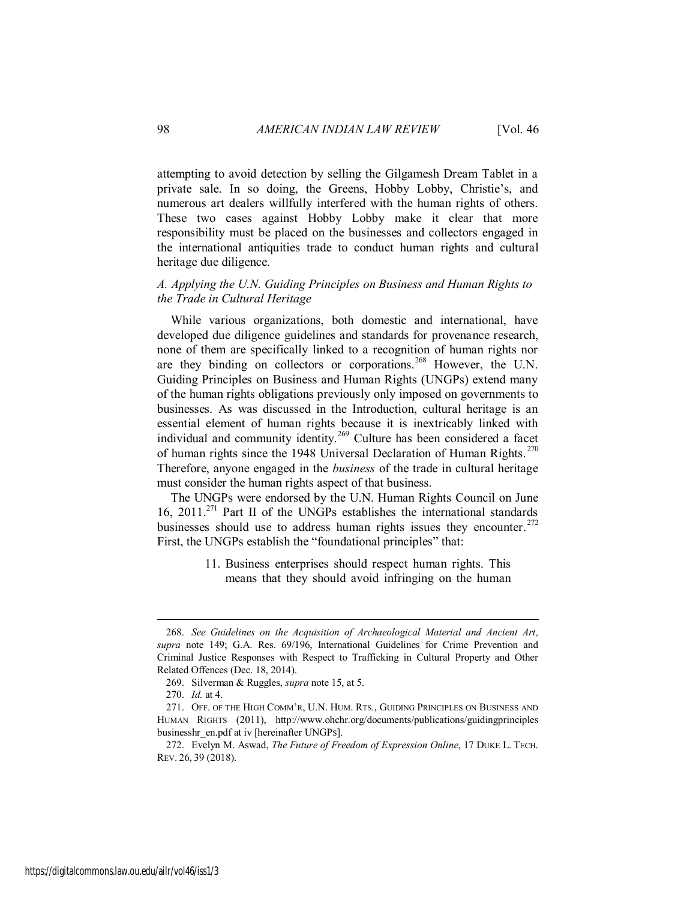attempting to avoid detection by selling the Gilgamesh Dream Tablet in a private sale. In so doing, the Greens, Hobby Lobby, Christie's, and numerous art dealers willfully interfered with the human rights of others. These two cases against Hobby Lobby make it clear that more responsibility must be placed on the businesses and collectors engaged in the international antiquities trade to conduct human rights and cultural heritage due diligence.

#### *A. Applying the U.N. Guiding Principles on Business and Human Rights to the Trade in Cultural Heritage*

While various organizations, both domestic and international, have developed due diligence guidelines and standards for provenance research, none of them are specifically linked to a recognition of human rights nor are they binding on collectors or corporations.<sup>268</sup> However, the U.N. Guiding Principles on Business and Human Rights (UNGPs) extend many of the human rights obligations previously only imposed on governments to businesses. As was discussed in the Introduction, cultural heritage is an essential element of human rights because it is inextricably linked with individual and community identity.<sup>269</sup> Culture has been considered a facet of human rights since the 1948 Universal Declaration of Human Rights.<sup>270</sup> Therefore, anyone engaged in the *business* of the trade in cultural heritage must consider the human rights aspect of that business.

The UNGPs were endorsed by the U.N. Human Rights Council on June 16, 2011.<sup>271</sup> Part II of the UNGPs establishes the international standards businesses should use to address human rights issues they encounter.<sup>272</sup> First, the UNGPs establish the "foundational principles" that:

> 11. Business enterprises should respect human rights. This means that they should avoid infringing on the human

<sup>268.</sup> *See Guidelines on the Acquisition of Archaeological Material and Ancient Art, supra* note 149; G.A. Res. 69/196, International Guidelines for Crime Prevention and Criminal Justice Responses with Respect to Trafficking in Cultural Property and Other Related Offences (Dec. 18, 2014).

<sup>269.</sup> Silverman & Ruggles, *supra* note 15, at 5.

<sup>270.</sup> *Id.* at 4.

<sup>271.</sup> OFF. OF THE HIGH COMM'R, U.N. HUM. RTS., GUIDING PRINCIPLES ON BUSINESS AND HUMAN RIGHTS (2011), http://www.ohchr.org/documents/publications/guidingprinciples businesshr\_en.pdf at iv [hereinafter UNGPS].

<sup>272.</sup> Evelyn M. Aswad, *The Future of Freedom of Expression Online*, 17 DUKE L. TECH. REV. 26, 39 (2018).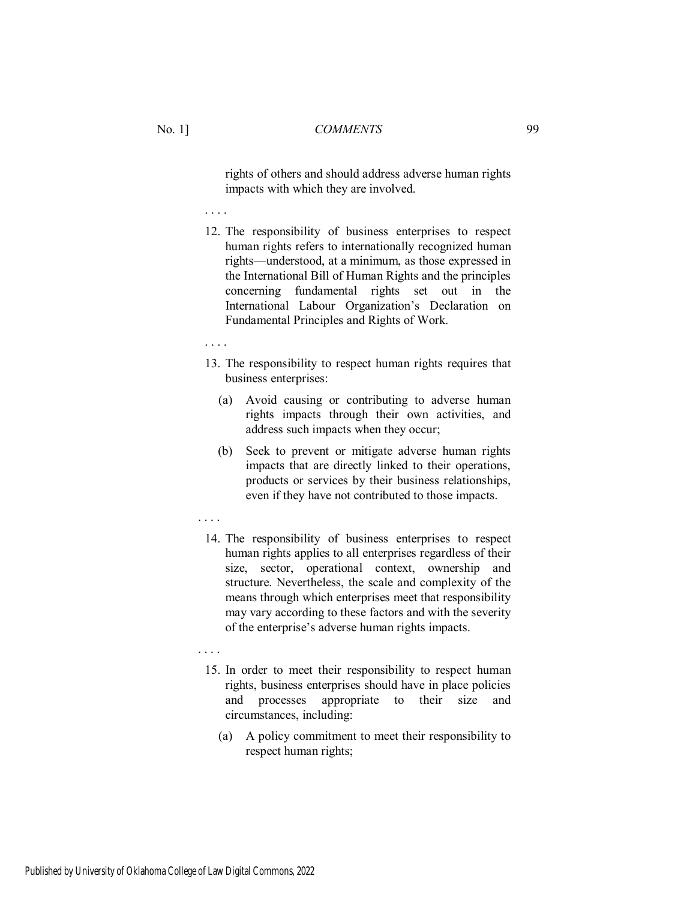rights of others and should address adverse human rights impacts with which they are involved.

. . . .

12. The responsibility of business enterprises to respect human rights refers to internationally recognized human rights—understood, at a minimum, as those expressed in the International Bill of Human Rights and the principles concerning fundamental rights set out in the International Labour Organization's Declaration on Fundamental Principles and Rights of Work.

. . . .

- 13. The responsibility to respect human rights requires that business enterprises:
	- (a) Avoid causing or contributing to adverse human rights impacts through their own activities, and address such impacts when they occur;
	- (b) Seek to prevent or mitigate adverse human rights impacts that are directly linked to their operations, products or services by their business relationships, even if they have not contributed to those impacts.
- . . . .
	- 14. The responsibility of business enterprises to respect human rights applies to all enterprises regardless of their size, sector, operational context, ownership and structure. Nevertheless, the scale and complexity of the means through which enterprises meet that responsibility may vary according to these factors and with the severity of the enterprise's adverse human rights impacts.
	- . . . .
		- 15. In order to meet their responsibility to respect human rights, business enterprises should have in place policies and processes appropriate to their size and circumstances, including:
			- (a) A policy commitment to meet their responsibility to respect human rights;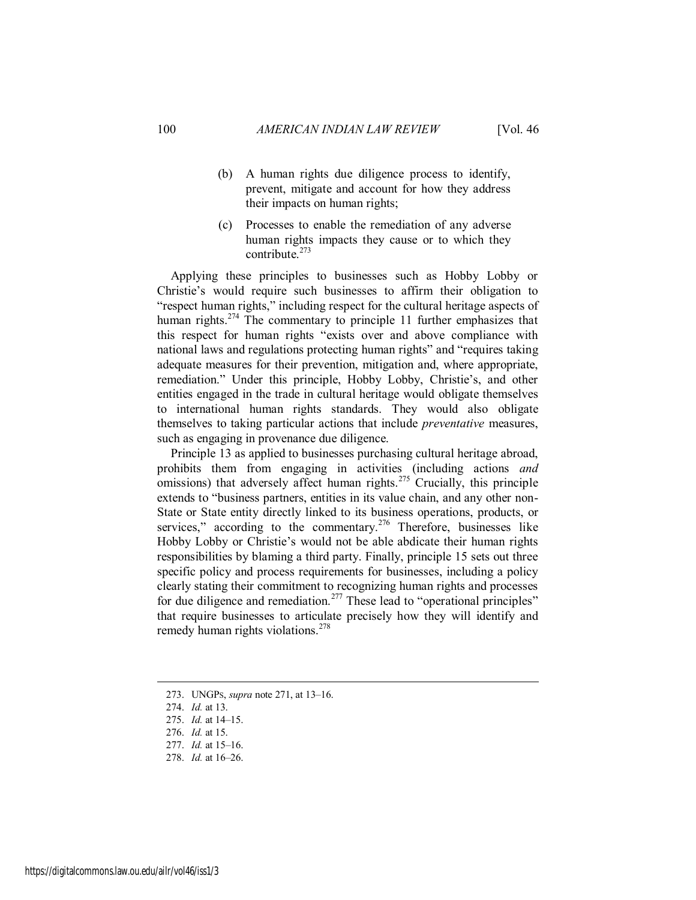- (b) A human rights due diligence process to identify, prevent, mitigate and account for how they address their impacts on human rights;
- (c) Processes to enable the remediation of any adverse human rights impacts they cause or to which they contribute. $273$

Applying these principles to businesses such as Hobby Lobby or Christie's would require such businesses to affirm their obligation to "respect human rights," including respect for the cultural heritage aspects of human rights.<sup>274</sup> The commentary to principle 11 further emphasizes that this respect for human rights "exists over and above compliance with national laws and regulations protecting human rights" and "requires taking adequate measures for their prevention, mitigation and, where appropriate, remediation." Under this principle, Hobby Lobby, Christie's, and other entities engaged in the trade in cultural heritage would obligate themselves to international human rights standards. They would also obligate themselves to taking particular actions that include *preventative* measures, such as engaging in provenance due diligence.

Principle 13 as applied to businesses purchasing cultural heritage abroad, prohibits them from engaging in activities (including actions *and* omissions) that adversely affect human rights.<sup>275</sup> Crucially, this principle extends to "business partners, entities in its value chain, and any other non-State or State entity directly linked to its business operations, products, or services," according to the commentary.<sup>276</sup> Therefore, businesses like Hobby Lobby or Christie's would not be able abdicate their human rights responsibilities by blaming a third party. Finally, principle 15 sets out three specific policy and process requirements for businesses, including a policy clearly stating their commitment to recognizing human rights and processes for due diligence and remediation.<sup>277</sup> These lead to "operational principles" that require businesses to articulate precisely how they will identify and remedy human rights violations.<sup>278</sup>

<sup>273.</sup> UNGPS, *supra* note 271, at 13–16.

<sup>274.</sup> *Id.* at 13.

<sup>275.</sup> *Id.* at 14–15.

<sup>276.</sup> *Id.* at 15.

<sup>277.</sup> *Id.* at 15–16.

<sup>278.</sup> *Id.* at 16–26.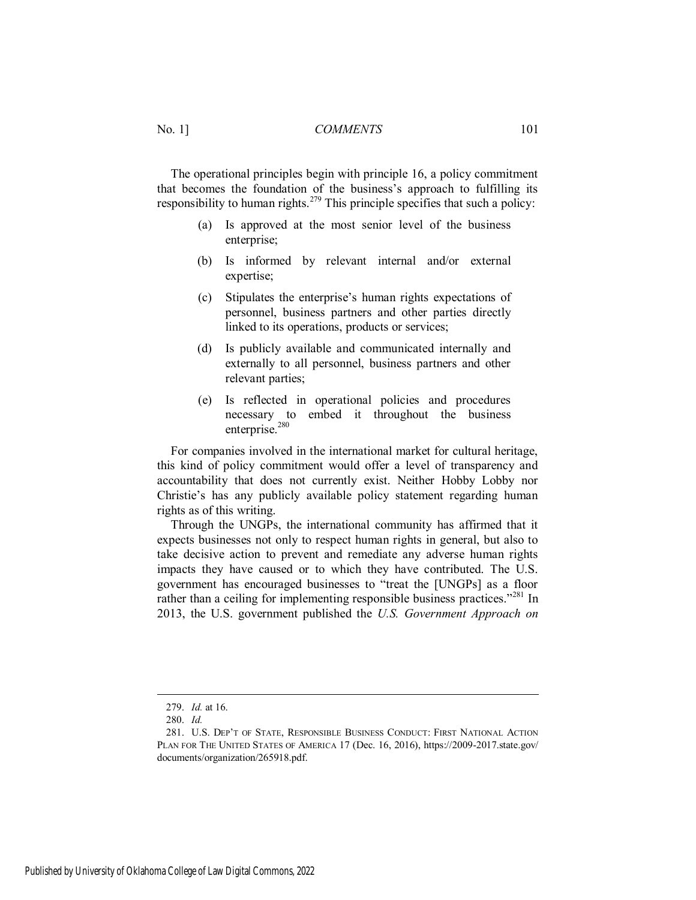The operational principles begin with principle 16, a policy commitment that becomes the foundation of the business's approach to fulfilling its responsibility to human rights.<sup>279</sup> This principle specifies that such a policy:

- (a) Is approved at the most senior level of the business enterprise;
- (b) Is informed by relevant internal and/or external expertise;
- (c) Stipulates the enterprise's human rights expectations of personnel, business partners and other parties directly linked to its operations, products or services;
- (d) Is publicly available and communicated internally and externally to all personnel, business partners and other relevant parties;
- (e) Is reflected in operational policies and procedures necessary to embed it throughout the business enterprise.<sup>280</sup>

For companies involved in the international market for cultural heritage, this kind of policy commitment would offer a level of transparency and accountability that does not currently exist. Neither Hobby Lobby nor Christie's has any publicly available policy statement regarding human rights as of this writing.

Through the UNGPs, the international community has affirmed that it expects businesses not only to respect human rights in general, but also to take decisive action to prevent and remediate any adverse human rights impacts they have caused or to which they have contributed. The U.S. government has encouraged businesses to "treat the [UNGPs] as a floor rather than a ceiling for implementing responsible business practices."<sup>281</sup> In 2013, the U.S. government published the *U.S. Government Approach on* 

<sup>279.</sup> *Id.* at 16.

<sup>280.</sup> *Id.*

<sup>281.</sup> U.S. DEP'T OF STATE, RESPONSIBLE BUSINESS CONDUCT: FIRST NATIONAL ACTION PLAN FOR THE UNITED STATES OF AMERICA 17 (Dec. 16, 2016), https://2009-2017.state.gov/ documents/organization/265918.pdf.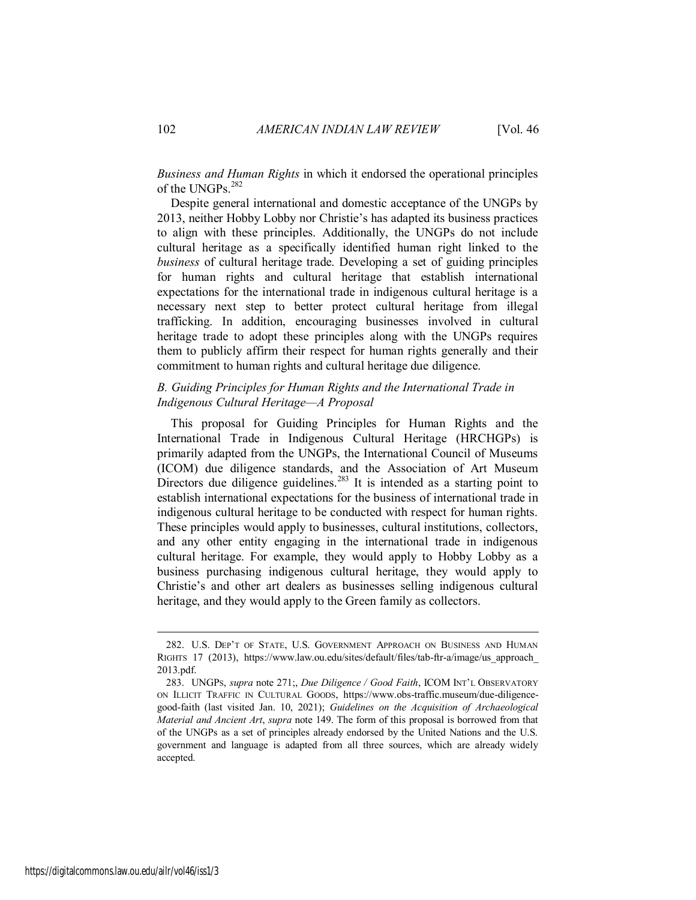*Business and Human Rights* in which it endorsed the operational principles of the UNGPs.<sup>282</sup>

Despite general international and domestic acceptance of the UNGPs by 2013, neither Hobby Lobby nor Christie's has adapted its business practices to align with these principles. Additionally, the UNGPs do not include cultural heritage as a specifically identified human right linked to the *business* of cultural heritage trade. Developing a set of guiding principles for human rights and cultural heritage that establish international expectations for the international trade in indigenous cultural heritage is a necessary next step to better protect cultural heritage from illegal trafficking. In addition, encouraging businesses involved in cultural heritage trade to adopt these principles along with the UNGPs requires them to publicly affirm their respect for human rights generally and their commitment to human rights and cultural heritage due diligence.

#### *B. Guiding Principles for Human Rights and the International Trade in Indigenous Cultural Heritage—A Proposal*

This proposal for Guiding Principles for Human Rights and the International Trade in Indigenous Cultural Heritage (HRCHGPs) is primarily adapted from the UNGPs, the International Council of Museums (ICOM) due diligence standards, and the Association of Art Museum Directors due diligence guidelines.<sup>283</sup> It is intended as a starting point to establish international expectations for the business of international trade in indigenous cultural heritage to be conducted with respect for human rights. These principles would apply to businesses, cultural institutions, collectors, and any other entity engaging in the international trade in indigenous cultural heritage. For example, they would apply to Hobby Lobby as a business purchasing indigenous cultural heritage, they would apply to Christie's and other art dealers as businesses selling indigenous cultural heritage, and they would apply to the Green family as collectors.

<sup>282.</sup> U.S. DEP'T OF STATE, U.S. GOVERNMENT APPROACH ON BUSINESS AND HUMAN RIGHTS 17 (2013), https://www.law.ou.edu/sites/default/files/tab-ftr-a/image/us\_approach\_ 2013.pdf.

<sup>283.</sup> UNGPS, *supra* note 271;, *Due Diligence / Good Faith*, ICOM INT'L OBSERVATORY ON ILLICIT TRAFFIC IN CULTURAL GOODS, https://www.obs-traffic.museum/due-diligencegood-faith (last visited Jan. 10, 2021); *Guidelines on the Acquisition of Archaeological Material and Ancient Art*, *supra* note 149. The form of this proposal is borrowed from that of the UNGPs as a set of principles already endorsed by the United Nations and the U.S. government and language is adapted from all three sources, which are already widely accepted.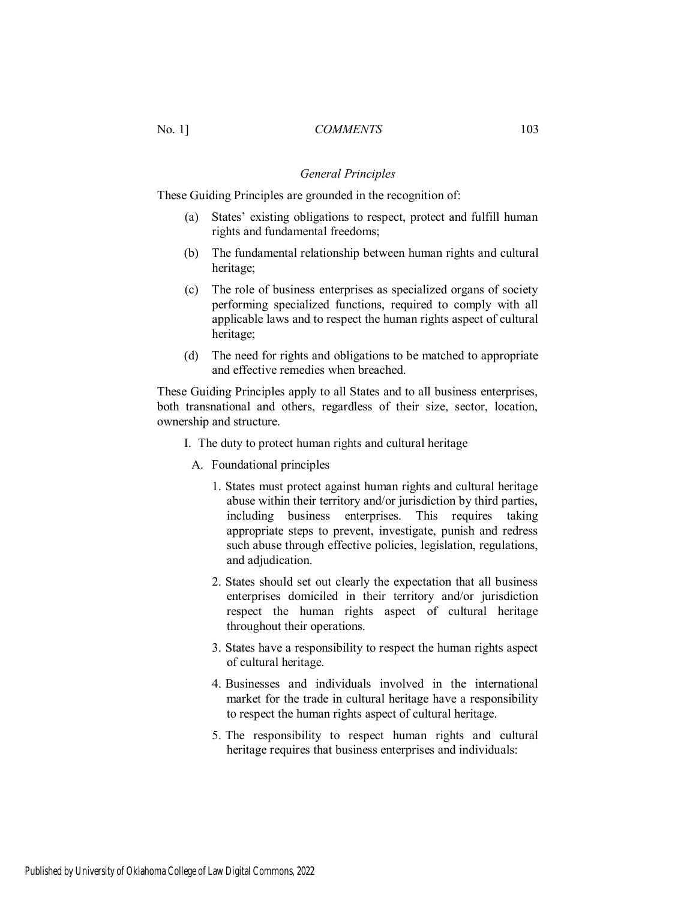#### *General Principles*

These Guiding Principles are grounded in the recognition of:

- (a) States' existing obligations to respect, protect and fulfill human rights and fundamental freedoms;
- (b) The fundamental relationship between human rights and cultural heritage;
- (c) The role of business enterprises as specialized organs of society performing specialized functions, required to comply with all applicable laws and to respect the human rights aspect of cultural heritage;
- (d) The need for rights and obligations to be matched to appropriate and effective remedies when breached.

These Guiding Principles apply to all States and to all business enterprises, both transnational and others, regardless of their size, sector, location, ownership and structure.

- I. The duty to protect human rights and cultural heritage
	- A. Foundational principles
		- 1. States must protect against human rights and cultural heritage abuse within their territory and/or jurisdiction by third parties, including business enterprises. This requires taking appropriate steps to prevent, investigate, punish and redress such abuse through effective policies, legislation, regulations, and adjudication.
		- 2. States should set out clearly the expectation that all business enterprises domiciled in their territory and/or jurisdiction respect the human rights aspect of cultural heritage throughout their operations.
		- 3. States have a responsibility to respect the human rights aspect of cultural heritage.
		- 4. Businesses and individuals involved in the international market for the trade in cultural heritage have a responsibility to respect the human rights aspect of cultural heritage.
		- 5. The responsibility to respect human rights and cultural heritage requires that business enterprises and individuals: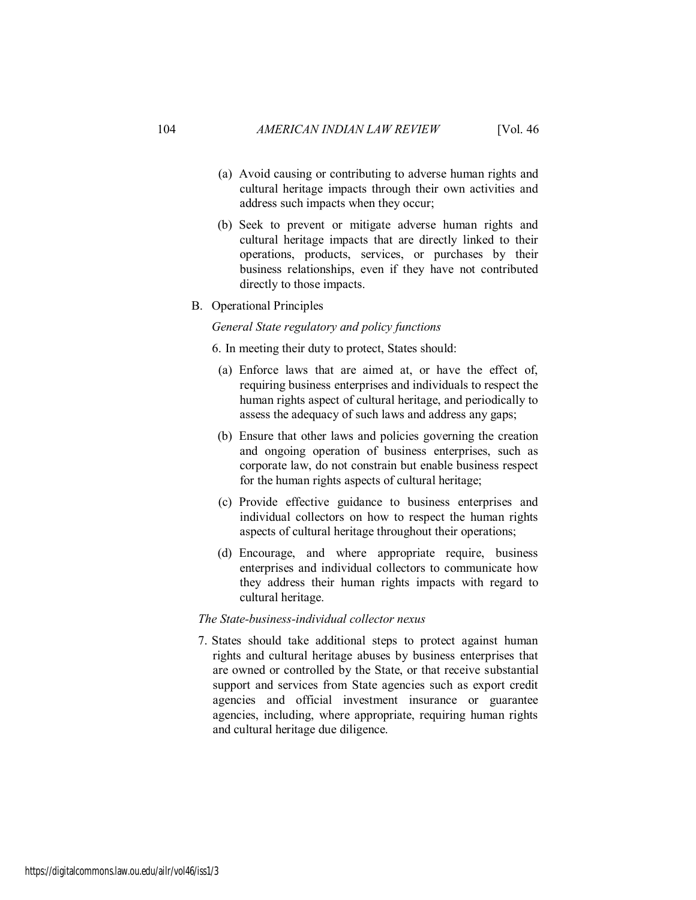- (a) Avoid causing or contributing to adverse human rights and cultural heritage impacts through their own activities and address such impacts when they occur;
- (b) Seek to prevent or mitigate adverse human rights and cultural heritage impacts that are directly linked to their operations, products, services, or purchases by their business relationships, even if they have not contributed directly to those impacts.
- B. Operational Principles

#### *General State regulatory and policy functions*

6. In meeting their duty to protect, States should:

- (a) Enforce laws that are aimed at, or have the effect of, requiring business enterprises and individuals to respect the human rights aspect of cultural heritage, and periodically to assess the adequacy of such laws and address any gaps;
- (b) Ensure that other laws and policies governing the creation and ongoing operation of business enterprises, such as corporate law, do not constrain but enable business respect for the human rights aspects of cultural heritage;
- (c) Provide effective guidance to business enterprises and individual collectors on how to respect the human rights aspects of cultural heritage throughout their operations;
- (d) Encourage, and where appropriate require, business enterprises and individual collectors to communicate how they address their human rights impacts with regard to cultural heritage.

#### *The State-business-individual collector nexus*

7. States should take additional steps to protect against human rights and cultural heritage abuses by business enterprises that are owned or controlled by the State, or that receive substantial support and services from State agencies such as export credit agencies and official investment insurance or guarantee agencies, including, where appropriate, requiring human rights and cultural heritage due diligence.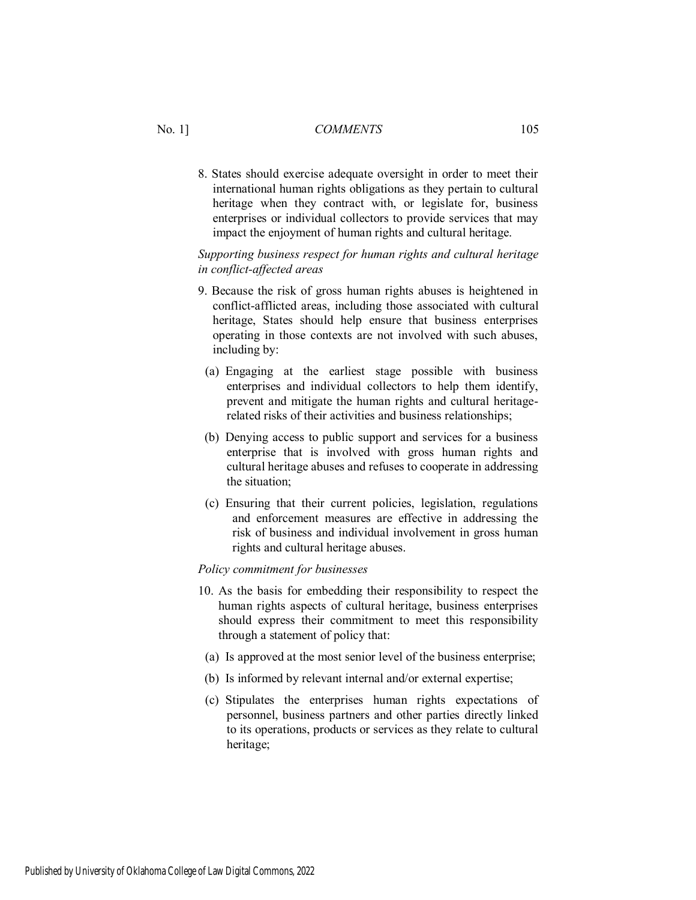8. States should exercise adequate oversight in order to meet their international human rights obligations as they pertain to cultural heritage when they contract with, or legislate for, business enterprises or individual collectors to provide services that may impact the enjoyment of human rights and cultural heritage.

#### *Supporting business respect for human rights and cultural heritage in conflict-affected areas*

- 9. Because the risk of gross human rights abuses is heightened in conflict-afflicted areas, including those associated with cultural heritage, States should help ensure that business enterprises operating in those contexts are not involved with such abuses, including by:
- (a) Engaging at the earliest stage possible with business enterprises and individual collectors to help them identify, prevent and mitigate the human rights and cultural heritagerelated risks of their activities and business relationships;
- (b) Denying access to public support and services for a business enterprise that is involved with gross human rights and cultural heritage abuses and refuses to cooperate in addressing the situation;
- (c) Ensuring that their current policies, legislation, regulations and enforcement measures are effective in addressing the risk of business and individual involvement in gross human rights and cultural heritage abuses.

#### *Policy commitment for businesses*

- 10. As the basis for embedding their responsibility to respect the human rights aspects of cultural heritage, business enterprises should express their commitment to meet this responsibility through a statement of policy that:
- (a) Is approved at the most senior level of the business enterprise;
- (b) Is informed by relevant internal and/or external expertise;
- (c) Stipulates the enterprises human rights expectations of personnel, business partners and other parties directly linked to its operations, products or services as they relate to cultural heritage;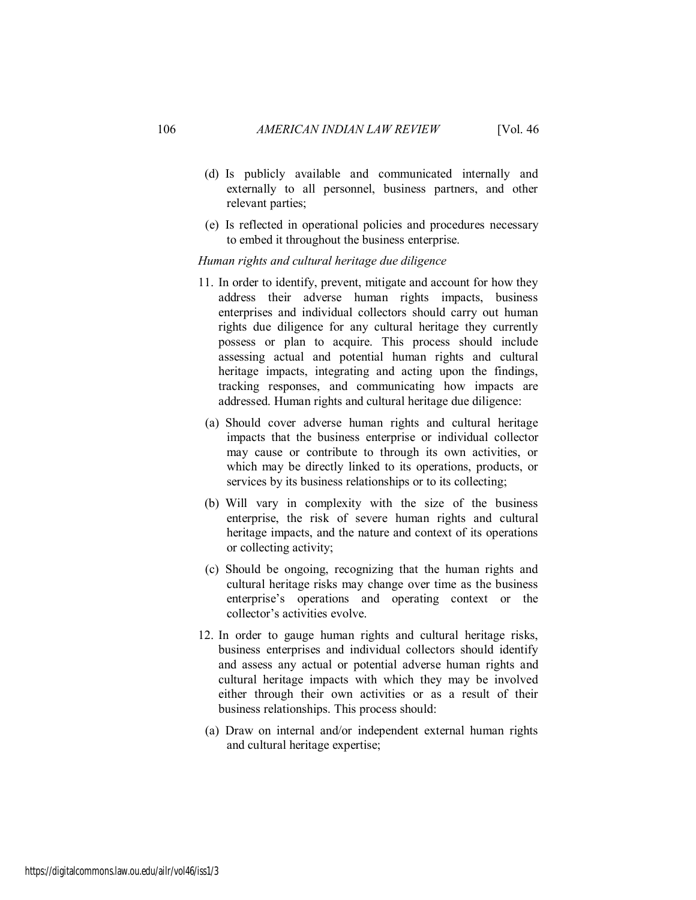- (d) Is publicly available and communicated internally and externally to all personnel, business partners, and other relevant parties;
- (e) Is reflected in operational policies and procedures necessary to embed it throughout the business enterprise.

#### *Human rights and cultural heritage due diligence*

- 11. In order to identify, prevent, mitigate and account for how they address their adverse human rights impacts, business enterprises and individual collectors should carry out human rights due diligence for any cultural heritage they currently possess or plan to acquire. This process should include assessing actual and potential human rights and cultural heritage impacts, integrating and acting upon the findings, tracking responses, and communicating how impacts are addressed. Human rights and cultural heritage due diligence:
- (a) Should cover adverse human rights and cultural heritage impacts that the business enterprise or individual collector may cause or contribute to through its own activities, or which may be directly linked to its operations, products, or services by its business relationships or to its collecting;
- (b) Will vary in complexity with the size of the business enterprise, the risk of severe human rights and cultural heritage impacts, and the nature and context of its operations or collecting activity;
- (c) Should be ongoing, recognizing that the human rights and cultural heritage risks may change over time as the business enterprise's operations and operating context or the collector's activities evolve.
- 12. In order to gauge human rights and cultural heritage risks, business enterprises and individual collectors should identify and assess any actual or potential adverse human rights and cultural heritage impacts with which they may be involved either through their own activities or as a result of their business relationships. This process should:
- (a) Draw on internal and/or independent external human rights and cultural heritage expertise;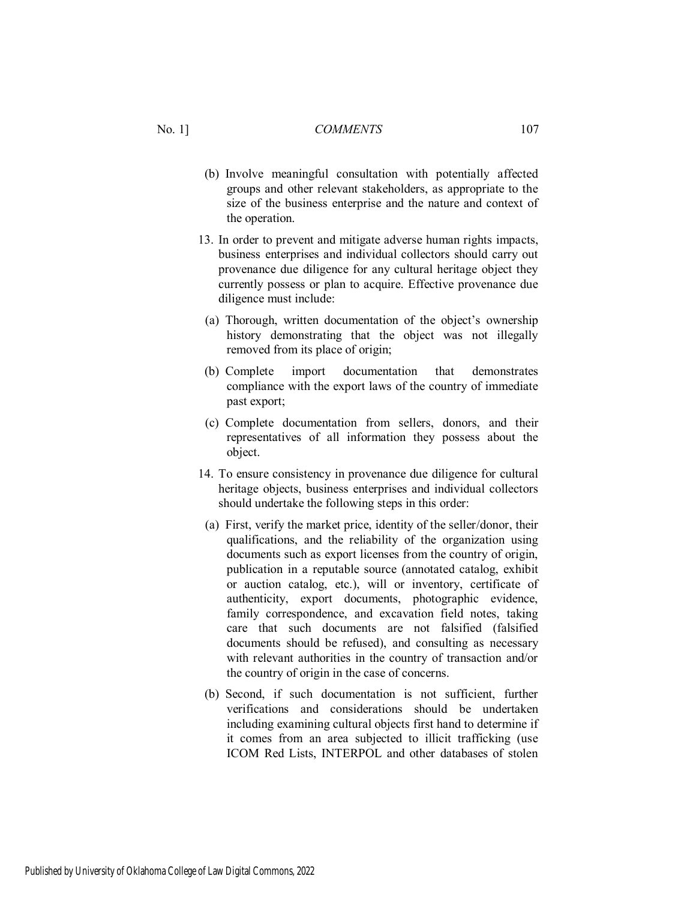- (b) Involve meaningful consultation with potentially affected groups and other relevant stakeholders, as appropriate to the size of the business enterprise and the nature and context of the operation.
- 13. In order to prevent and mitigate adverse human rights impacts, business enterprises and individual collectors should carry out provenance due diligence for any cultural heritage object they currently possess or plan to acquire. Effective provenance due diligence must include:
- (a) Thorough, written documentation of the object's ownership history demonstrating that the object was not illegally removed from its place of origin;
- (b) Complete import documentation that demonstrates compliance with the export laws of the country of immediate past export;
- (c) Complete documentation from sellers, donors, and their representatives of all information they possess about the object.
- 14. To ensure consistency in provenance due diligence for cultural heritage objects, business enterprises and individual collectors should undertake the following steps in this order:
- (a) First, verify the market price, identity of the seller/donor, their qualifications, and the reliability of the organization using documents such as export licenses from the country of origin, publication in a reputable source (annotated catalog, exhibit or auction catalog, etc.), will or inventory, certificate of authenticity, export documents, photographic evidence, family correspondence, and excavation field notes, taking care that such documents are not falsified (falsified documents should be refused), and consulting as necessary with relevant authorities in the country of transaction and/or the country of origin in the case of concerns.
- (b) Second, if such documentation is not sufficient, further verifications and considerations should be undertaken including examining cultural objects first hand to determine if it comes from an area subjected to illicit trafficking (use ICOM Red Lists, INTERPOL and other databases of stolen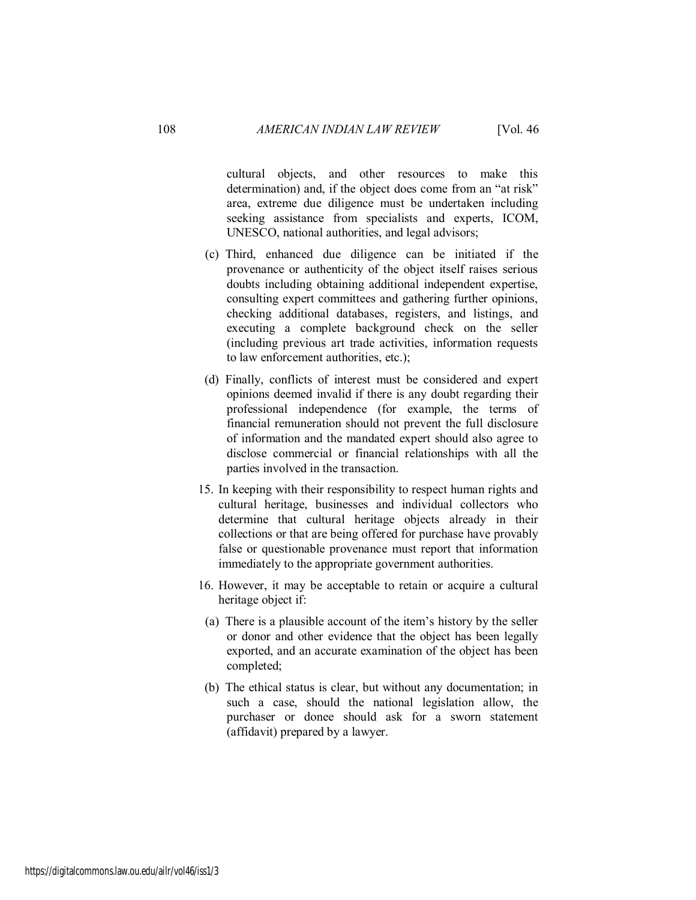cultural objects, and other resources to make this determination) and, if the object does come from an "at risk" area, extreme due diligence must be undertaken including seeking assistance from specialists and experts, ICOM, UNESCO, national authorities, and legal advisors;

- (c) Third, enhanced due diligence can be initiated if the provenance or authenticity of the object itself raises serious doubts including obtaining additional independent expertise, consulting expert committees and gathering further opinions, checking additional databases, registers, and listings, and executing a complete background check on the seller (including previous art trade activities, information requests to law enforcement authorities, etc.);
- (d) Finally, conflicts of interest must be considered and expert opinions deemed invalid if there is any doubt regarding their professional independence (for example, the terms of financial remuneration should not prevent the full disclosure of information and the mandated expert should also agree to disclose commercial or financial relationships with all the parties involved in the transaction.
- 15. In keeping with their responsibility to respect human rights and cultural heritage, businesses and individual collectors who determine that cultural heritage objects already in their collections or that are being offered for purchase have provably false or questionable provenance must report that information immediately to the appropriate government authorities.
- 16. However, it may be acceptable to retain or acquire a cultural heritage object if:
- (a) There is a plausible account of the item's history by the seller or donor and other evidence that the object has been legally exported, and an accurate examination of the object has been completed;
- (b) The ethical status is clear, but without any documentation; in such a case, should the national legislation allow, the purchaser or donee should ask for a sworn statement (affidavit) prepared by a lawyer.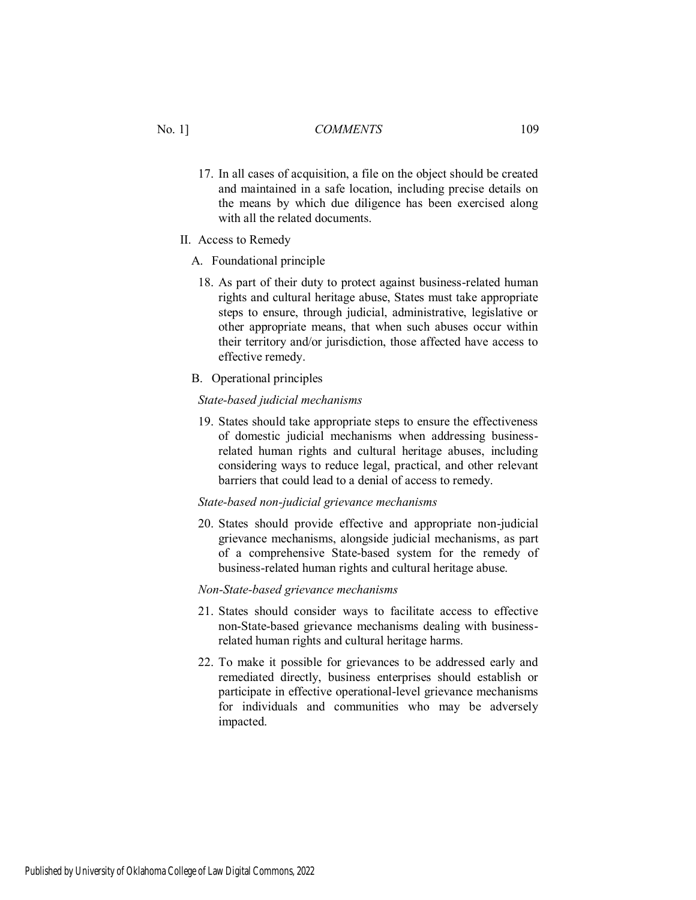- 17. In all cases of acquisition, a file on the object should be created and maintained in a safe location, including precise details on the means by which due diligence has been exercised along with all the related documents.
- II. Access to Remedy
	- A. Foundational principle
		- 18. As part of their duty to protect against business-related human rights and cultural heritage abuse, States must take appropriate steps to ensure, through judicial, administrative, legislative or other appropriate means, that when such abuses occur within their territory and/or jurisdiction, those affected have access to effective remedy.
	- B. Operational principles

#### *State-based judicial mechanisms*

19. States should take appropriate steps to ensure the effectiveness of domestic judicial mechanisms when addressing businessrelated human rights and cultural heritage abuses, including considering ways to reduce legal, practical, and other relevant barriers that could lead to a denial of access to remedy.

#### *State-based non-judicial grievance mechanisms*

20. States should provide effective and appropriate non-judicial grievance mechanisms, alongside judicial mechanisms, as part of a comprehensive State-based system for the remedy of business-related human rights and cultural heritage abuse.

#### *Non-State-based grievance mechanisms*

- 21. States should consider ways to facilitate access to effective non-State-based grievance mechanisms dealing with businessrelated human rights and cultural heritage harms.
- 22. To make it possible for grievances to be addressed early and remediated directly, business enterprises should establish or participate in effective operational-level grievance mechanisms for individuals and communities who may be adversely impacted.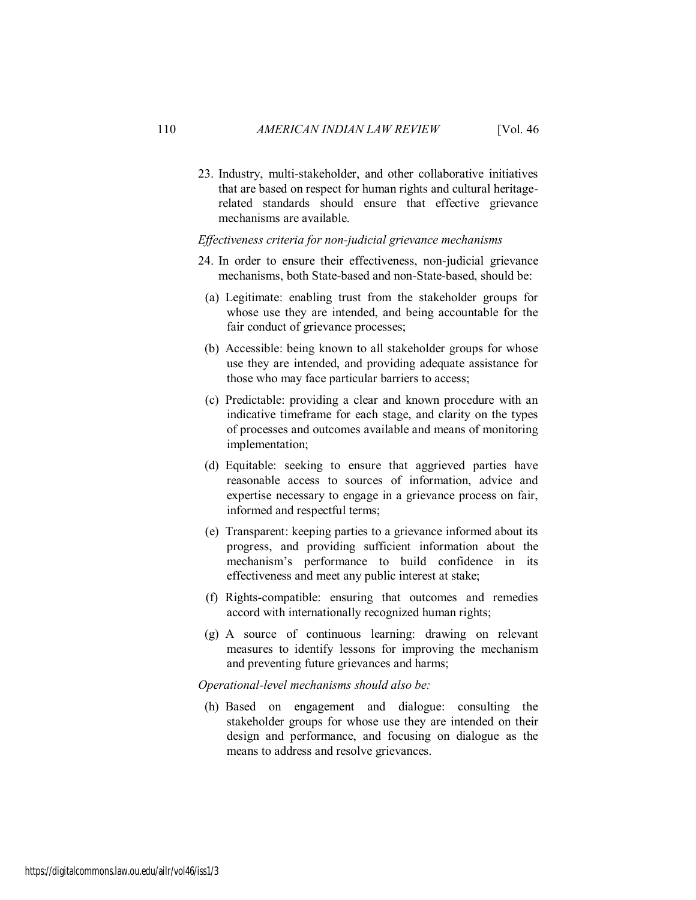23. Industry, multi-stakeholder, and other collaborative initiatives that are based on respect for human rights and cultural heritagerelated standards should ensure that effective grievance mechanisms are available.

#### *Effectiveness criteria for non-judicial grievance mechanisms*

- 24. In order to ensure their effectiveness, non-judicial grievance mechanisms, both State-based and non-State-based, should be:
- (a) Legitimate: enabling trust from the stakeholder groups for whose use they are intended, and being accountable for the fair conduct of grievance processes;
- (b) Accessible: being known to all stakeholder groups for whose use they are intended, and providing adequate assistance for those who may face particular barriers to access;
- (c) Predictable: providing a clear and known procedure with an indicative timeframe for each stage, and clarity on the types of processes and outcomes available and means of monitoring implementation;
- (d) Equitable: seeking to ensure that aggrieved parties have reasonable access to sources of information, advice and expertise necessary to engage in a grievance process on fair, informed and respectful terms;
- (e) Transparent: keeping parties to a grievance informed about its progress, and providing sufficient information about the mechanism's performance to build confidence in its effectiveness and meet any public interest at stake;
- (f) Rights-compatible: ensuring that outcomes and remedies accord with internationally recognized human rights;
- (g) A source of continuous learning: drawing on relevant measures to identify lessons for improving the mechanism and preventing future grievances and harms;

 *Operational-level mechanisms should also be:* 

(h) Based on engagement and dialogue: consulting the stakeholder groups for whose use they are intended on their design and performance, and focusing on dialogue as the means to address and resolve grievances.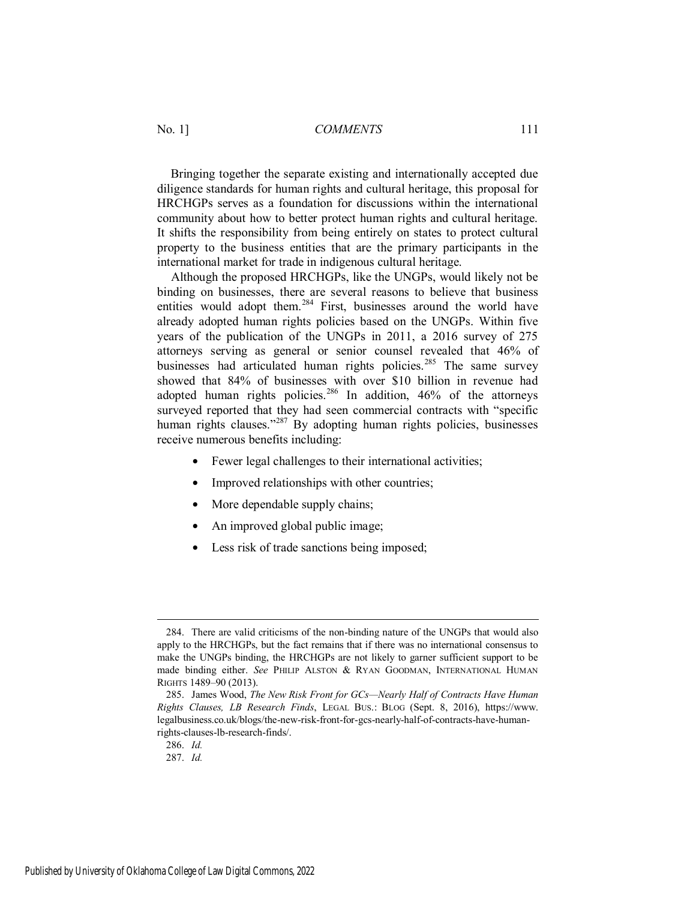Bringing together the separate existing and internationally accepted due diligence standards for human rights and cultural heritage, this proposal for HRCHGPs serves as a foundation for discussions within the international community about how to better protect human rights and cultural heritage. It shifts the responsibility from being entirely on states to protect cultural property to the business entities that are the primary participants in the international market for trade in indigenous cultural heritage.

Although the proposed HRCHGPs, like the UNGPs, would likely not be binding on businesses, there are several reasons to believe that business entities would adopt them.<sup>284</sup> First, businesses around the world have already adopted human rights policies based on the UNGPs. Within five years of the publication of the UNGPs in 2011, a 2016 survey of 275 attorneys serving as general or senior counsel revealed that 46% of businesses had articulated human rights policies.<sup>285</sup> The same survey showed that 84% of businesses with over \$10 billion in revenue had adopted human rights policies.<sup>286</sup> In addition, 46% of the attorneys surveyed reported that they had seen commercial contracts with "specific human rights clauses."<sup>287</sup> By adopting human rights policies, businesses receive numerous benefits including:

- Fewer legal challenges to their international activities;
- Improved relationships with other countries;
- More dependable supply chains;
- An improved global public image;
- Less risk of trade sanctions being imposed;

<sup>284.</sup> There are valid criticisms of the non-binding nature of the UNGPs that would also apply to the HRCHGPs, but the fact remains that if there was no international consensus to make the UNGPs binding, the HRCHGPs are not likely to garner sufficient support to be made binding either. *See* PHILIP ALSTON & RYAN GOODMAN, INTERNATIONAL HUMAN RIGHTS 1489–90 (2013).

<sup>285.</sup> James Wood, *The New Risk Front for GCs—Nearly Half of Contracts Have Human Rights Clauses, LB Research Finds*, LEGAL BUS.: BLOG (Sept. 8, 2016), https://www. legalbusiness.co.uk/blogs/the-new-risk-front-for-gcs-nearly-half-of-contracts-have-humanrights-clauses-lb-research-finds/.

<sup>286.</sup> *Id.*

<sup>287.</sup> *Id.*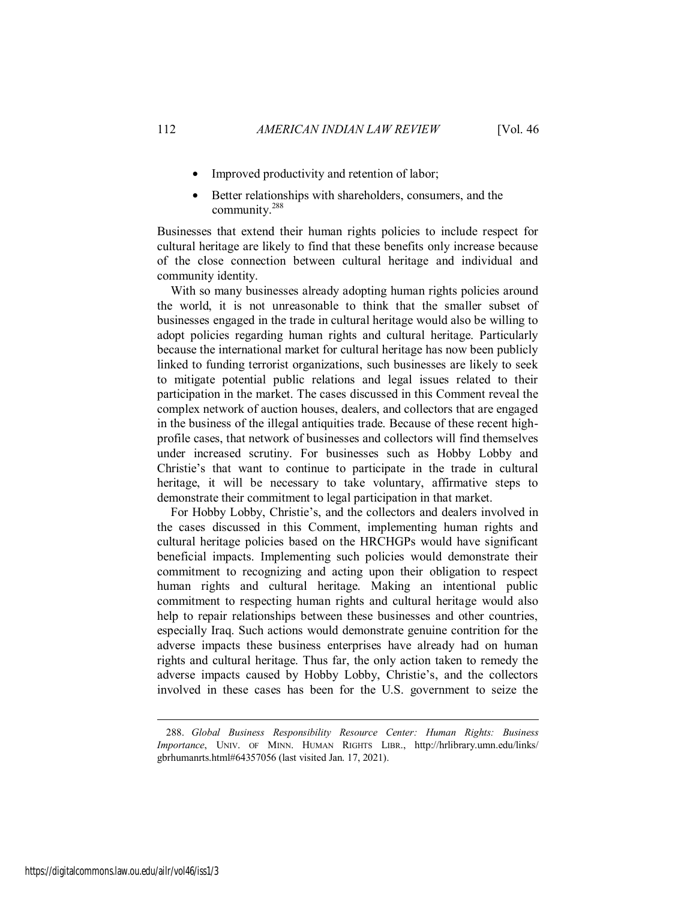- Improved productivity and retention of labor;
- Better relationships with shareholders, consumers, and the community.<sup>288</sup>

Businesses that extend their human rights policies to include respect for cultural heritage are likely to find that these benefits only increase because of the close connection between cultural heritage and individual and community identity.

With so many businesses already adopting human rights policies around the world, it is not unreasonable to think that the smaller subset of businesses engaged in the trade in cultural heritage would also be willing to adopt policies regarding human rights and cultural heritage. Particularly because the international market for cultural heritage has now been publicly linked to funding terrorist organizations, such businesses are likely to seek to mitigate potential public relations and legal issues related to their participation in the market. The cases discussed in this Comment reveal the complex network of auction houses, dealers, and collectors that are engaged in the business of the illegal antiquities trade. Because of these recent highprofile cases, that network of businesses and collectors will find themselves under increased scrutiny. For businesses such as Hobby Lobby and Christie's that want to continue to participate in the trade in cultural heritage, it will be necessary to take voluntary, affirmative steps to demonstrate their commitment to legal participation in that market.

For Hobby Lobby, Christie's, and the collectors and dealers involved in the cases discussed in this Comment, implementing human rights and cultural heritage policies based on the HRCHGPs would have significant beneficial impacts. Implementing such policies would demonstrate their commitment to recognizing and acting upon their obligation to respect human rights and cultural heritage. Making an intentional public commitment to respecting human rights and cultural heritage would also help to repair relationships between these businesses and other countries, especially Iraq. Such actions would demonstrate genuine contrition for the adverse impacts these business enterprises have already had on human rights and cultural heritage. Thus far, the only action taken to remedy the adverse impacts caused by Hobby Lobby, Christie's, and the collectors involved in these cases has been for the U.S. government to seize the

<sup>288.</sup> *Global Business Responsibility Resource Center: Human Rights: Business Importance*, UNIV. OF MINN. HUMAN RIGHTS LIBR., http://hrlibrary.umn.edu/links/ gbrhumanrts.html#64357056 (last visited Jan. 17, 2021).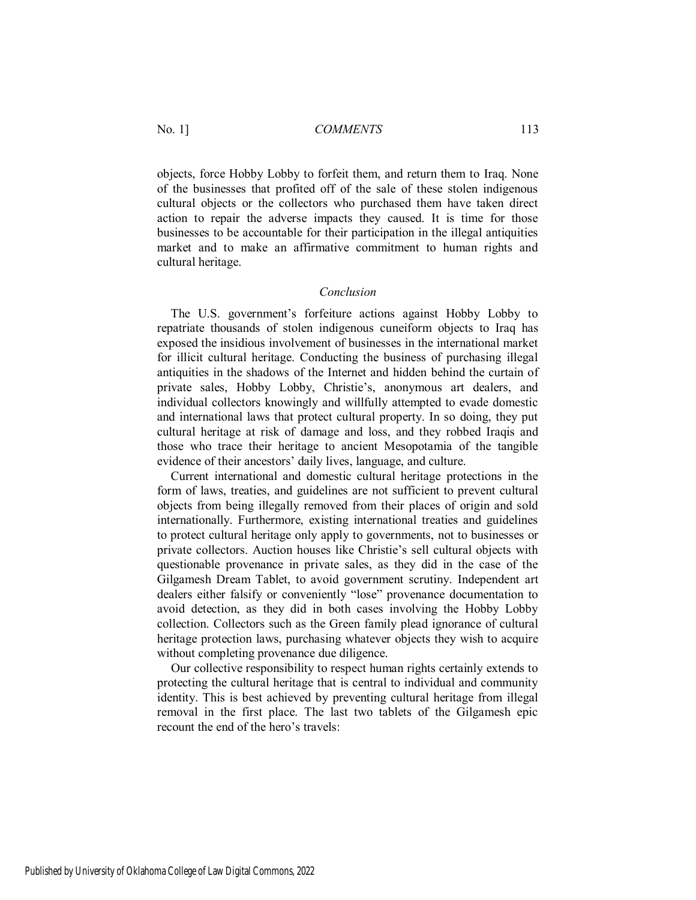objects, force Hobby Lobby to forfeit them, and return them to Iraq. None of the businesses that profited off of the sale of these stolen indigenous cultural objects or the collectors who purchased them have taken direct action to repair the adverse impacts they caused. It is time for those businesses to be accountable for their participation in the illegal antiquities market and to make an affirmative commitment to human rights and cultural heritage.

#### *Conclusion*

The U.S. government's forfeiture actions against Hobby Lobby to repatriate thousands of stolen indigenous cuneiform objects to Iraq has exposed the insidious involvement of businesses in the international market for illicit cultural heritage. Conducting the business of purchasing illegal antiquities in the shadows of the Internet and hidden behind the curtain of private sales, Hobby Lobby, Christie's, anonymous art dealers, and individual collectors knowingly and willfully attempted to evade domestic and international laws that protect cultural property. In so doing, they put cultural heritage at risk of damage and loss, and they robbed Iraqis and those who trace their heritage to ancient Mesopotamia of the tangible evidence of their ancestors' daily lives, language, and culture.

Current international and domestic cultural heritage protections in the form of laws, treaties, and guidelines are not sufficient to prevent cultural objects from being illegally removed from their places of origin and sold internationally. Furthermore, existing international treaties and guidelines to protect cultural heritage only apply to governments, not to businesses or private collectors. Auction houses like Christie's sell cultural objects with questionable provenance in private sales, as they did in the case of the Gilgamesh Dream Tablet, to avoid government scrutiny. Independent art dealers either falsify or conveniently "lose" provenance documentation to avoid detection, as they did in both cases involving the Hobby Lobby collection. Collectors such as the Green family plead ignorance of cultural heritage protection laws, purchasing whatever objects they wish to acquire without completing provenance due diligence.

Our collective responsibility to respect human rights certainly extends to protecting the cultural heritage that is central to individual and community identity. This is best achieved by preventing cultural heritage from illegal removal in the first place. The last two tablets of the Gilgamesh epic recount the end of the hero's travels: